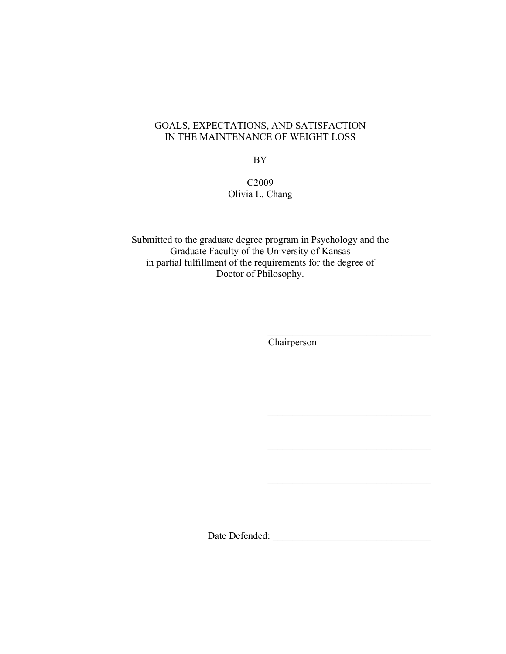# GOALS, EXPECTATIONS, AND SATISFACTION IN THE MAINTENANCE OF WEIGHT LOSS

BY

# C2009 Olivia L. Chang

Submitted to the graduate degree program in Psychology and the Graduate Faculty of the University of Kansas in partial fulfillment of the requirements for the degree of Doctor of Philosophy.

**Chairperson** 

 $\mathcal{L}_\text{max}$  , where  $\mathcal{L}_\text{max}$  and  $\mathcal{L}_\text{max}$  and  $\mathcal{L}_\text{max}$ 

 $\mathcal{L}_\text{max}$  and  $\mathcal{L}_\text{max}$  and  $\mathcal{L}_\text{max}$  and  $\mathcal{L}_\text{max}$ 

 $\overline{\phantom{a}}$  , and the set of the set of the set of the set of the set of the set of the set of the set of the set of the set of the set of the set of the set of the set of the set of the set of the set of the set of the s

 $\mathcal{L}_\text{max}$  , where  $\mathcal{L}_\text{max}$  and  $\mathcal{L}_\text{max}$  and  $\mathcal{L}_\text{max}$ 

 $\mathcal{L}_\text{max}$  , where  $\mathcal{L}_\text{max}$  and  $\mathcal{L}_\text{max}$  and  $\mathcal{L}_\text{max}$ 

Date Defended: \_\_\_\_\_\_\_\_\_\_\_\_\_\_\_\_\_\_\_\_\_\_\_\_\_\_\_\_\_\_\_\_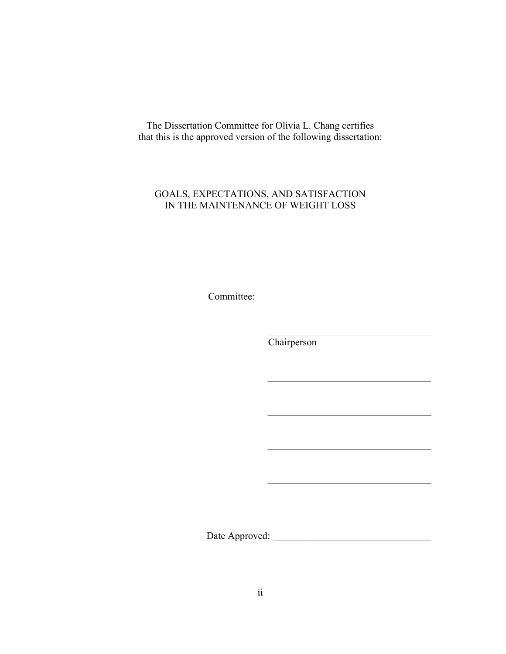The Dissertation Committee for Olivia L. Chang certifies that this is the approved version of the following dissertation:

## GOALS, EXPECTATIONS, AND SATISFACTION IN THE MAINTENANCE OF WEIGHT LOSS

Committee:

**Chairperson** 

 $\mathcal{L}_\text{max}$  , where  $\mathcal{L}_\text{max}$  and  $\mathcal{L}_\text{max}$  and  $\mathcal{L}_\text{max}$ 

 $\mathcal{L}_\text{max}$  , where  $\mathcal{L}_\text{max}$  and  $\mathcal{L}_\text{max}$  and  $\mathcal{L}_\text{max}$ 

 $\mathcal{L}_\text{max}$  , where  $\mathcal{L}_\text{max}$  and  $\mathcal{L}_\text{max}$  and  $\mathcal{L}_\text{max}$ 

 $\mathcal{L}_\text{max}$  , where  $\mathcal{L}_\text{max}$  and  $\mathcal{L}_\text{max}$  and  $\mathcal{L}_\text{max}$ 

 $\mathcal{L}_\text{max}$  , and the set of the set of the set of the set of the set of the set of the set of the set of the set of the set of the set of the set of the set of the set of the set of the set of the set of the set of the

Date Approved: \_\_\_\_\_\_\_\_\_\_\_\_\_\_\_\_\_\_\_\_\_\_\_\_\_\_\_\_\_\_\_\_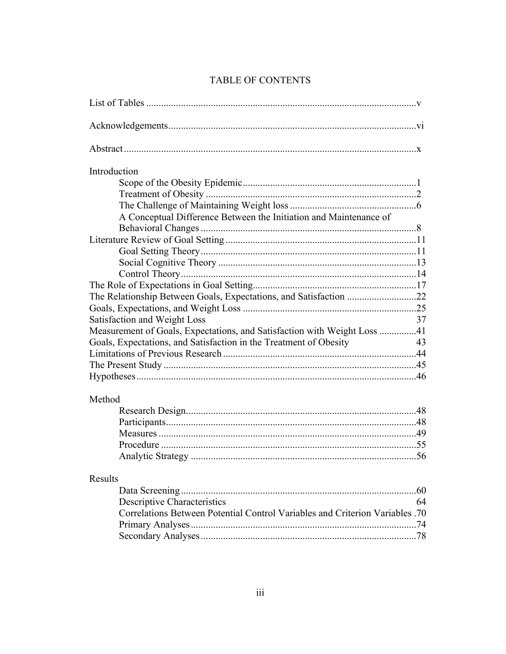| Introduction                                                                 |           |
|------------------------------------------------------------------------------|-----------|
|                                                                              |           |
|                                                                              |           |
|                                                                              |           |
| A Conceptual Difference Between the Initiation and Maintenance of            |           |
|                                                                              |           |
|                                                                              |           |
|                                                                              |           |
|                                                                              |           |
|                                                                              |           |
|                                                                              |           |
| The Relationship Between Goals, Expectations, and Satisfaction 22            |           |
|                                                                              |           |
| Satisfaction and Weight Loss                                                 | 37        |
| Measurement of Goals, Expectations, and Satisfaction with Weight Loss 41     |           |
| Goals, Expectations, and Satisfaction in the Treatment of Obesity            | 43        |
|                                                                              |           |
|                                                                              |           |
|                                                                              |           |
| Method                                                                       |           |
|                                                                              |           |
|                                                                              |           |
|                                                                              |           |
|                                                                              |           |
|                                                                              |           |
| Results                                                                      |           |
|                                                                              | .60<br>64 |
| <b>Descriptive Characteristics</b>                                           |           |
| Correlations Between Potential Control Variables and Criterion Variables .70 | .74       |
|                                                                              |           |
|                                                                              |           |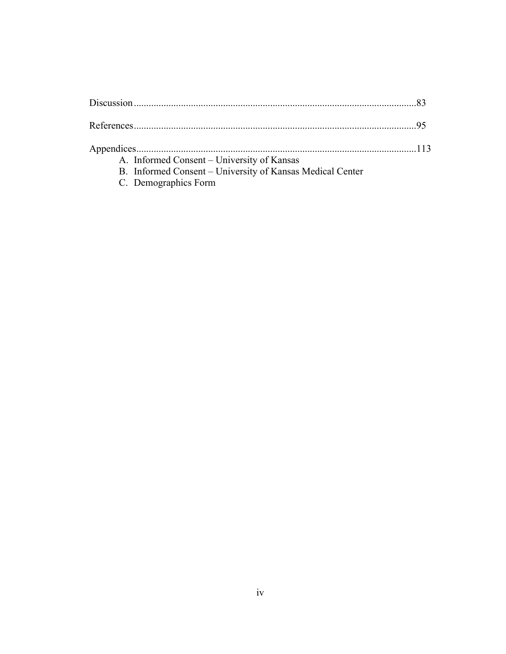| A. Informed Consent – University of Kansas                |  |
|-----------------------------------------------------------|--|
| B. Informed Consent – University of Kansas Medical Center |  |
| C. Demographics Form                                      |  |
|                                                           |  |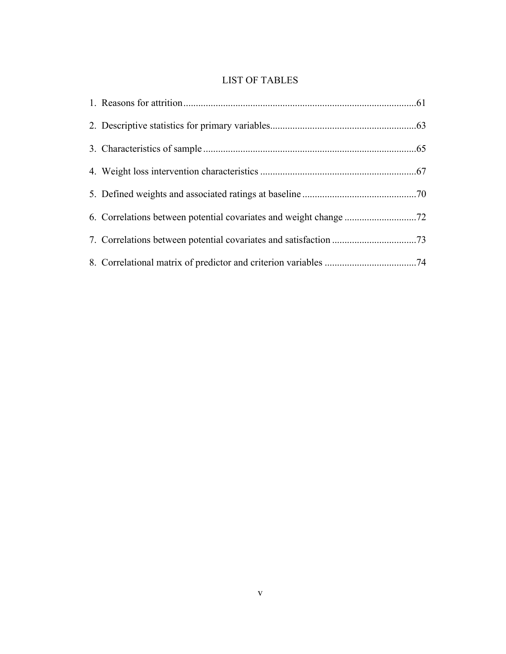# LIST OF TABLES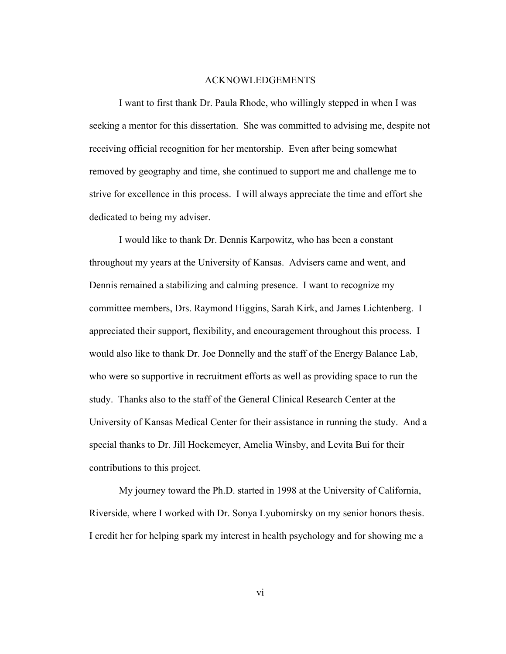#### ACKNOWLEDGEMENTS

I want to first thank Dr. Paula Rhode, who willingly stepped in when I was seeking a mentor for this dissertation. She was committed to advising me, despite not receiving official recognition for her mentorship. Even after being somewhat removed by geography and time, she continued to support me and challenge me to strive for excellence in this process. I will always appreciate the time and effort she dedicated to being my adviser.

I would like to thank Dr. Dennis Karpowitz, who has been a constant throughout my years at the University of Kansas. Advisers came and went, and Dennis remained a stabilizing and calming presence. I want to recognize my committee members, Drs. Raymond Higgins, Sarah Kirk, and James Lichtenberg. I appreciated their support, flexibility, and encouragement throughout this process. I would also like to thank Dr. Joe Donnelly and the staff of the Energy Balance Lab, who were so supportive in recruitment efforts as well as providing space to run the study. Thanks also to the staff of the General Clinical Research Center at the University of Kansas Medical Center for their assistance in running the study. And a special thanks to Dr. Jill Hockemeyer, Amelia Winsby, and Levita Bui for their contributions to this project.

My journey toward the Ph.D. started in 1998 at the University of California, Riverside, where I worked with Dr. Sonya Lyubomirsky on my senior honors thesis. I credit her for helping spark my interest in health psychology and for showing me a

vi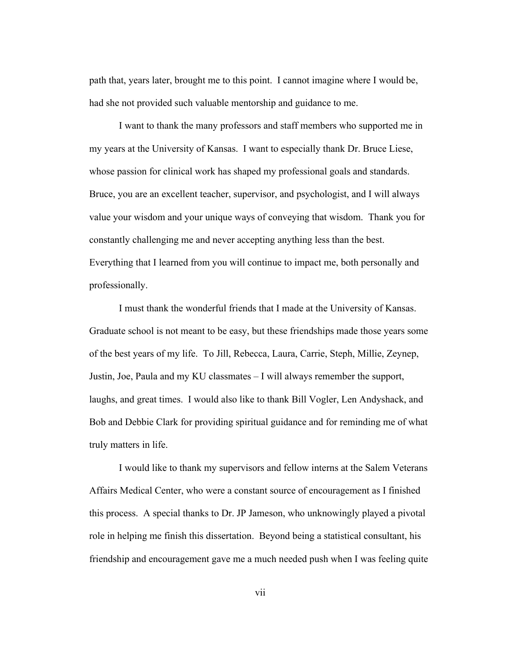path that, years later, brought me to this point. I cannot imagine where I would be, had she not provided such valuable mentorship and guidance to me.

I want to thank the many professors and staff members who supported me in my years at the University of Kansas. I want to especially thank Dr. Bruce Liese, whose passion for clinical work has shaped my professional goals and standards. Bruce, you are an excellent teacher, supervisor, and psychologist, and I will always value your wisdom and your unique ways of conveying that wisdom. Thank you for constantly challenging me and never accepting anything less than the best. Everything that I learned from you will continue to impact me, both personally and professionally.

I must thank the wonderful friends that I made at the University of Kansas. Graduate school is not meant to be easy, but these friendships made those years some of the best years of my life. To Jill, Rebecca, Laura, Carrie, Steph, Millie, Zeynep, Justin, Joe, Paula and my KU classmates – I will always remember the support, laughs, and great times. I would also like to thank Bill Vogler, Len Andyshack, and Bob and Debbie Clark for providing spiritual guidance and for reminding me of what truly matters in life.

I would like to thank my supervisors and fellow interns at the Salem Veterans Affairs Medical Center, who were a constant source of encouragement as I finished this process. A special thanks to Dr. JP Jameson, who unknowingly played a pivotal role in helping me finish this dissertation. Beyond being a statistical consultant, his friendship and encouragement gave me a much needed push when I was feeling quite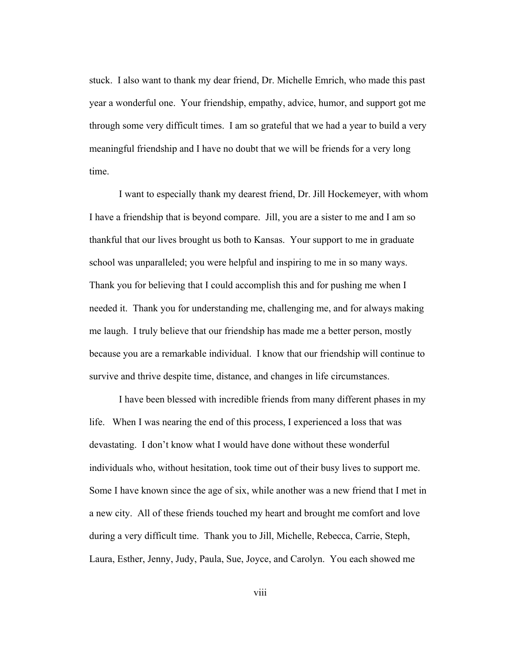stuck. I also want to thank my dear friend, Dr. Michelle Emrich, who made this past year a wonderful one. Your friendship, empathy, advice, humor, and support got me through some very difficult times. I am so grateful that we had a year to build a very meaningful friendship and I have no doubt that we will be friends for a very long time.

I want to especially thank my dearest friend, Dr. Jill Hockemeyer, with whom I have a friendship that is beyond compare. Jill, you are a sister to me and I am so thankful that our lives brought us both to Kansas. Your support to me in graduate school was unparalleled; you were helpful and inspiring to me in so many ways. Thank you for believing that I could accomplish this and for pushing me when I needed it. Thank you for understanding me, challenging me, and for always making me laugh. I truly believe that our friendship has made me a better person, mostly because you are a remarkable individual. I know that our friendship will continue to survive and thrive despite time, distance, and changes in life circumstances.

I have been blessed with incredible friends from many different phases in my life. When I was nearing the end of this process, I experienced a loss that was devastating. I don't know what I would have done without these wonderful individuals who, without hesitation, took time out of their busy lives to support me. Some I have known since the age of six, while another was a new friend that I met in a new city. All of these friends touched my heart and brought me comfort and love during a very difficult time. Thank you to Jill, Michelle, Rebecca, Carrie, Steph, Laura, Esther, Jenny, Judy, Paula, Sue, Joyce, and Carolyn. You each showed me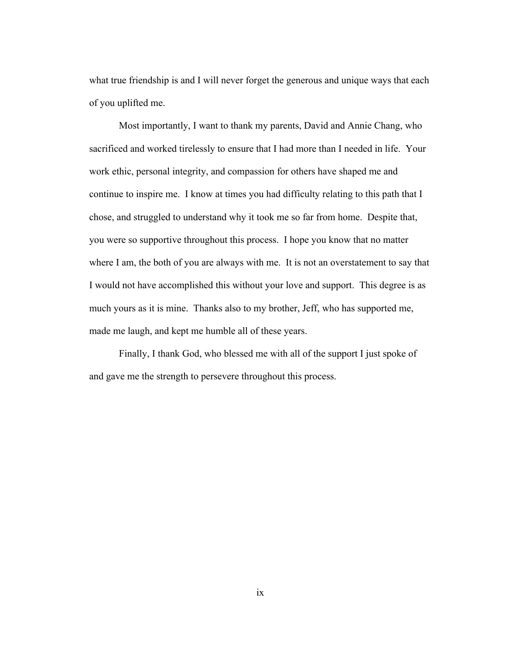what true friendship is and I will never forget the generous and unique ways that each of you uplifted me.

Most importantly, I want to thank my parents, David and Annie Chang, who sacrificed and worked tirelessly to ensure that I had more than I needed in life. Your work ethic, personal integrity, and compassion for others have shaped me and continue to inspire me. I know at times you had difficulty relating to this path that I chose, and struggled to understand why it took me so far from home. Despite that, you were so supportive throughout this process. I hope you know that no matter where I am, the both of you are always with me. It is not an overstatement to say that I would not have accomplished this without your love and support. This degree is as much yours as it is mine. Thanks also to my brother, Jeff, who has supported me, made me laugh, and kept me humble all of these years.

Finally, I thank God, who blessed me with all of the support I just spoke of and gave me the strength to persevere throughout this process.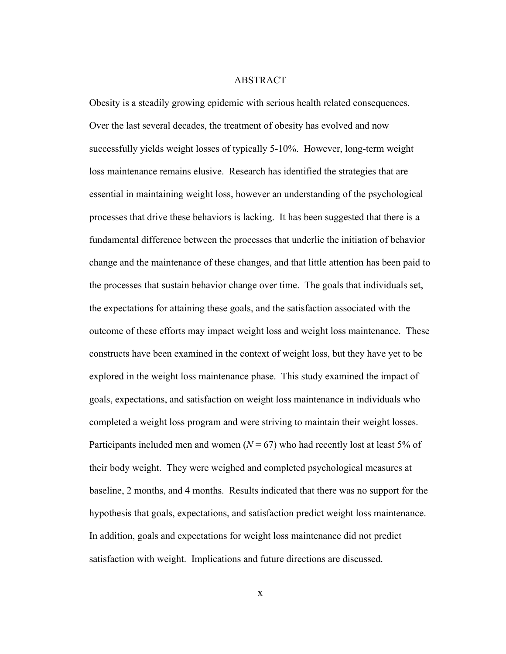#### ABSTRACT

Obesity is a steadily growing epidemic with serious health related consequences. Over the last several decades, the treatment of obesity has evolved and now successfully yields weight losses of typically 5-10%. However, long-term weight loss maintenance remains elusive. Research has identified the strategies that are essential in maintaining weight loss, however an understanding of the psychological processes that drive these behaviors is lacking. It has been suggested that there is a fundamental difference between the processes that underlie the initiation of behavior change and the maintenance of these changes, and that little attention has been paid to the processes that sustain behavior change over time. The goals that individuals set, the expectations for attaining these goals, and the satisfaction associated with the outcome of these efforts may impact weight loss and weight loss maintenance. These constructs have been examined in the context of weight loss, but they have yet to be explored in the weight loss maintenance phase. This study examined the impact of goals, expectations, and satisfaction on weight loss maintenance in individuals who completed a weight loss program and were striving to maintain their weight losses. Participants included men and women ( $N = 67$ ) who had recently lost at least 5% of their body weight. They were weighed and completed psychological measures at baseline, 2 months, and 4 months. Results indicated that there was no support for the hypothesis that goals, expectations, and satisfaction predict weight loss maintenance. In addition, goals and expectations for weight loss maintenance did not predict satisfaction with weight. Implications and future directions are discussed.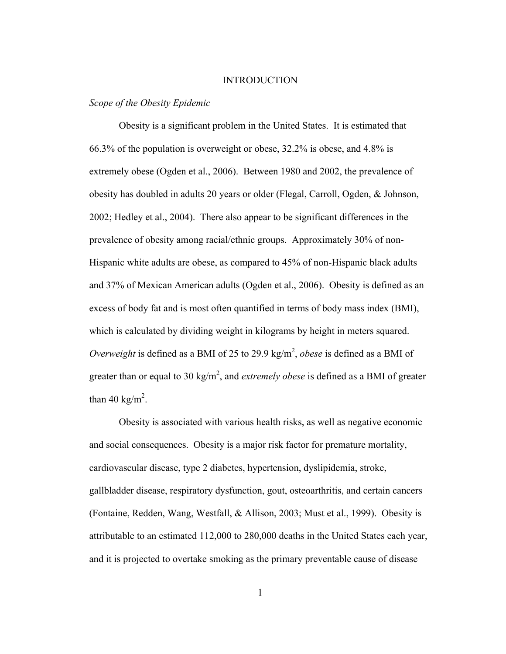#### INTRODUCTION

### *Scope of the Obesity Epidemic*

Obesity is a significant problem in the United States. It is estimated that 66.3% of the population is overweight or obese, 32.2% is obese, and 4.8% is extremely obese (Ogden et al., 2006). Between 1980 and 2002, the prevalence of obesity has doubled in adults 20 years or older (Flegal, Carroll, Ogden, & Johnson, 2002; Hedley et al., 2004). There also appear to be significant differences in the prevalence of obesity among racial/ethnic groups. Approximately 30% of non-Hispanic white adults are obese, as compared to 45% of non-Hispanic black adults and 37% of Mexican American adults (Ogden et al., 2006). Obesity is defined as an excess of body fat and is most often quantified in terms of body mass index (BMI), which is calculated by dividing weight in kilograms by height in meters squared. *Overweight* is defined as a BMI of 25 to 29.9 kg/m<sup>2</sup>, *obese* is defined as a BMI of greater than or equal to 30  $\text{kg/m}^2$ , and *extremely obese* is defined as a BMI of greater than 40 kg/m<sup>2</sup>.

Obesity is associated with various health risks, as well as negative economic and social consequences.Obesity is a major risk factor for premature mortality, cardiovascular disease, type 2 diabetes, hypertension, dyslipidemia, stroke, gallbladder disease, respiratory dysfunction, gout, osteoarthritis, and certain cancers (Fontaine, Redden, Wang, Westfall, & Allison, 2003; Must et al., 1999).Obesity is attributable to an estimated 112,000 to 280,000 deaths in the United States each year, and it is projected to overtake smoking as the primary preventable cause of disease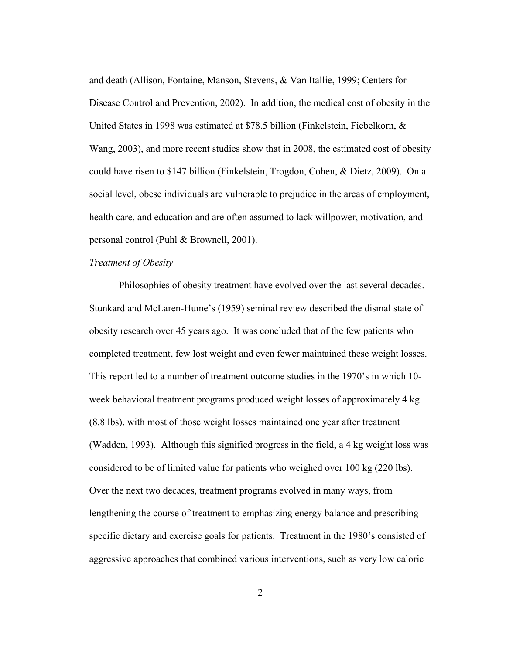and death (Allison, Fontaine, Manson, Stevens, & Van Itallie, 1999; Centers for Disease Control and Prevention, 2002). In addition, the medical cost of obesity in the United States in 1998 was estimated at \$78.5 billion (Finkelstein, Fiebelkorn, & Wang, 2003), and more recent studies show that in 2008, the estimated cost of obesity could have risen to \$147 billion (Finkelstein, Trogdon, Cohen, & Dietz, 2009).On a social level, obese individuals are vulnerable to prejudice in the areas of employment, health care, and education and are often assumed to lack willpower, motivation, and personal control (Puhl & Brownell, 2001).

### *Treatment of Obesity*

Philosophies of obesity treatment have evolved over the last several decades. Stunkard and McLaren-Hume's (1959) seminal review described the dismal state of obesity research over 45 years ago. It was concluded that of the few patients who completed treatment, few lost weight and even fewer maintained these weight losses. This report led to a number of treatment outcome studies in the 1970's in which 10 week behavioral treatment programs produced weight losses of approximately 4 kg (8.8 lbs), with most of those weight losses maintained one year after treatment (Wadden, 1993). Although this signified progress in the field, a 4 kg weight loss was considered to be of limited value for patients who weighed over 100 kg (220 lbs). Over the next two decades, treatment programs evolved in many ways, from lengthening the course of treatment to emphasizing energy balance and prescribing specific dietary and exercise goals for patients. Treatment in the 1980's consisted of aggressive approaches that combined various interventions, such as very low calorie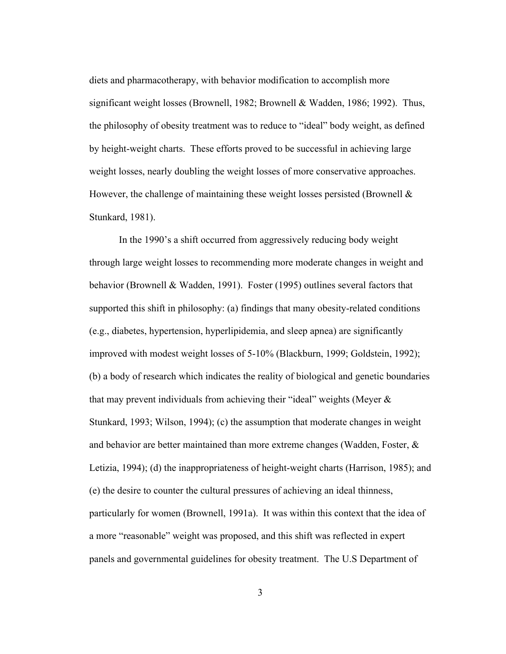diets and pharmacotherapy, with behavior modification to accomplish more significant weight losses (Brownell, 1982; Brownell & Wadden, 1986; 1992). Thus, the philosophy of obesity treatment was to reduce to "ideal" body weight, as defined by height-weight charts. These efforts proved to be successful in achieving large weight losses, nearly doubling the weight losses of more conservative approaches. However, the challenge of maintaining these weight losses persisted (Brownell  $\&$ Stunkard, 1981).

In the 1990's a shift occurred from aggressively reducing body weight through large weight losses to recommending more moderate changes in weight and behavior (Brownell & Wadden, 1991). Foster (1995) outlines several factors that supported this shift in philosophy: (a) findings that many obesity-related conditions (e.g., diabetes, hypertension, hyperlipidemia, and sleep apnea) are significantly improved with modest weight losses of 5-10% (Blackburn, 1999; Goldstein, 1992); (b) a body of research which indicates the reality of biological and genetic boundaries that may prevent individuals from achieving their "ideal" weights (Meyer  $\&$ Stunkard, 1993; Wilson, 1994); (c) the assumption that moderate changes in weight and behavior are better maintained than more extreme changes (Wadden, Foster, & Letizia, 1994); (d) the inappropriateness of height-weight charts (Harrison, 1985); and (e) the desire to counter the cultural pressures of achieving an ideal thinness, particularly for women (Brownell, 1991a). It was within this context that the idea of a more "reasonable" weight was proposed, and this shift was reflected in expert panels and governmental guidelines for obesity treatment. The U.S Department of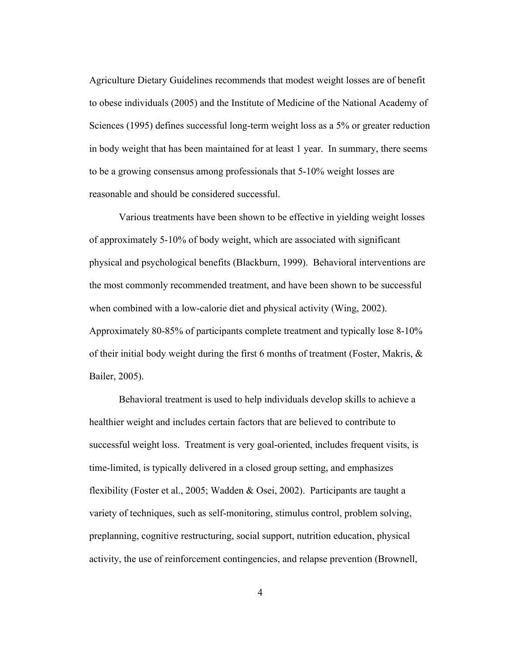Agriculture Dietary Guidelines recommends that modest weight losses are of benefit to obese individuals (2005) and the Institute of Medicine of the National Academy of Sciences (1995) defines successful long-term weight loss as a 5% or greater reduction in body weight that has been maintained for at least 1 year. In summary, there seems to be a growing consensus among professionals that 5-10% weight losses are reasonable and should be considered successful.

Various treatments have been shown to be effective in yielding weight losses of approximately 5-10% of body weight, which are associated with significant physical and psychological benefits (Blackburn, 1999). Behavioral interventions are the most commonly recommended treatment, and have been shown to be successful when combined with a low-calorie diet and physical activity (Wing, 2002). Approximately 80-85% of participants complete treatment and typically lose 8-10% of their initial body weight during the first 6 months of treatment (Foster, Makris, & Bailer, 2005).

Behavioral treatment is used to help individuals develop skills to achieve a healthier weight and includes certain factors that are believed to contribute to successful weight loss. Treatment is very goal-oriented, includes frequent visits, is time-limited, is typically delivered in a closed group setting, and emphasizes flexibility (Foster et al., 2005; Wadden & Osei, 2002). Participants are taught a variety of techniques, such as self-monitoring, stimulus control, problem solving, preplanning, cognitive restructuring, social support, nutrition education, physical activity, the use of reinforcement contingencies, and relapse prevention (Brownell,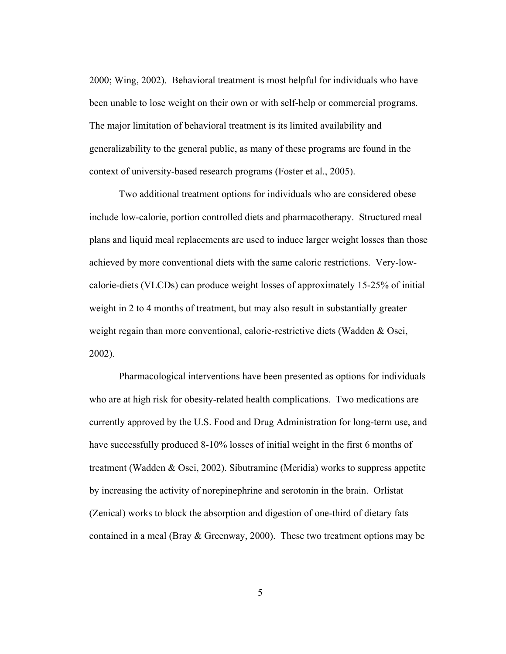2000; Wing, 2002). Behavioral treatment is most helpful for individuals who have been unable to lose weight on their own or with self-help or commercial programs. The major limitation of behavioral treatment is its limited availability and generalizability to the general public, as many of these programs are found in the context of university-based research programs (Foster et al., 2005).

Two additional treatment options for individuals who are considered obese include low-calorie, portion controlled diets and pharmacotherapy. Structured meal plans and liquid meal replacements are used to induce larger weight losses than those achieved by more conventional diets with the same caloric restrictions. Very-lowcalorie-diets (VLCDs) can produce weight losses of approximately 15-25% of initial weight in 2 to 4 months of treatment, but may also result in substantially greater weight regain than more conventional, calorie-restrictive diets (Wadden & Osei, 2002).

Pharmacological interventions have been presented as options for individuals who are at high risk for obesity-related health complications. Two medications are currently approved by the U.S. Food and Drug Administration for long-term use, and have successfully produced 8-10% losses of initial weight in the first 6 months of treatment (Wadden & Osei, 2002). Sibutramine (Meridia) works to suppress appetite by increasing the activity of norepinephrine and serotonin in the brain. Orlistat (Zenical) works to block the absorption and digestion of one-third of dietary fats contained in a meal (Bray & Greenway, 2000). These two treatment options may be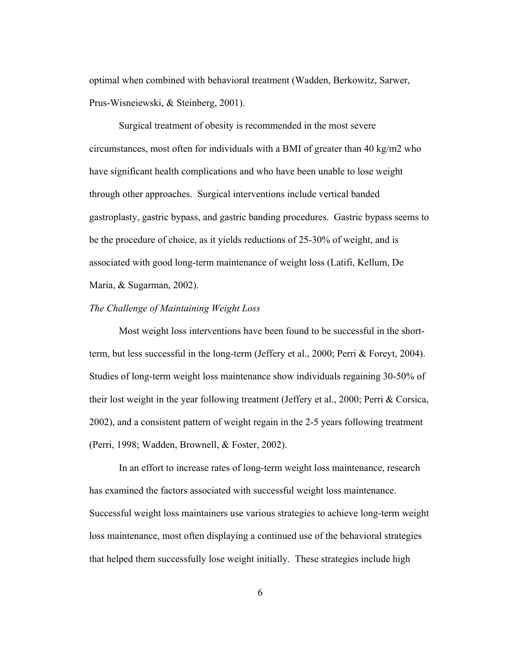optimal when combined with behavioral treatment (Wadden, Berkowitz, Sarwer, Prus-Wisneiewski, & Steinberg, 2001).

Surgical treatment of obesity is recommended in the most severe circumstances, most often for individuals with a BMI of greater than 40 kg/m2 who have significant health complications and who have been unable to lose weight through other approaches. Surgical interventions include vertical banded gastroplasty, gastric bypass, and gastric banding procedures. Gastric bypass seems to be the procedure of choice, as it yields reductions of 25-30% of weight, and is associated with good long-term maintenance of weight loss (Latifi, Kellum, De Maria, & Sugarman, 2002).

## *The Challenge of Maintaining Weight Loss*

Most weight loss interventions have been found to be successful in the shortterm, but less successful in the long-term (Jeffery et al., 2000; Perri & Foreyt, 2004). Studies of long-term weight loss maintenance show individuals regaining 30-50% of their lost weight in the year following treatment (Jeffery et al., 2000; Perri & Corsica, 2002), and a consistent pattern of weight regain in the 2-5 years following treatment (Perri, 1998; Wadden, Brownell, & Foster, 2002).

In an effort to increase rates of long-term weight loss maintenance, research has examined the factors associated with successful weight loss maintenance. Successful weight loss maintainers use various strategies to achieve long-term weight loss maintenance, most often displaying a continued use of the behavioral strategies that helped them successfully lose weight initially. These strategies include high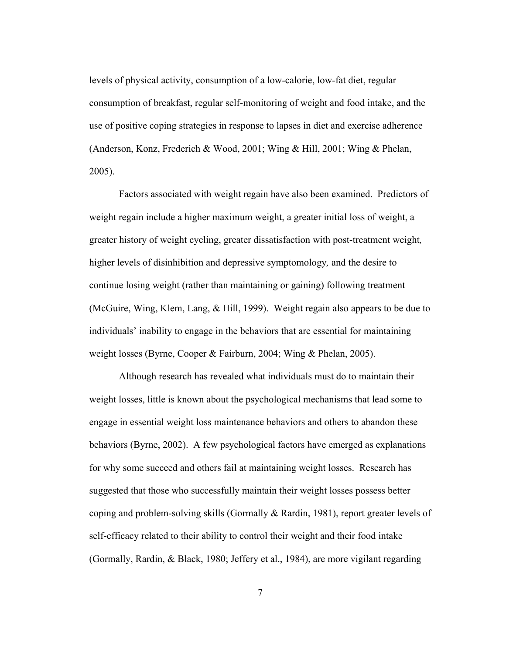levels of physical activity, consumption of a low-calorie, low-fat diet, regular consumption of breakfast, regular self-monitoring of weight and food intake, and the use of positive coping strategies in response to lapses in diet and exercise adherence (Anderson, Konz, Frederich & Wood, 2001; Wing & Hill, 2001; Wing & Phelan, 2005).

Factors associated with weight regain have also been examined. Predictors of weight regain include a higher maximum weight, a greater initial loss of weight, a greater history of weight cycling, greater dissatisfaction with post-treatment weight*,*  higher levels of disinhibition and depressive symptomology*,* and the desire to continue losing weight (rather than maintaining or gaining) following treatment (McGuire, Wing, Klem, Lang, & Hill, 1999). Weight regain also appears to be due to individuals' inability to engage in the behaviors that are essential for maintaining weight losses (Byrne, Cooper & Fairburn, 2004; Wing & Phelan, 2005).

Although research has revealed what individuals must do to maintain their weight losses, little is known about the psychological mechanisms that lead some to engage in essential weight loss maintenance behaviors and others to abandon these behaviors (Byrne, 2002). A few psychological factors have emerged as explanations for why some succeed and others fail at maintaining weight losses. Research has suggested that those who successfully maintain their weight losses possess better coping and problem-solving skills (Gormally & Rardin, 1981), report greater levels of self-efficacy related to their ability to control their weight and their food intake (Gormally, Rardin, & Black, 1980; Jeffery et al., 1984), are more vigilant regarding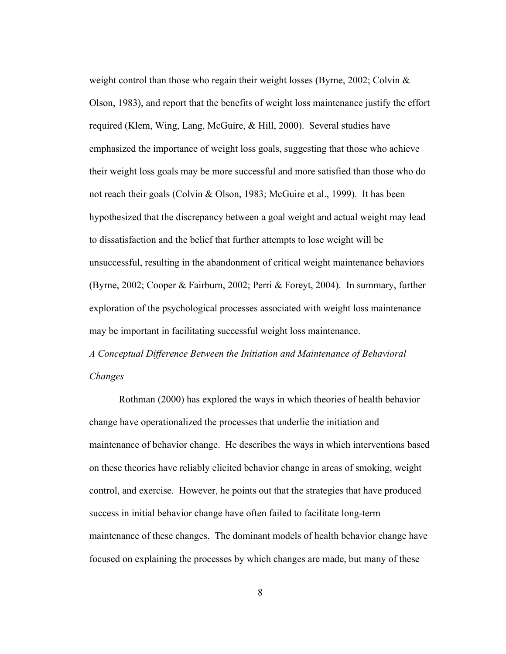weight control than those who regain their weight losses (Byrne, 2002; Colvin  $\&$ Olson, 1983), and report that the benefits of weight loss maintenance justify the effort required (Klem, Wing, Lang, McGuire, & Hill, 2000). Several studies have emphasized the importance of weight loss goals, suggesting that those who achieve their weight loss goals may be more successful and more satisfied than those who do not reach their goals (Colvin & Olson, 1983; McGuire et al., 1999). It has been hypothesized that the discrepancy between a goal weight and actual weight may lead to dissatisfaction and the belief that further attempts to lose weight will be unsuccessful, resulting in the abandonment of critical weight maintenance behaviors (Byrne, 2002; Cooper & Fairburn, 2002; Perri & Foreyt, 2004). In summary, further exploration of the psychological processes associated with weight loss maintenance may be important in facilitating successful weight loss maintenance. *A Conceptual Difference Between the Initiation and Maintenance of Behavioral Changes*

Rothman (2000) has explored the ways in which theories of health behavior change have operationalized the processes that underlie the initiation and maintenance of behavior change. He describes the ways in which interventions based on these theories have reliably elicited behavior change in areas of smoking, weight control, and exercise. However, he points out that the strategies that have produced success in initial behavior change have often failed to facilitate long-term maintenance of these changes. The dominant models of health behavior change have focused on explaining the processes by which changes are made, but many of these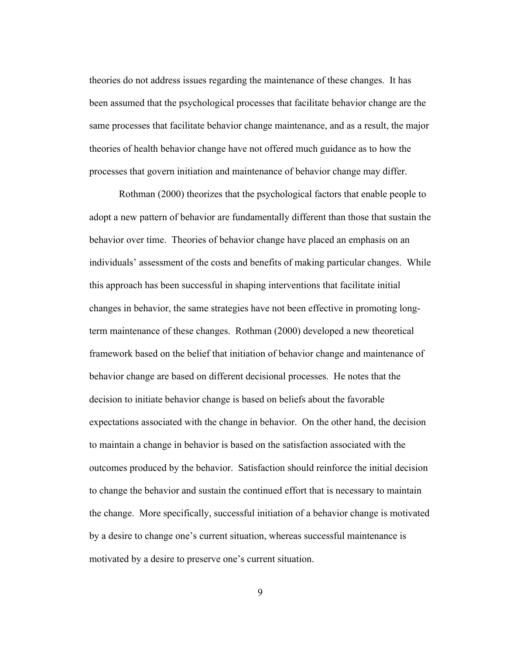theories do not address issues regarding the maintenance of these changes. It has been assumed that the psychological processes that facilitate behavior change are the same processes that facilitate behavior change maintenance, and as a result, the major theories of health behavior change have not offered much guidance as to how the processes that govern initiation and maintenance of behavior change may differ.

Rothman (2000) theorizes that the psychological factors that enable people to adopt a new pattern of behavior are fundamentally different than those that sustain the behavior over time. Theories of behavior change have placed an emphasis on an individuals' assessment of the costs and benefits of making particular changes. While this approach has been successful in shaping interventions that facilitate initial changes in behavior, the same strategies have not been effective in promoting longterm maintenance of these changes. Rothman (2000) developed a new theoretical framework based on the belief that initiation of behavior change and maintenance of behavior change are based on different decisional processes. He notes that the decision to initiate behavior change is based on beliefs about the favorable expectations associated with the change in behavior. On the other hand, the decision to maintain a change in behavior is based on the satisfaction associated with the outcomes produced by the behavior. Satisfaction should reinforce the initial decision to change the behavior and sustain the continued effort that is necessary to maintain the change. More specifically, successful initiation of a behavior change is motivated by a desire to change one's current situation, whereas successful maintenance is motivated by a desire to preserve one's current situation.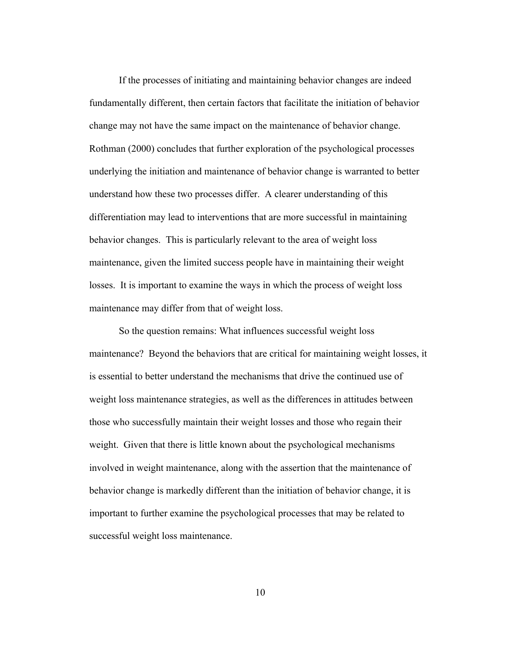If the processes of initiating and maintaining behavior changes are indeed fundamentally different, then certain factors that facilitate the initiation of behavior change may not have the same impact on the maintenance of behavior change. Rothman (2000) concludes that further exploration of the psychological processes underlying the initiation and maintenance of behavior change is warranted to better understand how these two processes differ. A clearer understanding of this differentiation may lead to interventions that are more successful in maintaining behavior changes. This is particularly relevant to the area of weight loss maintenance, given the limited success people have in maintaining their weight losses. It is important to examine the ways in which the process of weight loss maintenance may differ from that of weight loss.

So the question remains: What influences successful weight loss maintenance? Beyond the behaviors that are critical for maintaining weight losses, it is essential to better understand the mechanisms that drive the continued use of weight loss maintenance strategies, as well as the differences in attitudes between those who successfully maintain their weight losses and those who regain their weight. Given that there is little known about the psychological mechanisms involved in weight maintenance, along with the assertion that the maintenance of behavior change is markedly different than the initiation of behavior change, it is important to further examine the psychological processes that may be related to successful weight loss maintenance.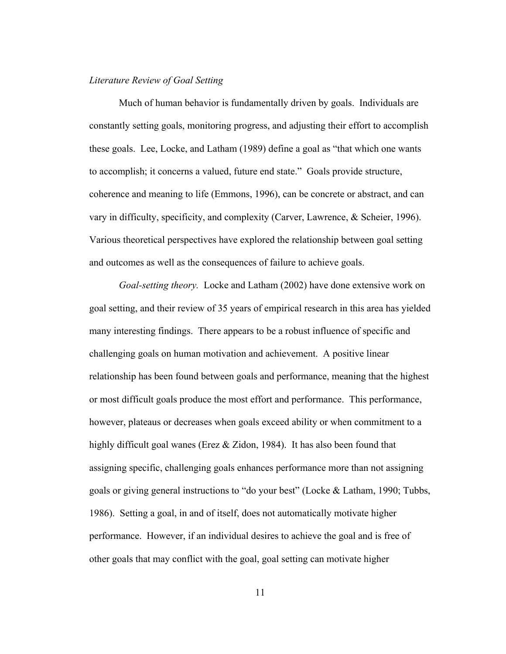### *Literature Review of Goal Setting*

Much of human behavior is fundamentally driven by goals. Individuals are constantly setting goals, monitoring progress, and adjusting their effort to accomplish these goals. Lee, Locke, and Latham (1989) define a goal as "that which one wants to accomplish; it concerns a valued, future end state." Goals provide structure, coherence and meaning to life (Emmons, 1996), can be concrete or abstract, and can vary in difficulty, specificity, and complexity (Carver, Lawrence, & Scheier, 1996). Various theoretical perspectives have explored the relationship between goal setting and outcomes as well as the consequences of failure to achieve goals.

*Goal-setting theory.* Locke and Latham (2002) have done extensive work on goal setting, and their review of 35 years of empirical research in this area has yielded many interesting findings. There appears to be a robust influence of specific and challenging goals on human motivation and achievement. A positive linear relationship has been found between goals and performance, meaning that the highest or most difficult goals produce the most effort and performance. This performance, however, plateaus or decreases when goals exceed ability or when commitment to a highly difficult goal wanes (Erez & Zidon, 1984). It has also been found that assigning specific, challenging goals enhances performance more than not assigning goals or giving general instructions to "do your best" (Locke & Latham, 1990; Tubbs, 1986). Setting a goal, in and of itself, does not automatically motivate higher performance. However, if an individual desires to achieve the goal and is free of other goals that may conflict with the goal, goal setting can motivate higher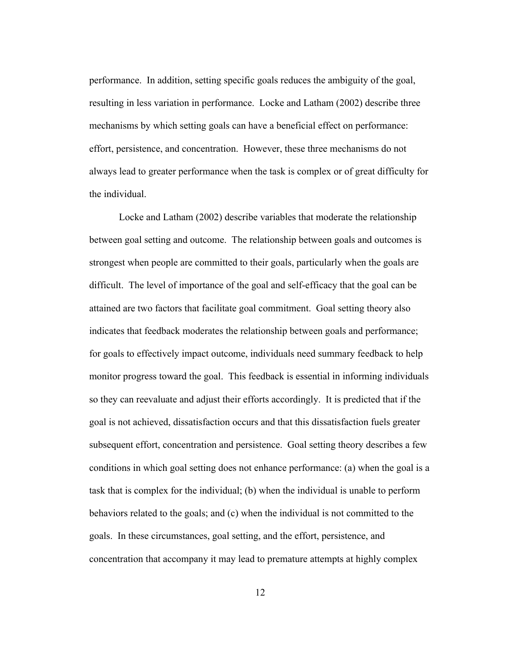performance. In addition, setting specific goals reduces the ambiguity of the goal, resulting in less variation in performance. Locke and Latham (2002) describe three mechanisms by which setting goals can have a beneficial effect on performance: effort, persistence, and concentration. However, these three mechanisms do not always lead to greater performance when the task is complex or of great difficulty for the individual.

Locke and Latham (2002) describe variables that moderate the relationship between goal setting and outcome. The relationship between goals and outcomes is strongest when people are committed to their goals, particularly when the goals are difficult. The level of importance of the goal and self-efficacy that the goal can be attained are two factors that facilitate goal commitment. Goal setting theory also indicates that feedback moderates the relationship between goals and performance; for goals to effectively impact outcome, individuals need summary feedback to help monitor progress toward the goal. This feedback is essential in informing individuals so they can reevaluate and adjust their efforts accordingly. It is predicted that if the goal is not achieved, dissatisfaction occurs and that this dissatisfaction fuels greater subsequent effort, concentration and persistence. Goal setting theory describes a few conditions in which goal setting does not enhance performance: (a) when the goal is a task that is complex for the individual; (b) when the individual is unable to perform behaviors related to the goals; and (c) when the individual is not committed to the goals. In these circumstances, goal setting, and the effort, persistence, and concentration that accompany it may lead to premature attempts at highly complex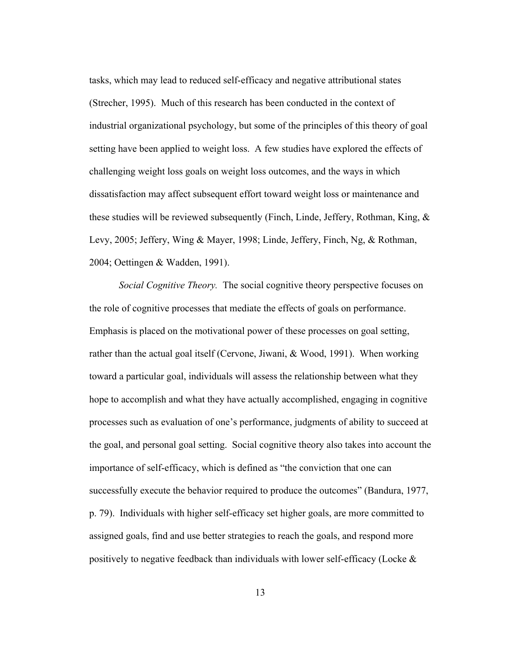tasks, which may lead to reduced self-efficacy and negative attributional states (Strecher, 1995). Much of this research has been conducted in the context of industrial organizational psychology, but some of the principles of this theory of goal setting have been applied to weight loss. A few studies have explored the effects of challenging weight loss goals on weight loss outcomes, and the ways in which dissatisfaction may affect subsequent effort toward weight loss or maintenance and these studies will be reviewed subsequently (Finch, Linde, Jeffery, Rothman, King,  $\&$ Levy, 2005; Jeffery, Wing & Mayer, 1998; Linde, Jeffery, Finch, Ng, & Rothman, 2004; Oettingen & Wadden, 1991).

*Social Cognitive Theory.* The social cognitive theory perspective focuses on the role of cognitive processes that mediate the effects of goals on performance. Emphasis is placed on the motivational power of these processes on goal setting, rather than the actual goal itself (Cervone, Jiwani, & Wood, 1991). When working toward a particular goal, individuals will assess the relationship between what they hope to accomplish and what they have actually accomplished, engaging in cognitive processes such as evaluation of one's performance, judgments of ability to succeed at the goal, and personal goal setting. Social cognitive theory also takes into account the importance of self-efficacy, which is defined as "the conviction that one can successfully execute the behavior required to produce the outcomes" (Bandura, 1977, p. 79). Individuals with higher self-efficacy set higher goals, are more committed to assigned goals, find and use better strategies to reach the goals, and respond more positively to negative feedback than individuals with lower self-efficacy (Locke  $\&$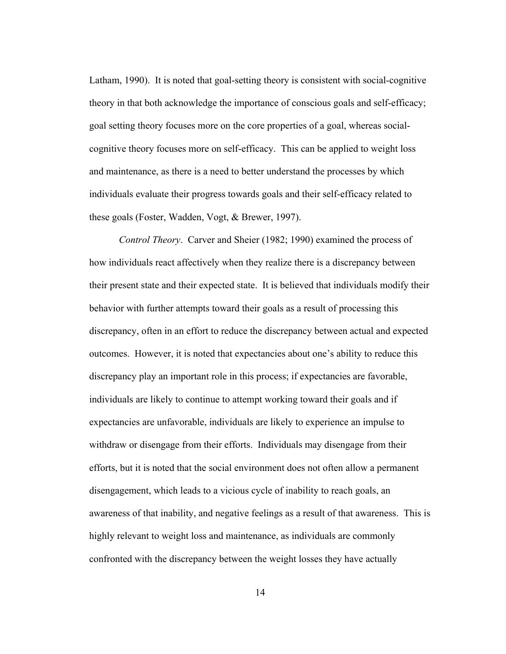Latham, 1990). It is noted that goal-setting theory is consistent with social-cognitive theory in that both acknowledge the importance of conscious goals and self-efficacy; goal setting theory focuses more on the core properties of a goal, whereas socialcognitive theory focuses more on self-efficacy. This can be applied to weight loss and maintenance, as there is a need to better understand the processes by which individuals evaluate their progress towards goals and their self-efficacy related to these goals (Foster, Wadden, Vogt, & Brewer, 1997).

*Control Theory*. Carver and Sheier (1982; 1990) examined the process of how individuals react affectively when they realize there is a discrepancy between their present state and their expected state. It is believed that individuals modify their behavior with further attempts toward their goals as a result of processing this discrepancy, often in an effort to reduce the discrepancy between actual and expected outcomes. However, it is noted that expectancies about one's ability to reduce this discrepancy play an important role in this process; if expectancies are favorable, individuals are likely to continue to attempt working toward their goals and if expectancies are unfavorable, individuals are likely to experience an impulse to withdraw or disengage from their efforts. Individuals may disengage from their efforts, but it is noted that the social environment does not often allow a permanent disengagement, which leads to a vicious cycle of inability to reach goals, an awareness of that inability, and negative feelings as a result of that awareness. This is highly relevant to weight loss and maintenance, as individuals are commonly confronted with the discrepancy between the weight losses they have actually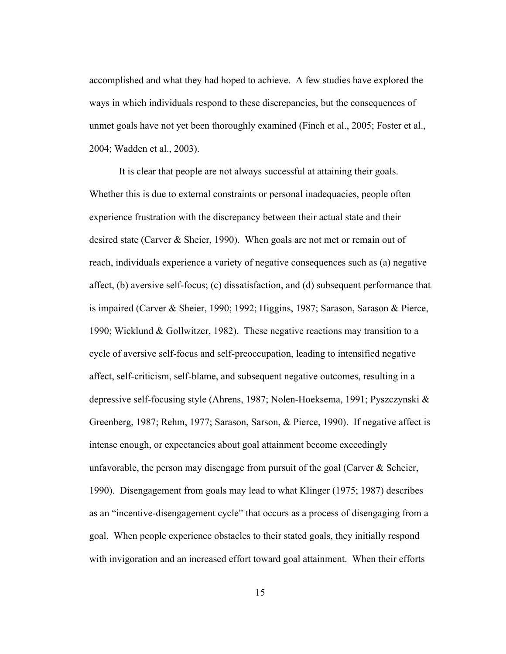accomplished and what they had hoped to achieve. A few studies have explored the ways in which individuals respond to these discrepancies, but the consequences of unmet goals have not yet been thoroughly examined (Finch et al., 2005; Foster et al., 2004; Wadden et al., 2003).

It is clear that people are not always successful at attaining their goals. Whether this is due to external constraints or personal inadequacies, people often experience frustration with the discrepancy between their actual state and their desired state (Carver & Sheier, 1990). When goals are not met or remain out of reach, individuals experience a variety of negative consequences such as (a) negative affect, (b) aversive self-focus; (c) dissatisfaction, and (d) subsequent performance that is impaired (Carver & Sheier, 1990; 1992; Higgins, 1987; Sarason, Sarason & Pierce, 1990; Wicklund & Gollwitzer, 1982). These negative reactions may transition to a cycle of aversive self-focus and self-preoccupation, leading to intensified negative affect, self-criticism, self-blame, and subsequent negative outcomes, resulting in a depressive self-focusing style (Ahrens, 1987; Nolen-Hoeksema, 1991; Pyszczynski & Greenberg, 1987; Rehm, 1977; Sarason, Sarson, & Pierce, 1990). If negative affect is intense enough, or expectancies about goal attainment become exceedingly unfavorable, the person may disengage from pursuit of the goal (Carver & Scheier, 1990). Disengagement from goals may lead to what Klinger (1975; 1987) describes as an "incentive-disengagement cycle" that occurs as a process of disengaging from a goal. When people experience obstacles to their stated goals, they initially respond with invigoration and an increased effort toward goal attainment. When their efforts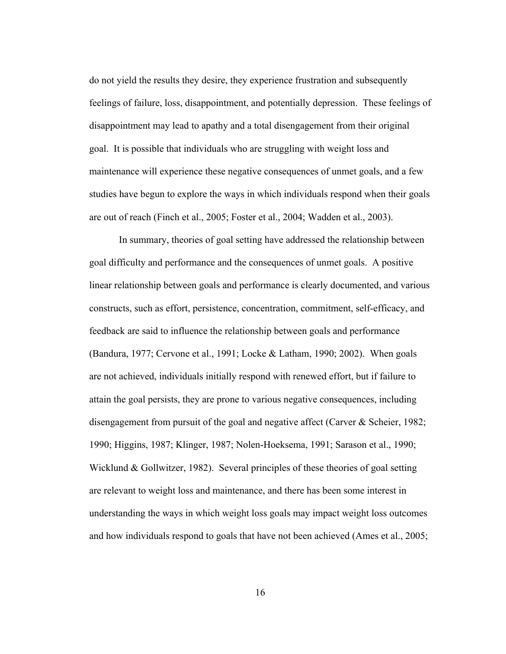do not yield the results they desire, they experience frustration and subsequently feelings of failure, loss, disappointment, and potentially depression. These feelings of disappointment may lead to apathy and a total disengagement from their original goal. It is possible that individuals who are struggling with weight loss and maintenance will experience these negative consequences of unmet goals, and a few studies have begun to explore the ways in which individuals respond when their goals are out of reach (Finch et al., 2005; Foster et al., 2004; Wadden et al., 2003).

In summary, theories of goal setting have addressed the relationship between goal difficulty and performance and the consequences of unmet goals. A positive linear relationship between goals and performance is clearly documented, and various constructs, such as effort, persistence, concentration, commitment, self-efficacy, and feedback are said to influence the relationship between goals and performance (Bandura, 1977; Cervone et al., 1991; Locke & Latham, 1990; 2002). When goals are not achieved, individuals initially respond with renewed effort, but if failure to attain the goal persists, they are prone to various negative consequences, including disengagement from pursuit of the goal and negative affect (Carver & Scheier, 1982; 1990; Higgins, 1987; Klinger, 1987; Nolen-Hoeksema, 1991; Sarason et al., 1990; Wicklund & Gollwitzer, 1982). Several principles of these theories of goal setting are relevant to weight loss and maintenance, and there has been some interest in understanding the ways in which weight loss goals may impact weight loss outcomes and how individuals respond to goals that have not been achieved (Ames et al., 2005;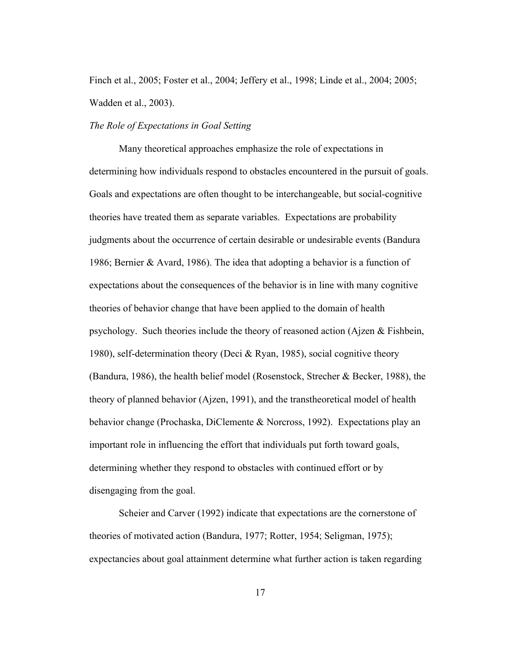Finch et al., 2005; Foster et al., 2004; Jeffery et al., 1998; Linde et al., 2004; 2005; Wadden et al., 2003).

### *The Role of Expectations in Goal Setting*

Many theoretical approaches emphasize the role of expectations in determining how individuals respond to obstacles encountered in the pursuit of goals. Goals and expectations are often thought to be interchangeable, but social-cognitive theories have treated them as separate variables. Expectations are probability judgments about the occurrence of certain desirable or undesirable events (Bandura 1986; Bernier & Avard, 1986). The idea that adopting a behavior is a function of expectations about the consequences of the behavior is in line with many cognitive theories of behavior change that have been applied to the domain of health psychology. Such theories include the theory of reasoned action (Ajzen & Fishbein, 1980), self-determination theory (Deci & Ryan, 1985), social cognitive theory (Bandura, 1986), the health belief model (Rosenstock, Strecher & Becker, 1988), the theory of planned behavior (Ajzen, 1991), and the transtheoretical model of health behavior change (Prochaska, DiClemente & Norcross, 1992). Expectations play an important role in influencing the effort that individuals put forth toward goals, determining whether they respond to obstacles with continued effort or by disengaging from the goal.

Scheier and Carver (1992) indicate that expectations are the cornerstone of theories of motivated action (Bandura, 1977; Rotter, 1954; Seligman, 1975); expectancies about goal attainment determine what further action is taken regarding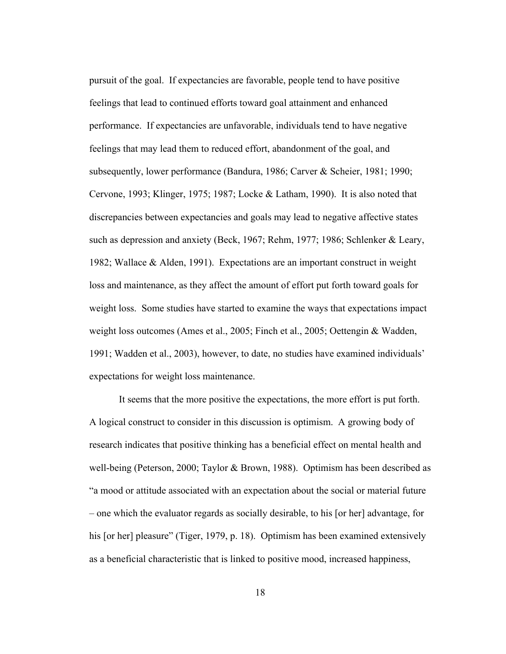pursuit of the goal. If expectancies are favorable, people tend to have positive feelings that lead to continued efforts toward goal attainment and enhanced performance. If expectancies are unfavorable, individuals tend to have negative feelings that may lead them to reduced effort, abandonment of the goal, and subsequently, lower performance (Bandura, 1986; Carver & Scheier, 1981; 1990; Cervone, 1993; Klinger, 1975; 1987; Locke & Latham, 1990). It is also noted that discrepancies between expectancies and goals may lead to negative affective states such as depression and anxiety (Beck, 1967; Rehm, 1977; 1986; Schlenker & Leary, 1982; Wallace & Alden, 1991). Expectations are an important construct in weight loss and maintenance, as they affect the amount of effort put forth toward goals for weight loss. Some studies have started to examine the ways that expectations impact weight loss outcomes (Ames et al., 2005; Finch et al., 2005; Oettengin & Wadden, 1991; Wadden et al., 2003), however, to date, no studies have examined individuals' expectations for weight loss maintenance.

It seems that the more positive the expectations, the more effort is put forth. A logical construct to consider in this discussion is optimism. A growing body of research indicates that positive thinking has a beneficial effect on mental health and well-being (Peterson, 2000; Taylor & Brown, 1988). Optimism has been described as "a mood or attitude associated with an expectation about the social or material future – one which the evaluator regards as socially desirable, to his [or her] advantage, for his [or her] pleasure" (Tiger, 1979, p. 18). Optimism has been examined extensively as a beneficial characteristic that is linked to positive mood, increased happiness,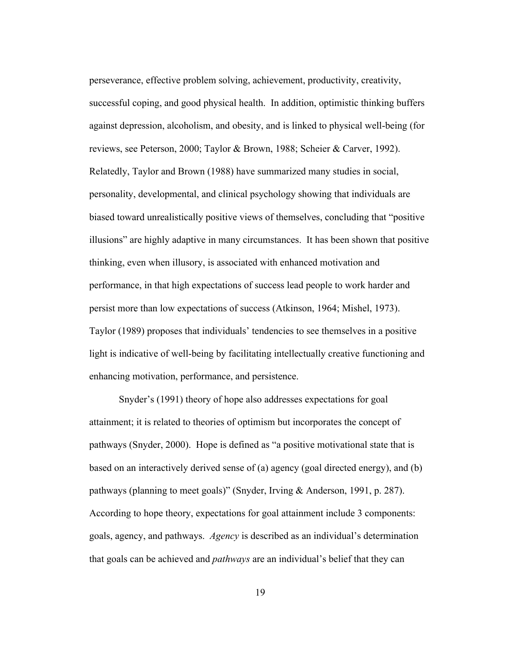perseverance, effective problem solving, achievement, productivity, creativity, successful coping, and good physical health. In addition, optimistic thinking buffers against depression, alcoholism, and obesity, and is linked to physical well-being (for reviews, see Peterson, 2000; Taylor & Brown, 1988; Scheier & Carver, 1992). Relatedly, Taylor and Brown (1988) have summarized many studies in social, personality, developmental, and clinical psychology showing that individuals are biased toward unrealistically positive views of themselves, concluding that "positive illusions" are highly adaptive in many circumstances. It has been shown that positive thinking, even when illusory, is associated with enhanced motivation and performance, in that high expectations of success lead people to work harder and persist more than low expectations of success (Atkinson, 1964; Mishel, 1973). Taylor (1989) proposes that individuals' tendencies to see themselves in a positive light is indicative of well-being by facilitating intellectually creative functioning and enhancing motivation, performance, and persistence.

Snyder's (1991) theory of hope also addresses expectations for goal attainment; it is related to theories of optimism but incorporates the concept of pathways (Snyder, 2000). Hope is defined as "a positive motivational state that is based on an interactively derived sense of (a) agency (goal directed energy), and (b) pathways (planning to meet goals)" (Snyder, Irving & Anderson, 1991, p. 287). According to hope theory, expectations for goal attainment include 3 components: goals, agency, and pathways. *Agency* is described as an individual's determination that goals can be achieved and *pathways* are an individual's belief that they can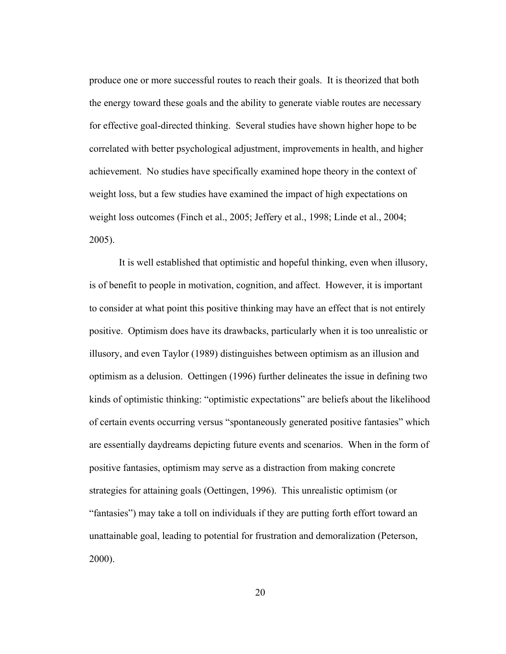produce one or more successful routes to reach their goals. It is theorized that both the energy toward these goals and the ability to generate viable routes are necessary for effective goal-directed thinking. Several studies have shown higher hope to be correlated with better psychological adjustment, improvements in health, and higher achievement. No studies have specifically examined hope theory in the context of weight loss, but a few studies have examined the impact of high expectations on weight loss outcomes (Finch et al., 2005; Jeffery et al., 1998; Linde et al., 2004; 2005).

It is well established that optimistic and hopeful thinking, even when illusory, is of benefit to people in motivation, cognition, and affect. However, it is important to consider at what point this positive thinking may have an effect that is not entirely positive. Optimism does have its drawbacks, particularly when it is too unrealistic or illusory, and even Taylor (1989) distinguishes between optimism as an illusion and optimism as a delusion. Oettingen (1996) further delineates the issue in defining two kinds of optimistic thinking: "optimistic expectations" are beliefs about the likelihood of certain events occurring versus "spontaneously generated positive fantasies" which are essentially daydreams depicting future events and scenarios. When in the form of positive fantasies, optimism may serve as a distraction from making concrete strategies for attaining goals (Oettingen, 1996). This unrealistic optimism (or "fantasies") may take a toll on individuals if they are putting forth effort toward an unattainable goal, leading to potential for frustration and demoralization (Peterson, 2000).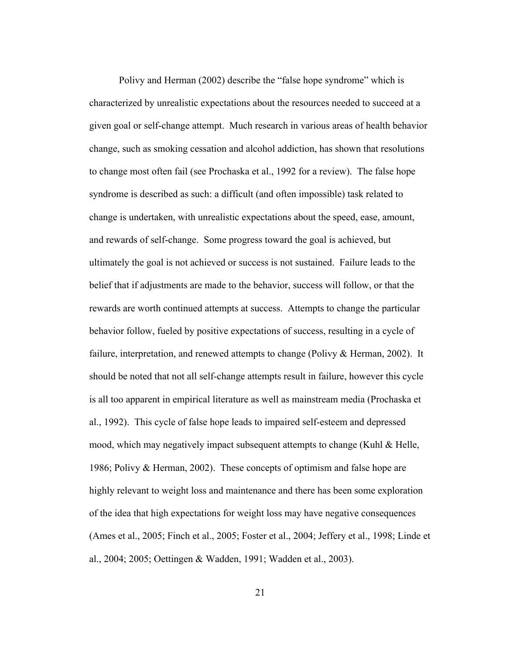Polivy and Herman (2002) describe the "false hope syndrome" which is characterized by unrealistic expectations about the resources needed to succeed at a given goal or self-change attempt. Much research in various areas of health behavior change, such as smoking cessation and alcohol addiction, has shown that resolutions to change most often fail (see Prochaska et al., 1992 for a review). The false hope syndrome is described as such: a difficult (and often impossible) task related to change is undertaken, with unrealistic expectations about the speed, ease, amount, and rewards of self-change. Some progress toward the goal is achieved, but ultimately the goal is not achieved or success is not sustained. Failure leads to the belief that if adjustments are made to the behavior, success will follow, or that the rewards are worth continued attempts at success. Attempts to change the particular behavior follow, fueled by positive expectations of success, resulting in a cycle of failure, interpretation, and renewed attempts to change (Polivy & Herman, 2002). It should be noted that not all self-change attempts result in failure, however this cycle is all too apparent in empirical literature as well as mainstream media (Prochaska et al., 1992). This cycle of false hope leads to impaired self-esteem and depressed mood, which may negatively impact subsequent attempts to change (Kuhl & Helle, 1986; Polivy & Herman, 2002). These concepts of optimism and false hope are highly relevant to weight loss and maintenance and there has been some exploration of the idea that high expectations for weight loss may have negative consequences (Ames et al., 2005; Finch et al., 2005; Foster et al., 2004; Jeffery et al., 1998; Linde et al., 2004; 2005; Oettingen & Wadden, 1991; Wadden et al., 2003).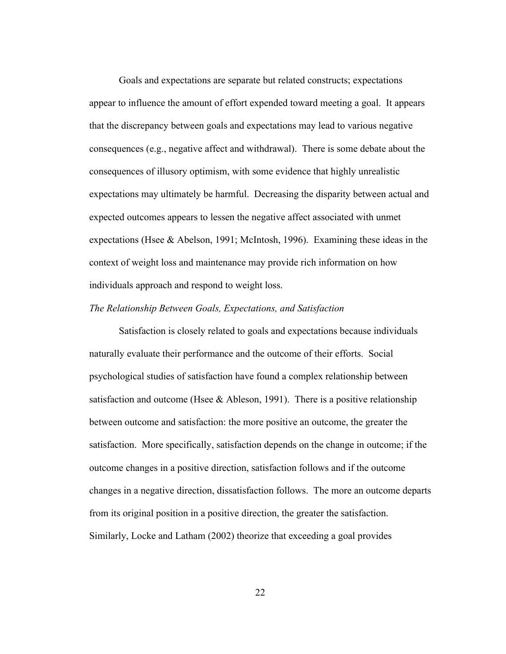Goals and expectations are separate but related constructs; expectations appear to influence the amount of effort expended toward meeting a goal. It appears that the discrepancy between goals and expectations may lead to various negative consequences (e.g., negative affect and withdrawal). There is some debate about the consequences of illusory optimism, with some evidence that highly unrealistic expectations may ultimately be harmful. Decreasing the disparity between actual and expected outcomes appears to lessen the negative affect associated with unmet expectations (Hsee & Abelson, 1991; McIntosh, 1996). Examining these ideas in the context of weight loss and maintenance may provide rich information on how individuals approach and respond to weight loss.

## *The Relationship Between Goals, Expectations, and Satisfaction*

Satisfaction is closely related to goals and expectations because individuals naturally evaluate their performance and the outcome of their efforts. Social psychological studies of satisfaction have found a complex relationship between satisfaction and outcome (Hsee  $\&$  Ableson, 1991). There is a positive relationship between outcome and satisfaction: the more positive an outcome, the greater the satisfaction. More specifically, satisfaction depends on the change in outcome; if the outcome changes in a positive direction, satisfaction follows and if the outcome changes in a negative direction, dissatisfaction follows. The more an outcome departs from its original position in a positive direction, the greater the satisfaction. Similarly, Locke and Latham (2002) theorize that exceeding a goal provides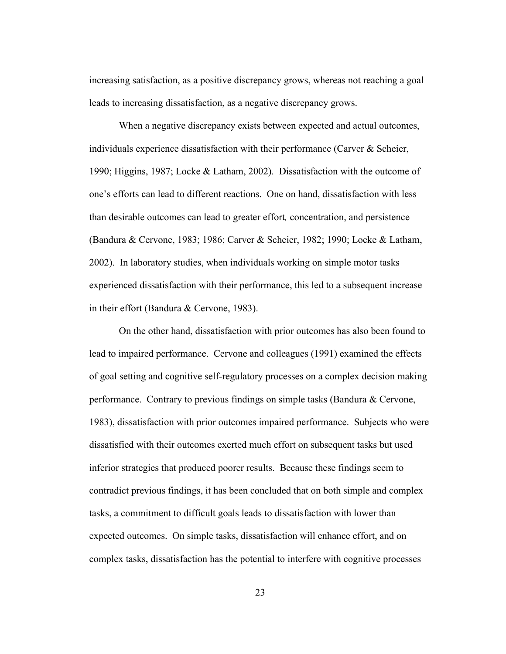increasing satisfaction, as a positive discrepancy grows, whereas not reaching a goal leads to increasing dissatisfaction, as a negative discrepancy grows.

When a negative discrepancy exists between expected and actual outcomes, individuals experience dissatisfaction with their performance (Carver  $\&$  Scheier, 1990; Higgins, 1987; Locke & Latham, 2002). Dissatisfaction with the outcome of one's efforts can lead to different reactions. One on hand, dissatisfaction with less than desirable outcomes can lead to greater effort*,* concentration, and persistence (Bandura & Cervone, 1983; 1986; Carver & Scheier, 1982; 1990; Locke & Latham, 2002). In laboratory studies, when individuals working on simple motor tasks experienced dissatisfaction with their performance, this led to a subsequent increase in their effort (Bandura & Cervone, 1983).

On the other hand, dissatisfaction with prior outcomes has also been found to lead to impaired performance. Cervone and colleagues (1991) examined the effects of goal setting and cognitive self-regulatory processes on a complex decision making performance. Contrary to previous findings on simple tasks (Bandura & Cervone, 1983), dissatisfaction with prior outcomes impaired performance. Subjects who were dissatisfied with their outcomes exerted much effort on subsequent tasks but used inferior strategies that produced poorer results. Because these findings seem to contradict previous findings, it has been concluded that on both simple and complex tasks, a commitment to difficult goals leads to dissatisfaction with lower than expected outcomes. On simple tasks, dissatisfaction will enhance effort, and on complex tasks, dissatisfaction has the potential to interfere with cognitive processes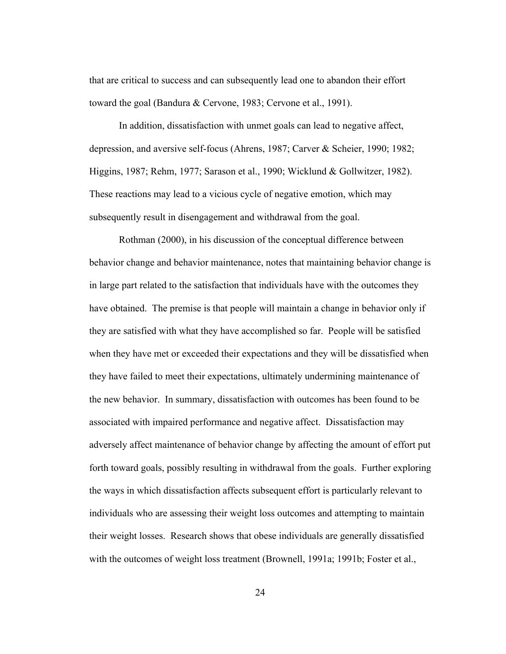that are critical to success and can subsequently lead one to abandon their effort toward the goal (Bandura & Cervone, 1983; Cervone et al., 1991).

In addition, dissatisfaction with unmet goals can lead to negative affect, depression, and aversive self-focus (Ahrens, 1987; Carver & Scheier, 1990; 1982; Higgins, 1987; Rehm, 1977; Sarason et al., 1990; Wicklund & Gollwitzer, 1982). These reactions may lead to a vicious cycle of negative emotion, which may subsequently result in disengagement and withdrawal from the goal.

Rothman (2000), in his discussion of the conceptual difference between behavior change and behavior maintenance, notes that maintaining behavior change is in large part related to the satisfaction that individuals have with the outcomes they have obtained. The premise is that people will maintain a change in behavior only if they are satisfied with what they have accomplished so far. People will be satisfied when they have met or exceeded their expectations and they will be dissatisfied when they have failed to meet their expectations, ultimately undermining maintenance of the new behavior. In summary, dissatisfaction with outcomes has been found to be associated with impaired performance and negative affect. Dissatisfaction may adversely affect maintenance of behavior change by affecting the amount of effort put forth toward goals, possibly resulting in withdrawal from the goals. Further exploring the ways in which dissatisfaction affects subsequent effort is particularly relevant to individuals who are assessing their weight loss outcomes and attempting to maintain their weight losses. Research shows that obese individuals are generally dissatisfied with the outcomes of weight loss treatment (Brownell, 1991a; 1991b; Foster et al.,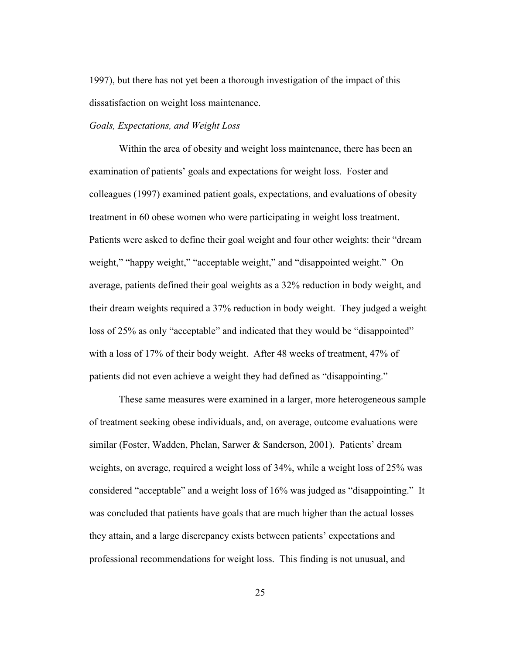1997), but there has not yet been a thorough investigation of the impact of this dissatisfaction on weight loss maintenance.

#### *Goals, Expectations, and Weight Loss*

Within the area of obesity and weight loss maintenance, there has been an examination of patients' goals and expectations for weight loss. Foster and colleagues (1997) examined patient goals, expectations, and evaluations of obesity treatment in 60 obese women who were participating in weight loss treatment. Patients were asked to define their goal weight and four other weights: their "dream weight," "happy weight," "acceptable weight," and "disappointed weight." On average, patients defined their goal weights as a 32% reduction in body weight, and their dream weights required a 37% reduction in body weight. They judged a weight loss of 25% as only "acceptable" and indicated that they would be "disappointed" with a loss of 17% of their body weight. After 48 weeks of treatment, 47% of patients did not even achieve a weight they had defined as "disappointing."

These same measures were examined in a larger, more heterogeneous sample of treatment seeking obese individuals, and, on average, outcome evaluations were similar (Foster, Wadden, Phelan, Sarwer & Sanderson, 2001). Patients' dream weights, on average, required a weight loss of 34%, while a weight loss of 25% was considered "acceptable" and a weight loss of 16% was judged as "disappointing." It was concluded that patients have goals that are much higher than the actual losses they attain, and a large discrepancy exists between patients' expectations and professional recommendations for weight loss. This finding is not unusual, and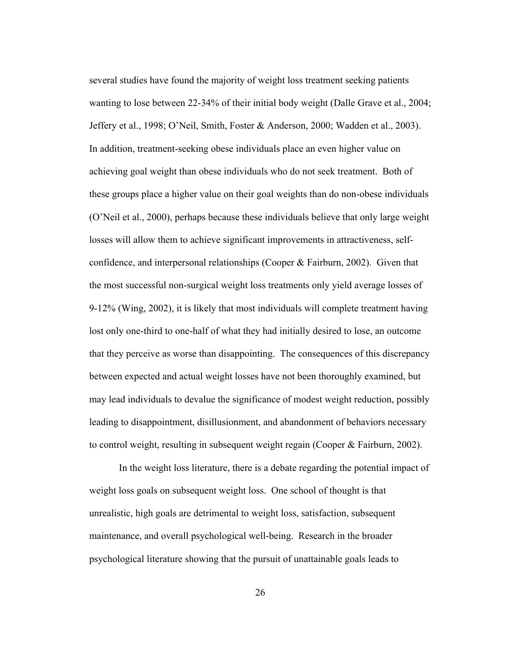several studies have found the majority of weight loss treatment seeking patients wanting to lose between 22-34% of their initial body weight (Dalle Grave et al., 2004; Jeffery et al., 1998; O'Neil, Smith, Foster & Anderson, 2000; Wadden et al., 2003). In addition, treatment-seeking obese individuals place an even higher value on achieving goal weight than obese individuals who do not seek treatment. Both of these groups place a higher value on their goal weights than do non-obese individuals (O'Neil et al., 2000), perhaps because these individuals believe that only large weight losses will allow them to achieve significant improvements in attractiveness, selfconfidence, and interpersonal relationships (Cooper & Fairburn, 2002). Given that the most successful non-surgical weight loss treatments only yield average losses of 9-12% (Wing, 2002), it is likely that most individuals will complete treatment having lost only one-third to one-half of what they had initially desired to lose, an outcome that they perceive as worse than disappointing. The consequences of this discrepancy between expected and actual weight losses have not been thoroughly examined, but may lead individuals to devalue the significance of modest weight reduction, possibly leading to disappointment, disillusionment, and abandonment of behaviors necessary to control weight, resulting in subsequent weight regain (Cooper & Fairburn, 2002).

In the weight loss literature, there is a debate regarding the potential impact of weight loss goals on subsequent weight loss. One school of thought is that unrealistic, high goals are detrimental to weight loss, satisfaction, subsequent maintenance, and overall psychological well-being. Research in the broader psychological literature showing that the pursuit of unattainable goals leads to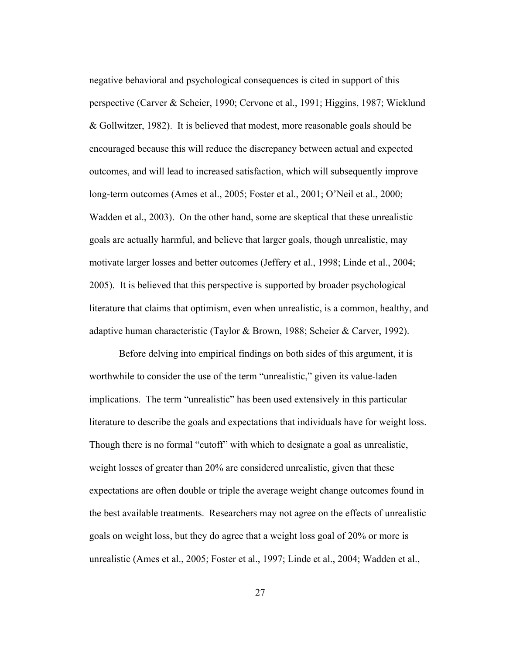negative behavioral and psychological consequences is cited in support of this perspective (Carver & Scheier, 1990; Cervone et al., 1991; Higgins, 1987; Wicklund & Gollwitzer, 1982). It is believed that modest, more reasonable goals should be encouraged because this will reduce the discrepancy between actual and expected outcomes, and will lead to increased satisfaction, which will subsequently improve long-term outcomes (Ames et al., 2005; Foster et al., 2001; O'Neil et al., 2000; Wadden et al., 2003). On the other hand, some are skeptical that these unrealistic goals are actually harmful, and believe that larger goals, though unrealistic, may motivate larger losses and better outcomes (Jeffery et al., 1998; Linde et al., 2004; 2005). It is believed that this perspective is supported by broader psychological literature that claims that optimism, even when unrealistic, is a common, healthy, and adaptive human characteristic (Taylor & Brown, 1988; Scheier & Carver, 1992).

Before delving into empirical findings on both sides of this argument, it is worthwhile to consider the use of the term "unrealistic," given its value-laden implications. The term "unrealistic" has been used extensively in this particular literature to describe the goals and expectations that individuals have for weight loss. Though there is no formal "cutoff" with which to designate a goal as unrealistic, weight losses of greater than 20% are considered unrealistic, given that these expectations are often double or triple the average weight change outcomes found in the best available treatments. Researchers may not agree on the effects of unrealistic goals on weight loss, but they do agree that a weight loss goal of 20% or more is unrealistic (Ames et al., 2005; Foster et al., 1997; Linde et al., 2004; Wadden et al.,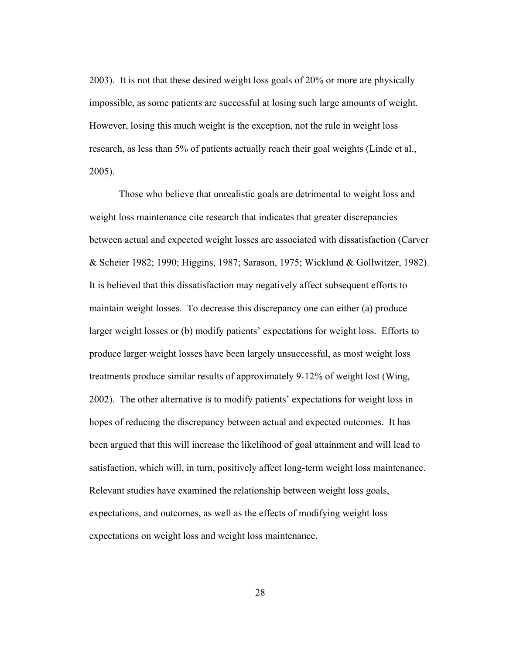2003). It is not that these desired weight loss goals of 20% or more are physically impossible, as some patients are successful at losing such large amounts of weight. However, losing this much weight is the exception, not the rule in weight loss research, as less than 5% of patients actually reach their goal weights (Linde et al., 2005).

Those who believe that unrealistic goals are detrimental to weight loss and weight loss maintenance cite research that indicates that greater discrepancies between actual and expected weight losses are associated with dissatisfaction (Carver & Scheier 1982; 1990; Higgins, 1987; Sarason, 1975; Wicklund & Gollwitzer, 1982). It is believed that this dissatisfaction may negatively affect subsequent efforts to maintain weight losses. To decrease this discrepancy one can either (a) produce larger weight losses or (b) modify patients' expectations for weight loss. Efforts to produce larger weight losses have been largely unsuccessful, as most weight loss treatments produce similar results of approximately 9-12% of weight lost (Wing, 2002). The other alternative is to modify patients' expectations for weight loss in hopes of reducing the discrepancy between actual and expected outcomes. It has been argued that this will increase the likelihood of goal attainment and will lead to satisfaction, which will, in turn, positively affect long-term weight loss maintenance. Relevant studies have examined the relationship between weight loss goals, expectations, and outcomes, as well as the effects of modifying weight loss expectations on weight loss and weight loss maintenance.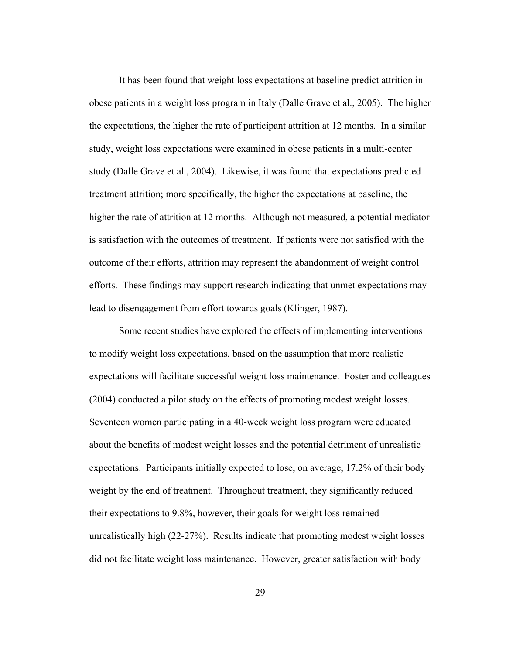It has been found that weight loss expectations at baseline predict attrition in obese patients in a weight loss program in Italy (Dalle Grave et al., 2005). The higher the expectations, the higher the rate of participant attrition at 12 months. In a similar study, weight loss expectations were examined in obese patients in a multi-center study (Dalle Grave et al., 2004). Likewise, it was found that expectations predicted treatment attrition; more specifically, the higher the expectations at baseline, the higher the rate of attrition at 12 months. Although not measured, a potential mediator is satisfaction with the outcomes of treatment. If patients were not satisfied with the outcome of their efforts, attrition may represent the abandonment of weight control efforts. These findings may support research indicating that unmet expectations may lead to disengagement from effort towards goals (Klinger, 1987).

Some recent studies have explored the effects of implementing interventions to modify weight loss expectations, based on the assumption that more realistic expectations will facilitate successful weight loss maintenance. Foster and colleagues (2004) conducted a pilot study on the effects of promoting modest weight losses. Seventeen women participating in a 40-week weight loss program were educated about the benefits of modest weight losses and the potential detriment of unrealistic expectations. Participants initially expected to lose, on average, 17.2% of their body weight by the end of treatment. Throughout treatment, they significantly reduced their expectations to 9.8%, however, their goals for weight loss remained unrealistically high (22-27%). Results indicate that promoting modest weight losses did not facilitate weight loss maintenance. However, greater satisfaction with body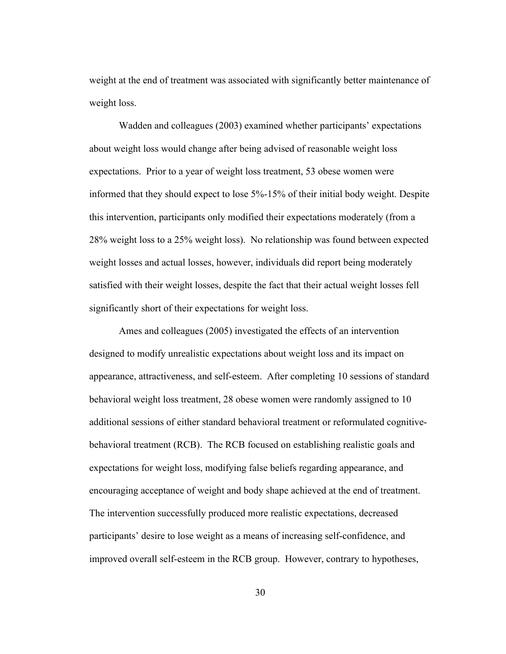weight at the end of treatment was associated with significantly better maintenance of weight loss.

Wadden and colleagues (2003) examined whether participants' expectations about weight loss would change after being advised of reasonable weight loss expectations. Prior to a year of weight loss treatment, 53 obese women were informed that they should expect to lose 5%-15% of their initial body weight. Despite this intervention, participants only modified their expectations moderately (from a 28% weight loss to a 25% weight loss). No relationship was found between expected weight losses and actual losses, however, individuals did report being moderately satisfied with their weight losses, despite the fact that their actual weight losses fell significantly short of their expectations for weight loss.

Ames and colleagues (2005) investigated the effects of an intervention designed to modify unrealistic expectations about weight loss and its impact on appearance, attractiveness, and self-esteem. After completing 10 sessions of standard behavioral weight loss treatment, 28 obese women were randomly assigned to 10 additional sessions of either standard behavioral treatment or reformulated cognitivebehavioral treatment (RCB). The RCB focused on establishing realistic goals and expectations for weight loss, modifying false beliefs regarding appearance, and encouraging acceptance of weight and body shape achieved at the end of treatment. The intervention successfully produced more realistic expectations, decreased participants' desire to lose weight as a means of increasing self-confidence, and improved overall self-esteem in the RCB group. However, contrary to hypotheses,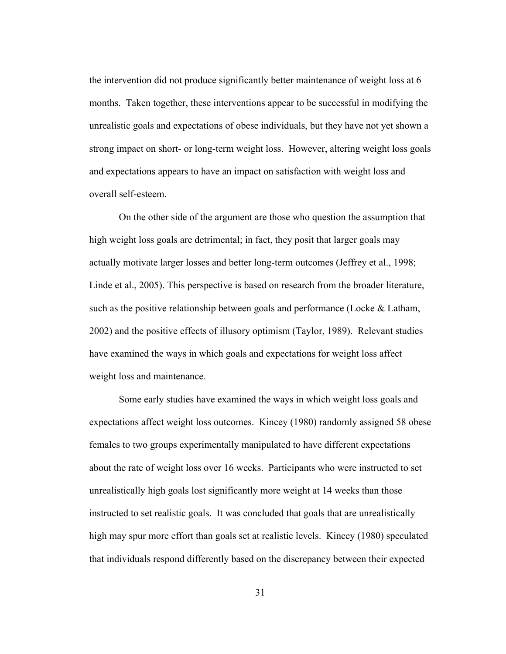the intervention did not produce significantly better maintenance of weight loss at 6 months. Taken together, these interventions appear to be successful in modifying the unrealistic goals and expectations of obese individuals, but they have not yet shown a strong impact on short- or long-term weight loss. However, altering weight loss goals and expectations appears to have an impact on satisfaction with weight loss and overall self-esteem.

On the other side of the argument are those who question the assumption that high weight loss goals are detrimental; in fact, they posit that larger goals may actually motivate larger losses and better long-term outcomes (Jeffrey et al., 1998; Linde et al., 2005). This perspective is based on research from the broader literature, such as the positive relationship between goals and performance (Locke & Latham, 2002) and the positive effects of illusory optimism (Taylor, 1989). Relevant studies have examined the ways in which goals and expectations for weight loss affect weight loss and maintenance.

Some early studies have examined the ways in which weight loss goals and expectations affect weight loss outcomes. Kincey (1980) randomly assigned 58 obese females to two groups experimentally manipulated to have different expectations about the rate of weight loss over 16 weeks. Participants who were instructed to set unrealistically high goals lost significantly more weight at 14 weeks than those instructed to set realistic goals. It was concluded that goals that are unrealistically high may spur more effort than goals set at realistic levels. Kincey (1980) speculated that individuals respond differently based on the discrepancy between their expected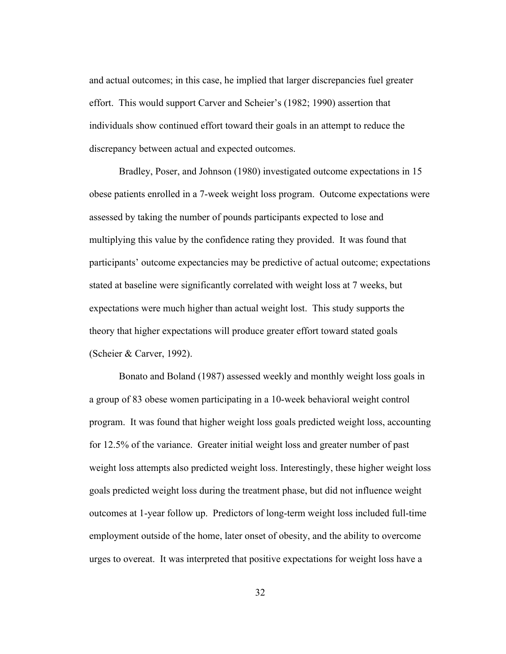and actual outcomes; in this case, he implied that larger discrepancies fuel greater effort. This would support Carver and Scheier's (1982; 1990) assertion that individuals show continued effort toward their goals in an attempt to reduce the discrepancy between actual and expected outcomes.

Bradley, Poser, and Johnson (1980) investigated outcome expectations in 15 obese patients enrolled in a 7-week weight loss program. Outcome expectations were assessed by taking the number of pounds participants expected to lose and multiplying this value by the confidence rating they provided. It was found that participants' outcome expectancies may be predictive of actual outcome; expectations stated at baseline were significantly correlated with weight loss at 7 weeks, but expectations were much higher than actual weight lost. This study supports the theory that higher expectations will produce greater effort toward stated goals (Scheier & Carver, 1992).

Bonato and Boland (1987) assessed weekly and monthly weight loss goals in a group of 83 obese women participating in a 10-week behavioral weight control program. It was found that higher weight loss goals predicted weight loss, accounting for 12.5% of the variance. Greater initial weight loss and greater number of past weight loss attempts also predicted weight loss. Interestingly, these higher weight loss goals predicted weight loss during the treatment phase, but did not influence weight outcomes at 1-year follow up. Predictors of long-term weight loss included full-time employment outside of the home, later onset of obesity, and the ability to overcome urges to overeat. It was interpreted that positive expectations for weight loss have a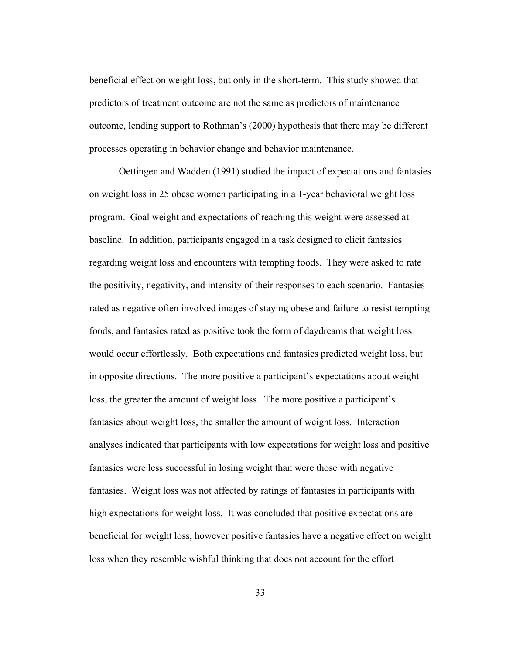beneficial effect on weight loss, but only in the short-term. This study showed that predictors of treatment outcome are not the same as predictors of maintenance outcome, lending support to Rothman's (2000) hypothesis that there may be different processes operating in behavior change and behavior maintenance.

Oettingen and Wadden (1991) studied the impact of expectations and fantasies on weight loss in 25 obese women participating in a 1-year behavioral weight loss program. Goal weight and expectations of reaching this weight were assessed at baseline. In addition, participants engaged in a task designed to elicit fantasies regarding weight loss and encounters with tempting foods. They were asked to rate the positivity, negativity, and intensity of their responses to each scenario. Fantasies rated as negative often involved images of staying obese and failure to resist tempting foods, and fantasies rated as positive took the form of daydreams that weight loss would occur effortlessly. Both expectations and fantasies predicted weight loss, but in opposite directions. The more positive a participant's expectations about weight loss, the greater the amount of weight loss. The more positive a participant's fantasies about weight loss, the smaller the amount of weight loss. Interaction analyses indicated that participants with low expectations for weight loss and positive fantasies were less successful in losing weight than were those with negative fantasies. Weight loss was not affected by ratings of fantasies in participants with high expectations for weight loss. It was concluded that positive expectations are beneficial for weight loss, however positive fantasies have a negative effect on weight loss when they resemble wishful thinking that does not account for the effort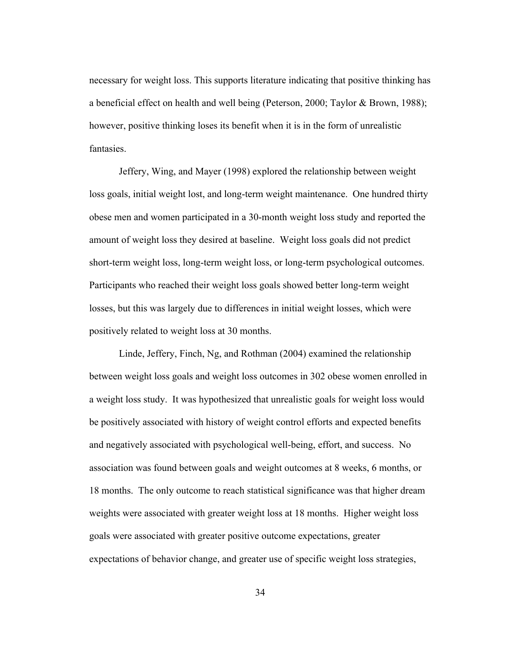necessary for weight loss. This supports literature indicating that positive thinking has a beneficial effect on health and well being (Peterson, 2000; Taylor & Brown, 1988); however, positive thinking loses its benefit when it is in the form of unrealistic fantasies.

Jeffery, Wing, and Mayer (1998) explored the relationship between weight loss goals, initial weight lost, and long-term weight maintenance. One hundred thirty obese men and women participated in a 30-month weight loss study and reported the amount of weight loss they desired at baseline. Weight loss goals did not predict short-term weight loss, long-term weight loss, or long-term psychological outcomes. Participants who reached their weight loss goals showed better long-term weight losses, but this was largely due to differences in initial weight losses, which were positively related to weight loss at 30 months.

Linde, Jeffery, Finch, Ng, and Rothman (2004) examined the relationship between weight loss goals and weight loss outcomes in 302 obese women enrolled in a weight loss study. It was hypothesized that unrealistic goals for weight loss would be positively associated with history of weight control efforts and expected benefits and negatively associated with psychological well-being, effort, and success. No association was found between goals and weight outcomes at 8 weeks, 6 months, or 18 months. The only outcome to reach statistical significance was that higher dream weights were associated with greater weight loss at 18 months. Higher weight loss goals were associated with greater positive outcome expectations, greater expectations of behavior change, and greater use of specific weight loss strategies,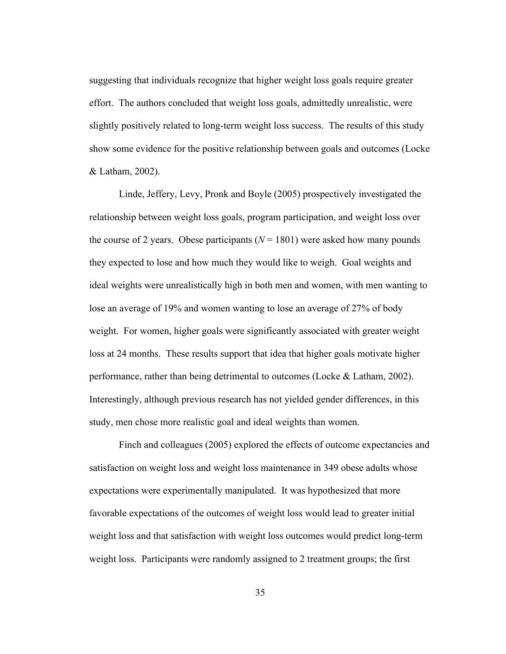suggesting that individuals recognize that higher weight loss goals require greater effort. The authors concluded that weight loss goals, admittedly unrealistic, were slightly positively related to long-term weight loss success. The results of this study show some evidence for the positive relationship between goals and outcomes (Locke & Latham, 2002).

Linde, Jeffery, Levy, Pronk and Boyle (2005) prospectively investigated the relationship between weight loss goals, program participation, and weight loss over the course of 2 years. Obese participants  $(N = 1801)$  were asked how many pounds they expected to lose and how much they would like to weigh. Goal weights and ideal weights were unrealistically high in both men and women, with men wanting to lose an average of 19% and women wanting to lose an average of 27% of body weight. For women, higher goals were significantly associated with greater weight loss at 24 months. These results support that idea that higher goals motivate higher performance, rather than being detrimental to outcomes (Locke & Latham, 2002). Interestingly, although previous research has not yielded gender differences, in this study, men chose more realistic goal and ideal weights than women.

Finch and colleagues (2005) explored the effects of outcome expectancies and satisfaction on weight loss and weight loss maintenance in 349 obese adults whose expectations were experimentally manipulated. It was hypothesized that more favorable expectations of the outcomes of weight loss would lead to greater initial weight loss and that satisfaction with weight loss outcomes would predict long-term weight loss. Participants were randomly assigned to 2 treatment groups; the first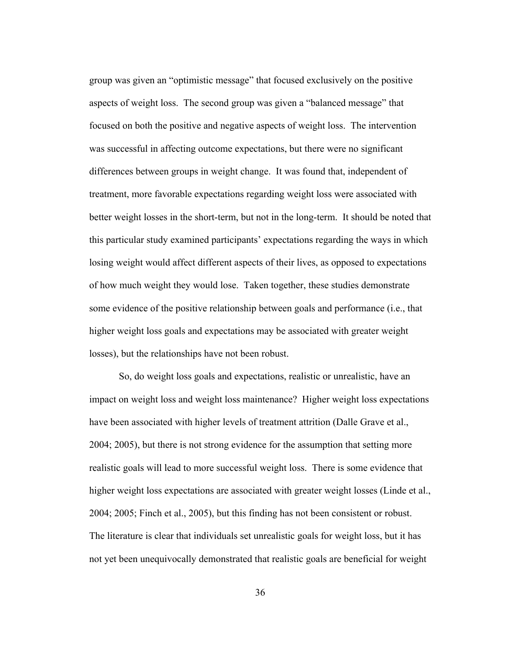group was given an "optimistic message" that focused exclusively on the positive aspects of weight loss. The second group was given a "balanced message" that focused on both the positive and negative aspects of weight loss. The intervention was successful in affecting outcome expectations, but there were no significant differences between groups in weight change. It was found that, independent of treatment, more favorable expectations regarding weight loss were associated with better weight losses in the short-term, but not in the long-term. It should be noted that this particular study examined participants' expectations regarding the ways in which losing weight would affect different aspects of their lives, as opposed to expectations of how much weight they would lose. Taken together, these studies demonstrate some evidence of the positive relationship between goals and performance (i.e., that higher weight loss goals and expectations may be associated with greater weight losses), but the relationships have not been robust.

So, do weight loss goals and expectations, realistic or unrealistic, have an impact on weight loss and weight loss maintenance? Higher weight loss expectations have been associated with higher levels of treatment attrition (Dalle Grave et al., 2004; 2005), but there is not strong evidence for the assumption that setting more realistic goals will lead to more successful weight loss. There is some evidence that higher weight loss expectations are associated with greater weight losses (Linde et al., 2004; 2005; Finch et al., 2005), but this finding has not been consistent or robust. The literature is clear that individuals set unrealistic goals for weight loss, but it has not yet been unequivocally demonstrated that realistic goals are beneficial for weight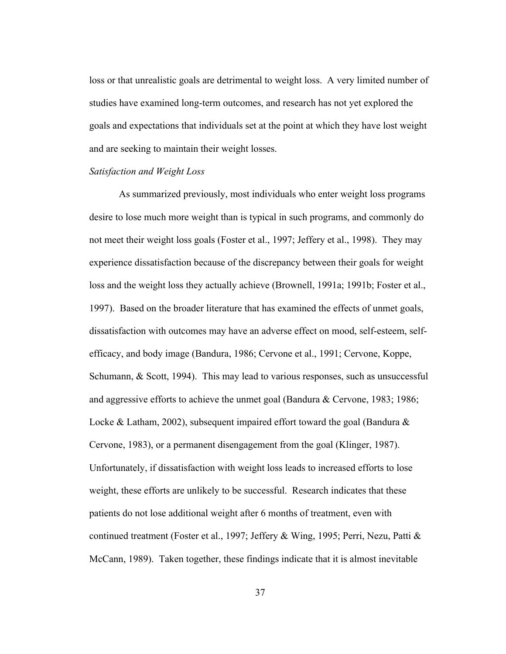loss or that unrealistic goals are detrimental to weight loss. A very limited number of studies have examined long-term outcomes, and research has not yet explored the goals and expectations that individuals set at the point at which they have lost weight and are seeking to maintain their weight losses.

# *Satisfaction and Weight Loss*

As summarized previously, most individuals who enter weight loss programs desire to lose much more weight than is typical in such programs, and commonly do not meet their weight loss goals (Foster et al., 1997; Jeffery et al., 1998). They may experience dissatisfaction because of the discrepancy between their goals for weight loss and the weight loss they actually achieve (Brownell, 1991a; 1991b; Foster et al., 1997). Based on the broader literature that has examined the effects of unmet goals, dissatisfaction with outcomes may have an adverse effect on mood, self-esteem, selfefficacy, and body image (Bandura, 1986; Cervone et al., 1991; Cervone, Koppe, Schumann, & Scott, 1994). This may lead to various responses, such as unsuccessful and aggressive efforts to achieve the unmet goal (Bandura & Cervone, 1983; 1986; Locke & Latham, 2002), subsequent impaired effort toward the goal (Bandura  $\&$ Cervone, 1983), or a permanent disengagement from the goal (Klinger, 1987). Unfortunately, if dissatisfaction with weight loss leads to increased efforts to lose weight, these efforts are unlikely to be successful. Research indicates that these patients do not lose additional weight after 6 months of treatment, even with continued treatment (Foster et al., 1997; Jeffery & Wing, 1995; Perri, Nezu, Patti & McCann, 1989). Taken together, these findings indicate that it is almost inevitable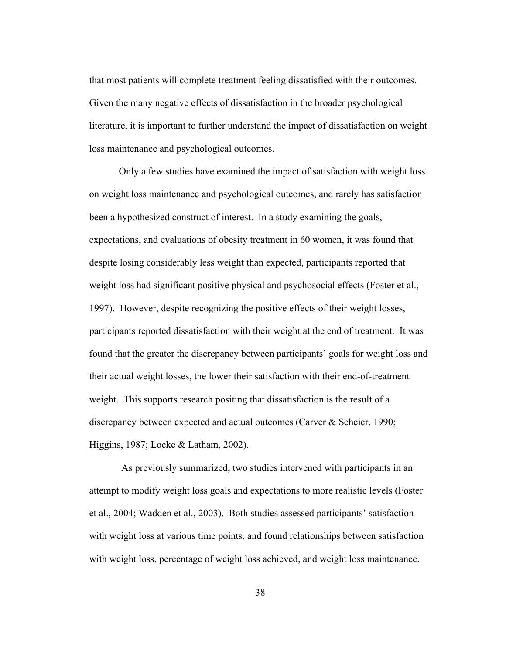that most patients will complete treatment feeling dissatisfied with their outcomes. Given the many negative effects of dissatisfaction in the broader psychological literature, it is important to further understand the impact of dissatisfaction on weight loss maintenance and psychological outcomes.

Only a few studies have examined the impact of satisfaction with weight loss on weight loss maintenance and psychological outcomes, and rarely has satisfaction been a hypothesized construct of interest. In a study examining the goals, expectations, and evaluations of obesity treatment in 60 women, it was found that despite losing considerably less weight than expected, participants reported that weight loss had significant positive physical and psychosocial effects (Foster et al., 1997). However, despite recognizing the positive effects of their weight losses, participants reported dissatisfaction with their weight at the end of treatment. It was found that the greater the discrepancy between participants' goals for weight loss and their actual weight losses, the lower their satisfaction with their end-of-treatment weight. This supports research positing that dissatisfaction is the result of a discrepancy between expected and actual outcomes (Carver & Scheier, 1990; Higgins, 1987; Locke & Latham, 2002).

 As previously summarized, two studies intervened with participants in an attempt to modify weight loss goals and expectations to more realistic levels (Foster et al., 2004; Wadden et al., 2003). Both studies assessed participants' satisfaction with weight loss at various time points, and found relationships between satisfaction with weight loss, percentage of weight loss achieved, and weight loss maintenance.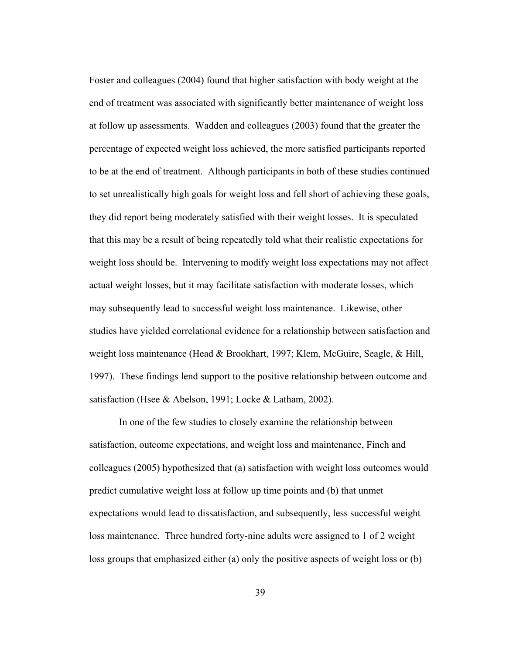Foster and colleagues (2004) found that higher satisfaction with body weight at the end of treatment was associated with significantly better maintenance of weight loss at follow up assessments. Wadden and colleagues (2003) found that the greater the percentage of expected weight loss achieved, the more satisfied participants reported to be at the end of treatment. Although participants in both of these studies continued to set unrealistically high goals for weight loss and fell short of achieving these goals, they did report being moderately satisfied with their weight losses. It is speculated that this may be a result of being repeatedly told what their realistic expectations for weight loss should be. Intervening to modify weight loss expectations may not affect actual weight losses, but it may facilitate satisfaction with moderate losses, which may subsequently lead to successful weight loss maintenance. Likewise, other studies have yielded correlational evidence for a relationship between satisfaction and weight loss maintenance (Head & Brookhart, 1997; Klem, McGuire, Seagle, & Hill, 1997). These findings lend support to the positive relationship between outcome and satisfaction (Hsee & Abelson, 1991; Locke & Latham, 2002).

In one of the few studies to closely examine the relationship between satisfaction, outcome expectations, and weight loss and maintenance, Finch and colleagues (2005) hypothesized that (a) satisfaction with weight loss outcomes would predict cumulative weight loss at follow up time points and (b) that unmet expectations would lead to dissatisfaction, and subsequently, less successful weight loss maintenance. Three hundred forty-nine adults were assigned to 1 of 2 weight loss groups that emphasized either (a) only the positive aspects of weight loss or (b)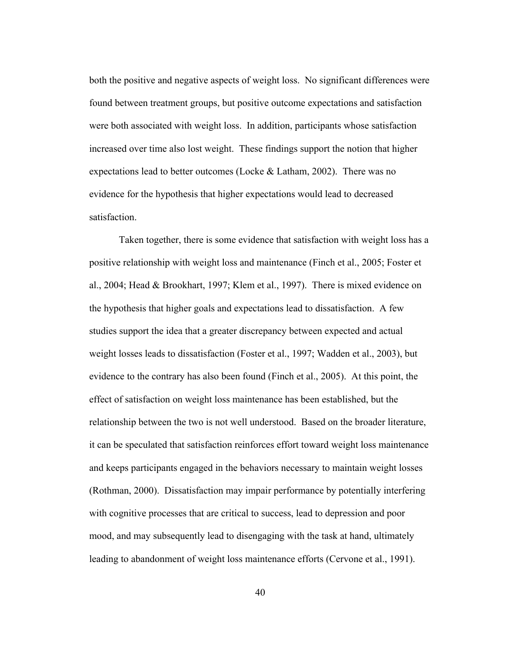both the positive and negative aspects of weight loss. No significant differences were found between treatment groups, but positive outcome expectations and satisfaction were both associated with weight loss. In addition, participants whose satisfaction increased over time also lost weight. These findings support the notion that higher expectations lead to better outcomes (Locke & Latham, 2002). There was no evidence for the hypothesis that higher expectations would lead to decreased satisfaction.

Taken together, there is some evidence that satisfaction with weight loss has a positive relationship with weight loss and maintenance (Finch et al., 2005; Foster et al., 2004; Head & Brookhart, 1997; Klem et al., 1997). There is mixed evidence on the hypothesis that higher goals and expectations lead to dissatisfaction. A few studies support the idea that a greater discrepancy between expected and actual weight losses leads to dissatisfaction (Foster et al., 1997; Wadden et al., 2003), but evidence to the contrary has also been found (Finch et al., 2005). At this point, the effect of satisfaction on weight loss maintenance has been established, but the relationship between the two is not well understood. Based on the broader literature, it can be speculated that satisfaction reinforces effort toward weight loss maintenance and keeps participants engaged in the behaviors necessary to maintain weight losses (Rothman, 2000). Dissatisfaction may impair performance by potentially interfering with cognitive processes that are critical to success, lead to depression and poor mood, and may subsequently lead to disengaging with the task at hand, ultimately leading to abandonment of weight loss maintenance efforts (Cervone et al., 1991).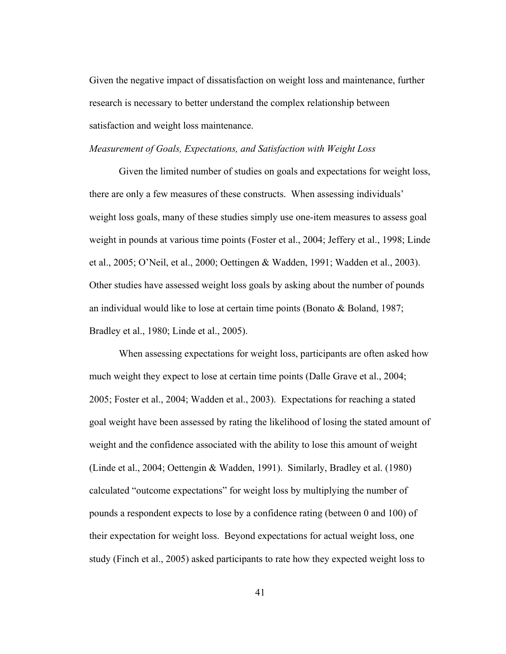Given the negative impact of dissatisfaction on weight loss and maintenance, further research is necessary to better understand the complex relationship between satisfaction and weight loss maintenance.

### *Measurement of Goals, Expectations, and Satisfaction with Weight Loss*

Given the limited number of studies on goals and expectations for weight loss, there are only a few measures of these constructs. When assessing individuals' weight loss goals, many of these studies simply use one-item measures to assess goal weight in pounds at various time points (Foster et al., 2004; Jeffery et al., 1998; Linde et al., 2005; O'Neil, et al., 2000; Oettingen & Wadden, 1991; Wadden et al., 2003). Other studies have assessed weight loss goals by asking about the number of pounds an individual would like to lose at certain time points (Bonato & Boland, 1987; Bradley et al., 1980; Linde et al., 2005).

When assessing expectations for weight loss, participants are often asked how much weight they expect to lose at certain time points (Dalle Grave et al., 2004; 2005; Foster et al., 2004; Wadden et al., 2003). Expectations for reaching a stated goal weight have been assessed by rating the likelihood of losing the stated amount of weight and the confidence associated with the ability to lose this amount of weight (Linde et al., 2004; Oettengin & Wadden, 1991). Similarly, Bradley et al. (1980) calculated "outcome expectations" for weight loss by multiplying the number of pounds a respondent expects to lose by a confidence rating (between 0 and 100) of their expectation for weight loss. Beyond expectations for actual weight loss, one study (Finch et al., 2005) asked participants to rate how they expected weight loss to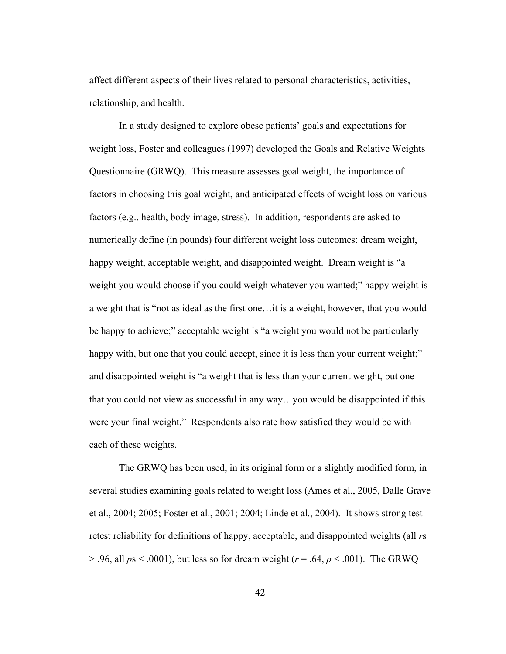affect different aspects of their lives related to personal characteristics, activities, relationship, and health.

In a study designed to explore obese patients' goals and expectations for weight loss, Foster and colleagues (1997) developed the Goals and Relative Weights Questionnaire (GRWQ). This measure assesses goal weight, the importance of factors in choosing this goal weight, and anticipated effects of weight loss on various factors (e.g., health, body image, stress). In addition, respondents are asked to numerically define (in pounds) four different weight loss outcomes: dream weight, happy weight, acceptable weight, and disappointed weight. Dream weight is "a weight you would choose if you could weigh whatever you wanted;" happy weight is a weight that is "not as ideal as the first one…it is a weight, however, that you would be happy to achieve;" acceptable weight is "a weight you would not be particularly happy with, but one that you could accept, since it is less than your current weight;" and disappointed weight is "a weight that is less than your current weight, but one that you could not view as successful in any way…you would be disappointed if this were your final weight." Respondents also rate how satisfied they would be with each of these weights.

The GRWQ has been used, in its original form or a slightly modified form, in several studies examining goals related to weight loss (Ames et al., 2005, Dalle Grave et al., 2004; 2005; Foster et al., 2001; 2004; Linde et al., 2004). It shows strong testretest reliability for definitions of happy, acceptable, and disappointed weights (all *r*s > .96, all *p*s < .0001), but less so for dream weight (*r* = .64, *p* < .001). The GRWQ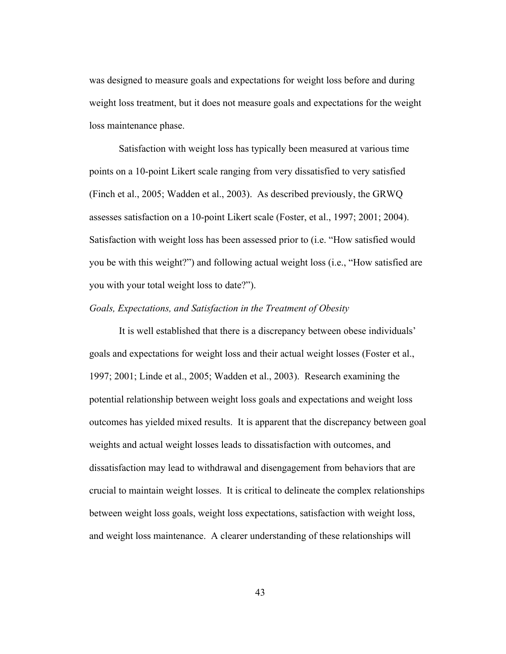was designed to measure goals and expectations for weight loss before and during weight loss treatment, but it does not measure goals and expectations for the weight loss maintenance phase.

Satisfaction with weight loss has typically been measured at various time points on a 10-point Likert scale ranging from very dissatisfied to very satisfied (Finch et al., 2005; Wadden et al., 2003). As described previously, the GRWQ assesses satisfaction on a 10-point Likert scale (Foster, et al., 1997; 2001; 2004). Satisfaction with weight loss has been assessed prior to (i.e. "How satisfied would you be with this weight?") and following actual weight loss (i.e., "How satisfied are you with your total weight loss to date?").

# *Goals, Expectations, and Satisfaction in the Treatment of Obesity*

It is well established that there is a discrepancy between obese individuals' goals and expectations for weight loss and their actual weight losses (Foster et al., 1997; 2001; Linde et al., 2005; Wadden et al., 2003). Research examining the potential relationship between weight loss goals and expectations and weight loss outcomes has yielded mixed results. It is apparent that the discrepancy between goal weights and actual weight losses leads to dissatisfaction with outcomes, and dissatisfaction may lead to withdrawal and disengagement from behaviors that are crucial to maintain weight losses. It is critical to delineate the complex relationships between weight loss goals, weight loss expectations, satisfaction with weight loss, and weight loss maintenance. A clearer understanding of these relationships will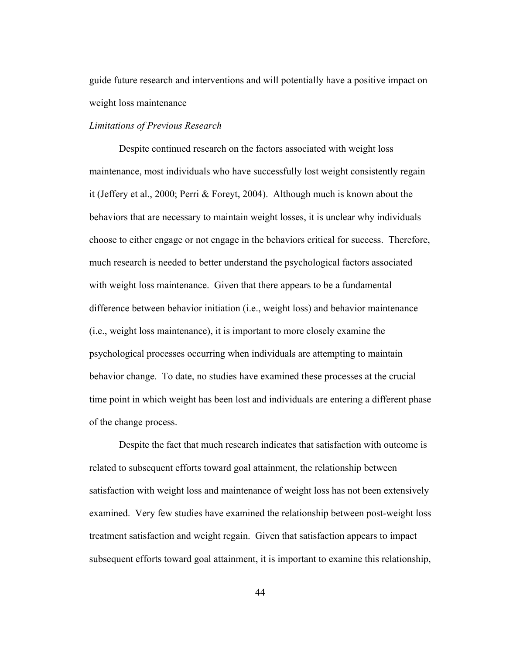guide future research and interventions and will potentially have a positive impact on weight loss maintenance

### *Limitations of Previous Research*

Despite continued research on the factors associated with weight loss maintenance, most individuals who have successfully lost weight consistently regain it (Jeffery et al., 2000; Perri & Foreyt, 2004). Although much is known about the behaviors that are necessary to maintain weight losses, it is unclear why individuals choose to either engage or not engage in the behaviors critical for success. Therefore, much research is needed to better understand the psychological factors associated with weight loss maintenance. Given that there appears to be a fundamental difference between behavior initiation (i.e., weight loss) and behavior maintenance (i.e., weight loss maintenance), it is important to more closely examine the psychological processes occurring when individuals are attempting to maintain behavior change. To date, no studies have examined these processes at the crucial time point in which weight has been lost and individuals are entering a different phase of the change process.

Despite the fact that much research indicates that satisfaction with outcome is related to subsequent efforts toward goal attainment, the relationship between satisfaction with weight loss and maintenance of weight loss has not been extensively examined. Very few studies have examined the relationship between post-weight loss treatment satisfaction and weight regain. Given that satisfaction appears to impact subsequent efforts toward goal attainment, it is important to examine this relationship,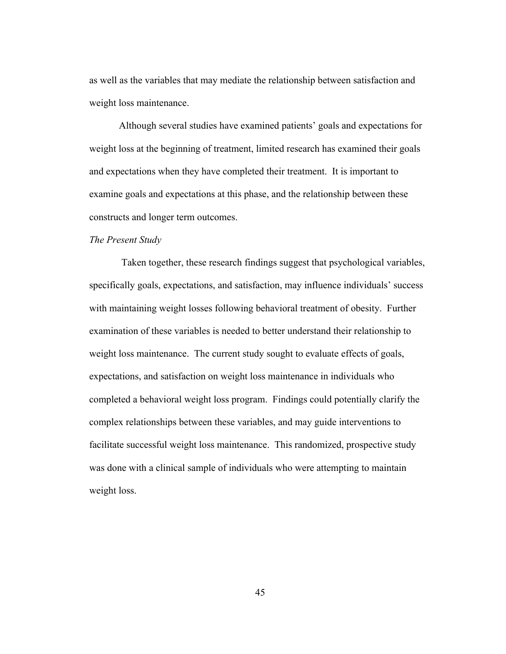as well as the variables that may mediate the relationship between satisfaction and weight loss maintenance.

Although several studies have examined patients' goals and expectations for weight loss at the beginning of treatment, limited research has examined their goals and expectations when they have completed their treatment. It is important to examine goals and expectations at this phase, and the relationship between these constructs and longer term outcomes.

#### *The Present Study*

 Taken together, these research findings suggest that psychological variables, specifically goals, expectations, and satisfaction, may influence individuals' success with maintaining weight losses following behavioral treatment of obesity. Further examination of these variables is needed to better understand their relationship to weight loss maintenance. The current study sought to evaluate effects of goals, expectations, and satisfaction on weight loss maintenance in individuals who completed a behavioral weight loss program. Findings could potentially clarify the complex relationships between these variables, and may guide interventions to facilitate successful weight loss maintenance. This randomized, prospective study was done with a clinical sample of individuals who were attempting to maintain weight loss.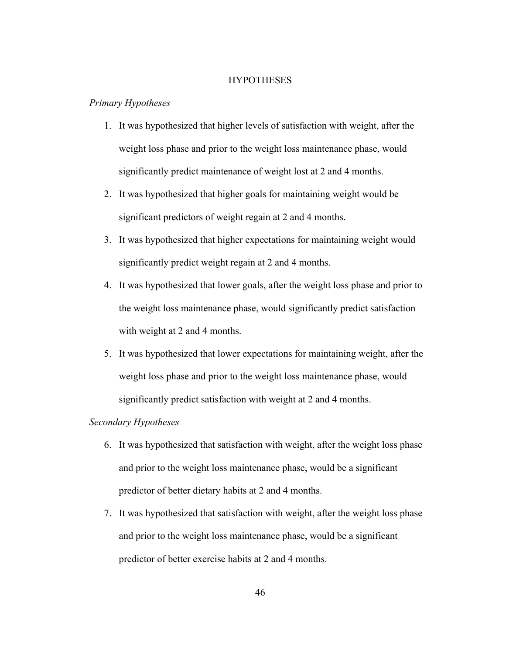### **HYPOTHESES**

## *Primary Hypotheses*

- 1. It was hypothesized that higher levels of satisfaction with weight, after the weight loss phase and prior to the weight loss maintenance phase, would significantly predict maintenance of weight lost at 2 and 4 months.
- 2. It was hypothesized that higher goals for maintaining weight would be significant predictors of weight regain at 2 and 4 months.
- 3. It was hypothesized that higher expectations for maintaining weight would significantly predict weight regain at 2 and 4 months.
- 4. It was hypothesized that lower goals, after the weight loss phase and prior to the weight loss maintenance phase, would significantly predict satisfaction with weight at 2 and 4 months.
- 5. It was hypothesized that lower expectations for maintaining weight, after the weight loss phase and prior to the weight loss maintenance phase, would significantly predict satisfaction with weight at 2 and 4 months.

# *Secondary Hypotheses*

- 6. It was hypothesized that satisfaction with weight, after the weight loss phase and prior to the weight loss maintenance phase, would be a significant predictor of better dietary habits at 2 and 4 months.
- 7. It was hypothesized that satisfaction with weight, after the weight loss phase and prior to the weight loss maintenance phase, would be a significant predictor of better exercise habits at 2 and 4 months.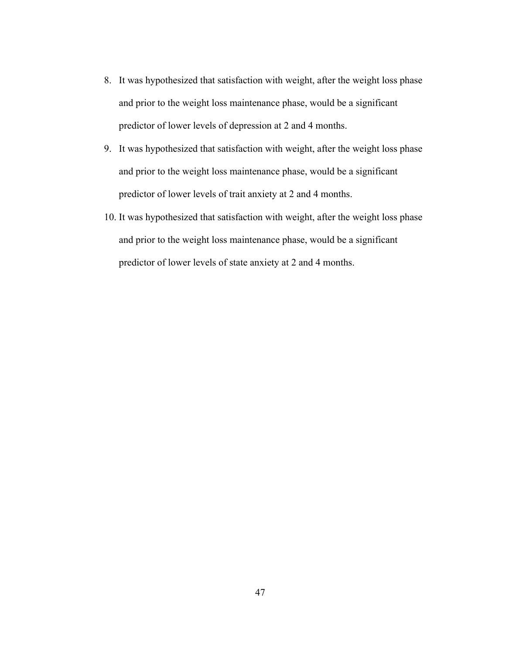- 8. It was hypothesized that satisfaction with weight, after the weight loss phase and prior to the weight loss maintenance phase, would be a significant predictor of lower levels of depression at 2 and 4 months.
- 9. It was hypothesized that satisfaction with weight, after the weight loss phase and prior to the weight loss maintenance phase, would be a significant predictor of lower levels of trait anxiety at 2 and 4 months.
- 10. It was hypothesized that satisfaction with weight, after the weight loss phase and prior to the weight loss maintenance phase, would be a significant predictor of lower levels of state anxiety at 2 and 4 months.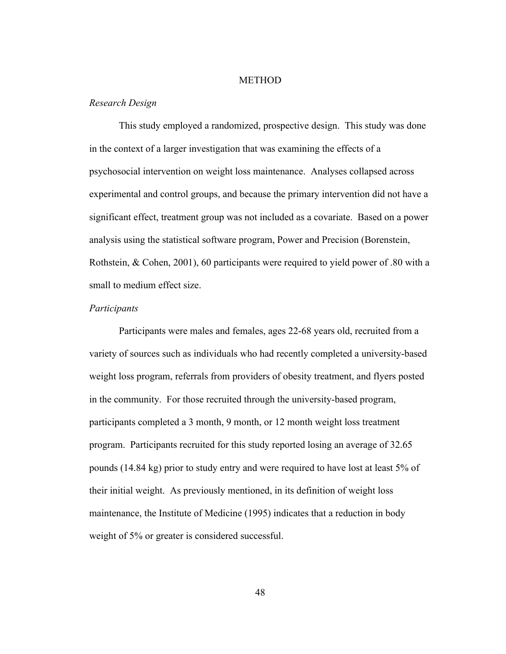## METHOD

## *Research Design*

This study employed a randomized, prospective design. This study was done in the context of a larger investigation that was examining the effects of a psychosocial intervention on weight loss maintenance. Analyses collapsed across experimental and control groups, and because the primary intervention did not have a significant effect, treatment group was not included as a covariate. Based on a power analysis using the statistical software program, Power and Precision (Borenstein, Rothstein, & Cohen, 2001), 60 participants were required to yield power of .80 with a small to medium effect size.

# *Participants*

Participants were males and females, ages 22-68 years old, recruited from a variety of sources such as individuals who had recently completed a university-based weight loss program, referrals from providers of obesity treatment, and flyers posted in the community. For those recruited through the university-based program, participants completed a 3 month, 9 month, or 12 month weight loss treatment program. Participants recruited for this study reported losing an average of 32.65 pounds (14.84 kg) prior to study entry and were required to have lost at least 5% of their initial weight. As previously mentioned, in its definition of weight loss maintenance, the Institute of Medicine (1995) indicates that a reduction in body weight of 5% or greater is considered successful.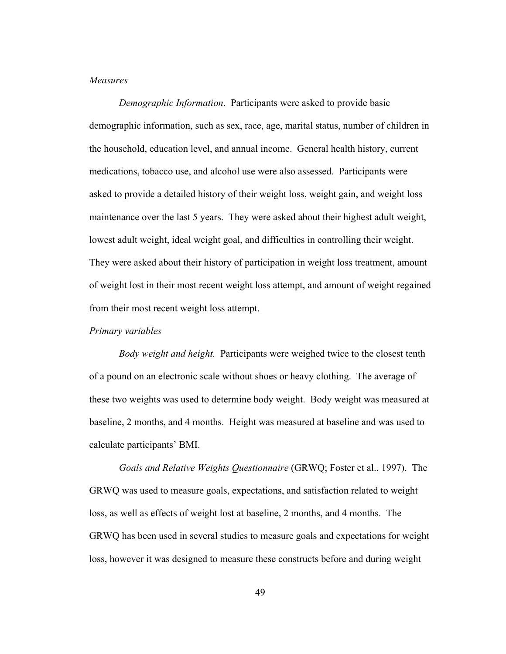## *Measures*

*Demographic Information*. Participants were asked to provide basic demographic information, such as sex, race, age, marital status, number of children in the household, education level, and annual income. General health history, current medications, tobacco use, and alcohol use were also assessed. Participants were asked to provide a detailed history of their weight loss, weight gain, and weight loss maintenance over the last 5 years. They were asked about their highest adult weight, lowest adult weight, ideal weight goal, and difficulties in controlling their weight. They were asked about their history of participation in weight loss treatment, amount of weight lost in their most recent weight loss attempt, and amount of weight regained from their most recent weight loss attempt.

# *Primary variables*

*Body weight and height.* Participants were weighed twice to the closest tenth of a pound on an electronic scale without shoes or heavy clothing. The average of these two weights was used to determine body weight. Body weight was measured at baseline, 2 months, and 4 months. Height was measured at baseline and was used to calculate participants' BMI.

*Goals and Relative Weights Questionnaire* (GRWQ; Foster et al., 1997). The GRWQ was used to measure goals, expectations, and satisfaction related to weight loss, as well as effects of weight lost at baseline, 2 months, and 4 months. The GRWQ has been used in several studies to measure goals and expectations for weight loss, however it was designed to measure these constructs before and during weight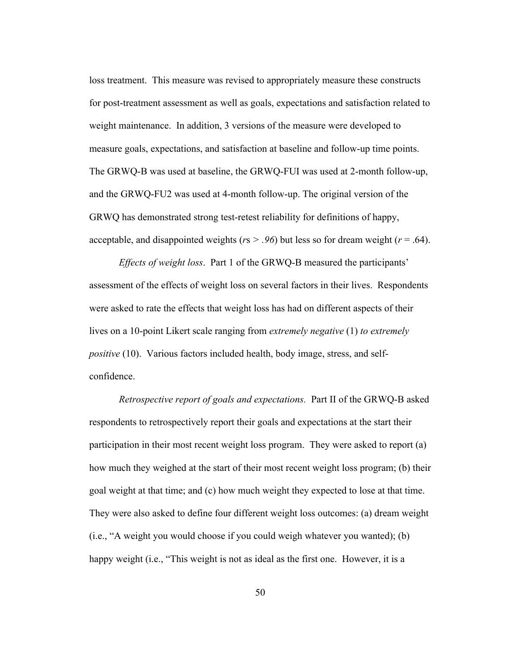loss treatment. This measure was revised to appropriately measure these constructs for post-treatment assessment as well as goals, expectations and satisfaction related to weight maintenance. In addition, 3 versions of the measure were developed to measure goals, expectations, and satisfaction at baseline and follow-up time points. The GRWQ-B was used at baseline, the GRWQ-FUI was used at 2-month follow-up, and the GRWQ-FU2 was used at 4-month follow-up. The original version of the GRWQ has demonstrated strong test-retest reliability for definitions of happy, acceptable, and disappointed weights ( $rs$  > .96) but less so for dream weight ( $r$  = .64).

*Effects of weight loss*. Part 1 of the GRWQ-B measured the participants' assessment of the effects of weight loss on several factors in their lives. Respondents were asked to rate the effects that weight loss has had on different aspects of their lives on a 10-point Likert scale ranging from *extremely negative* (1) *to extremely positive* (10). Various factors included health, body image, stress, and selfconfidence.

*Retrospective report of goals and expectations.* Part II of the GRWQ-B asked respondents to retrospectively report their goals and expectations at the start their participation in their most recent weight loss program. They were asked to report (a) how much they weighed at the start of their most recent weight loss program; (b) their goal weight at that time; and (c) how much weight they expected to lose at that time. They were also asked to define four different weight loss outcomes: (a) dream weight (i.e., "A weight you would choose if you could weigh whatever you wanted); (b) happy weight (i.e., "This weight is not as ideal as the first one. However, it is a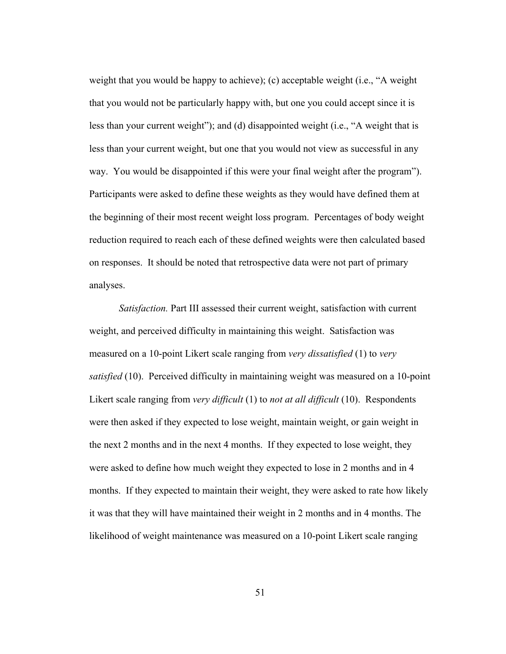weight that you would be happy to achieve); (c) acceptable weight (i.e., "A weight that you would not be particularly happy with, but one you could accept since it is less than your current weight"); and (d) disappointed weight (i.e., "A weight that is less than your current weight, but one that you would not view as successful in any way. You would be disappointed if this were your final weight after the program"). Participants were asked to define these weights as they would have defined them at the beginning of their most recent weight loss program. Percentages of body weight reduction required to reach each of these defined weights were then calculated based on responses. It should be noted that retrospective data were not part of primary analyses.

*Satisfaction.* Part III assessed their current weight, satisfaction with current weight, and perceived difficulty in maintaining this weight. Satisfaction was measured on a 10-point Likert scale ranging from *very dissatisfied* (1) to *very satisfied* (10). Perceived difficulty in maintaining weight was measured on a 10-point Likert scale ranging from *very difficult* (1) to *not at all difficult* (10). Respondents were then asked if they expected to lose weight, maintain weight, or gain weight in the next 2 months and in the next 4 months. If they expected to lose weight, they were asked to define how much weight they expected to lose in 2 months and in 4 months. If they expected to maintain their weight, they were asked to rate how likely it was that they will have maintained their weight in 2 months and in 4 months. The likelihood of weight maintenance was measured on a 10-point Likert scale ranging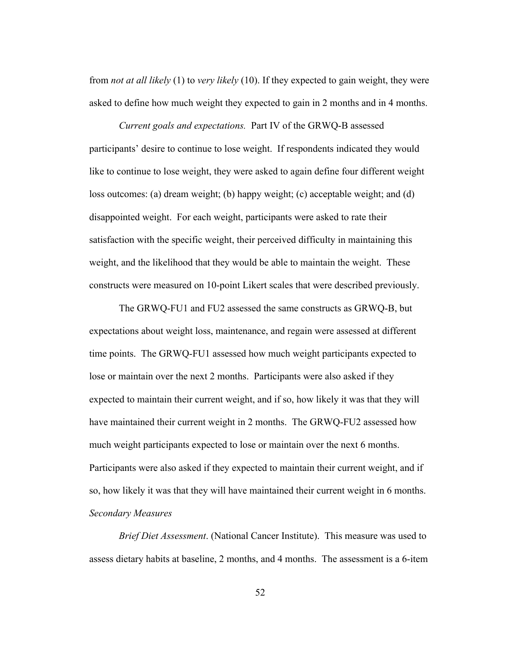from *not at all likely* (1) to *very likely* (10). If they expected to gain weight, they were asked to define how much weight they expected to gain in 2 months and in 4 months.

*Current goals and expectations.* Part IV of the GRWQ-B assessed participants' desire to continue to lose weight. If respondents indicated they would like to continue to lose weight, they were asked to again define four different weight loss outcomes: (a) dream weight; (b) happy weight; (c) acceptable weight; and (d) disappointed weight. For each weight, participants were asked to rate their satisfaction with the specific weight, their perceived difficulty in maintaining this weight, and the likelihood that they would be able to maintain the weight. These constructs were measured on 10-point Likert scales that were described previously.

The GRWQ-FU1 and FU2 assessed the same constructs as GRWQ-B, but expectations about weight loss, maintenance, and regain were assessed at different time points. The GRWQ-FU1 assessed how much weight participants expected to lose or maintain over the next 2 months. Participants were also asked if they expected to maintain their current weight, and if so, how likely it was that they will have maintained their current weight in 2 months. The GRWQ-FU2 assessed how much weight participants expected to lose or maintain over the next 6 months. Participants were also asked if they expected to maintain their current weight, and if so, how likely it was that they will have maintained their current weight in 6 months. *Secondary Measures* 

*Brief Diet Assessment*. (National Cancer Institute). This measure was used to assess dietary habits at baseline, 2 months, and 4 months. The assessment is a 6-item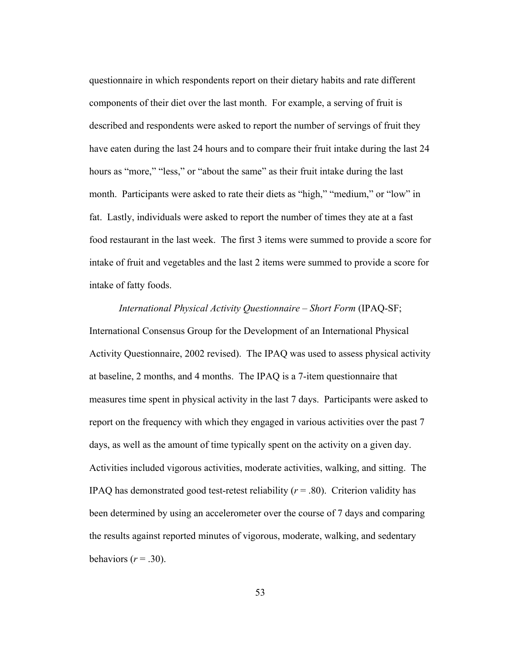questionnaire in which respondents report on their dietary habits and rate different components of their diet over the last month. For example, a serving of fruit is described and respondents were asked to report the number of servings of fruit they have eaten during the last 24 hours and to compare their fruit intake during the last 24 hours as "more," "less," or "about the same" as their fruit intake during the last month. Participants were asked to rate their diets as "high," "medium," or "low" in fat. Lastly, individuals were asked to report the number of times they ate at a fast food restaurant in the last week. The first 3 items were summed to provide a score for intake of fruit and vegetables and the last 2 items were summed to provide a score for intake of fatty foods.

# *International Physical Activity Questionnaire – Short Form* (IPAQ-SF; International Consensus Group for the Development of an International Physical Activity Questionnaire, 2002 revised). The IPAQ was used to assess physical activity at baseline, 2 months, and 4 months. The IPAQ is a 7-item questionnaire that measures time spent in physical activity in the last 7 days. Participants were asked to report on the frequency with which they engaged in various activities over the past 7 days, as well as the amount of time typically spent on the activity on a given day. Activities included vigorous activities, moderate activities, walking, and sitting. The IPAQ has demonstrated good test-retest reliability  $(r = .80)$ . Criterion validity has been determined by using an accelerometer over the course of 7 days and comparing the results against reported minutes of vigorous, moderate, walking, and sedentary behaviors  $(r = .30)$ .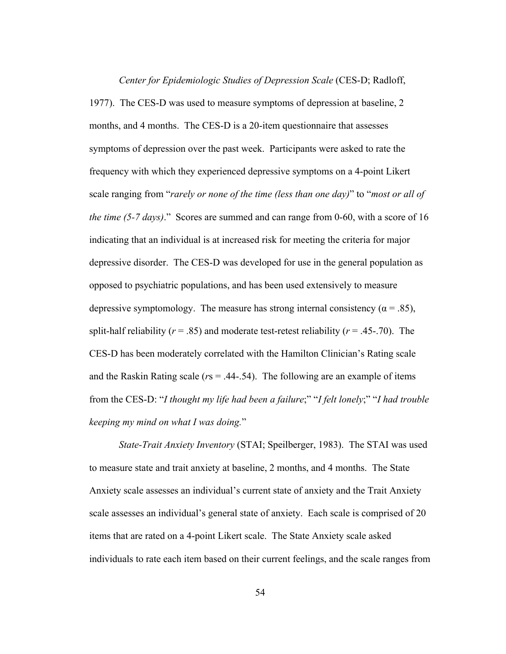*Center for Epidemiologic Studies of Depression Scale* (CES-D; Radloff, 1977). The CES-D was used to measure symptoms of depression at baseline, 2 months, and 4 months. The CES-D is a 20-item questionnaire that assesses symptoms of depression over the past week. Participants were asked to rate the frequency with which they experienced depressive symptoms on a 4-point Likert scale ranging from "*rarely or none of the time (less than one day)*" to "*most or all of the time (5-7 days)*." Scores are summed and can range from 0-60, with a score of 16 indicating that an individual is at increased risk for meeting the criteria for major depressive disorder. The CES-D was developed for use in the general population as opposed to psychiatric populations, and has been used extensively to measure depressive symptomology. The measure has strong internal consistency ( $\alpha$  = .85), split-half reliability  $(r = .85)$  and moderate test-retest reliability  $(r = .45-.70)$ . The CES-D has been moderately correlated with the Hamilton Clinician's Rating scale and the Raskin Rating scale (*r*s = .44-.54). The following are an example of items from the CES-D: "*I thought my life had been a failure*;" "*I felt lonely*;" "*I had trouble keeping my mind on what I was doing.*"

*State-Trait Anxiety Inventory* (STAI; Speilberger, 1983). The STAI was used to measure state and trait anxiety at baseline, 2 months, and 4 months. The State Anxiety scale assesses an individual's current state of anxiety and the Trait Anxiety scale assesses an individual's general state of anxiety. Each scale is comprised of 20 items that are rated on a 4-point Likert scale. The State Anxiety scale asked individuals to rate each item based on their current feelings, and the scale ranges from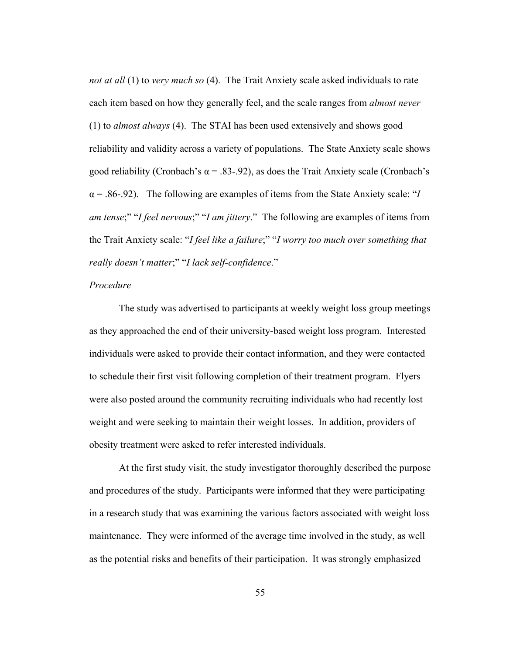*not at all* (1) to *very much so* (4). The Trait Anxiety scale asked individuals to rate each item based on how they generally feel, and the scale ranges from *almost never*  (1) to *almost always* (4). The STAI has been used extensively and shows good reliability and validity across a variety of populations. The State Anxiety scale shows good reliability (Cronbach's  $\alpha$  = .83-.92), as does the Trait Anxiety scale (Cronbach's  $\alpha$  = .86-.92). The following are examples of items from the State Anxiety scale: "*I am tense*;" "*I feel nervous*;" "*I am jittery*." The following are examples of items from the Trait Anxiety scale: "*I feel like a failure*;" "*I worry too much over something that really doesn't matter*;" "*I lack self-confidence*."

## *Procedure*

The study was advertised to participants at weekly weight loss group meetings as they approached the end of their university-based weight loss program. Interested individuals were asked to provide their contact information, and they were contacted to schedule their first visit following completion of their treatment program. Flyers were also posted around the community recruiting individuals who had recently lost weight and were seeking to maintain their weight losses. In addition, providers of obesity treatment were asked to refer interested individuals.

At the first study visit, the study investigator thoroughly described the purpose and procedures of the study. Participants were informed that they were participating in a research study that was examining the various factors associated with weight loss maintenance. They were informed of the average time involved in the study, as well as the potential risks and benefits of their participation. It was strongly emphasized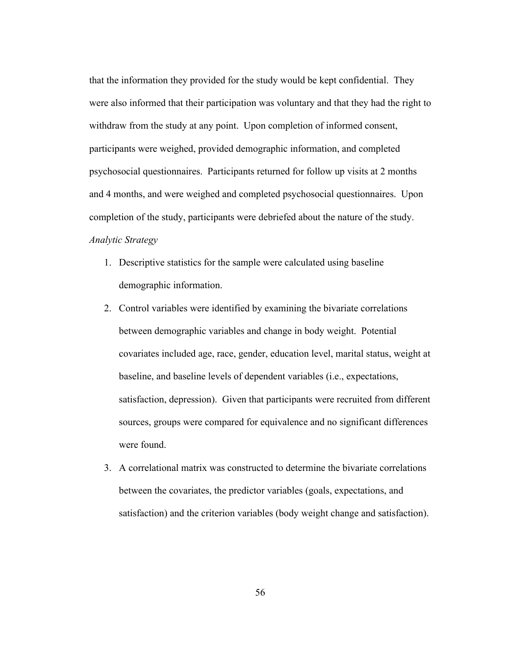that the information they provided for the study would be kept confidential. They were also informed that their participation was voluntary and that they had the right to withdraw from the study at any point. Upon completion of informed consent, participants were weighed, provided demographic information, and completed psychosocial questionnaires. Participants returned for follow up visits at 2 months and 4 months, and were weighed and completed psychosocial questionnaires. Upon completion of the study, participants were debriefed about the nature of the study. *Analytic Strategy*

- 1. Descriptive statistics for the sample were calculated using baseline demographic information.
- 2. Control variables were identified by examining the bivariate correlations between demographic variables and change in body weight. Potential covariates included age, race, gender, education level, marital status, weight at baseline, and baseline levels of dependent variables (i.e., expectations, satisfaction, depression). Given that participants were recruited from different sources, groups were compared for equivalence and no significant differences were found.
- 3. A correlational matrix was constructed to determine the bivariate correlations between the covariates, the predictor variables (goals, expectations, and satisfaction) and the criterion variables (body weight change and satisfaction).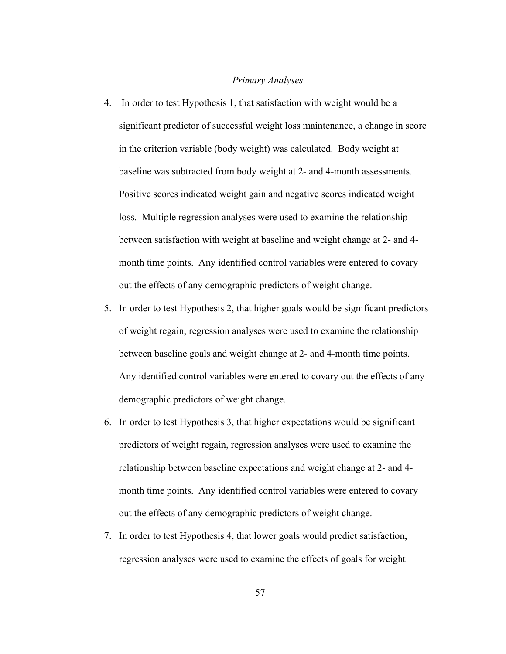## *Primary Analyses*

- 4. In order to test Hypothesis 1, that satisfaction with weight would be a significant predictor of successful weight loss maintenance, a change in score in the criterion variable (body weight) was calculated. Body weight at baseline was subtracted from body weight at 2- and 4-month assessments. Positive scores indicated weight gain and negative scores indicated weight loss. Multiple regression analyses were used to examine the relationship between satisfaction with weight at baseline and weight change at 2- and 4 month time points. Any identified control variables were entered to covary out the effects of any demographic predictors of weight change.
- 5. In order to test Hypothesis 2, that higher goals would be significant predictors of weight regain, regression analyses were used to examine the relationship between baseline goals and weight change at 2- and 4-month time points. Any identified control variables were entered to covary out the effects of any demographic predictors of weight change.
- 6. In order to test Hypothesis 3, that higher expectations would be significant predictors of weight regain, regression analyses were used to examine the relationship between baseline expectations and weight change at 2- and 4 month time points. Any identified control variables were entered to covary out the effects of any demographic predictors of weight change.
- 7. In order to test Hypothesis 4, that lower goals would predict satisfaction, regression analyses were used to examine the effects of goals for weight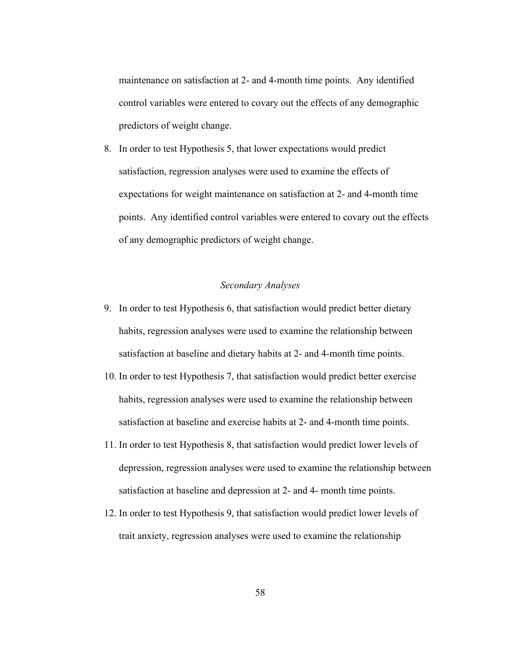maintenance on satisfaction at 2- and 4-month time points. Any identified control variables were entered to covary out the effects of any demographic predictors of weight change.

8. In order to test Hypothesis 5, that lower expectations would predict satisfaction, regression analyses were used to examine the effects of expectations for weight maintenance on satisfaction at 2- and 4-month time points. Any identified control variables were entered to covary out the effects of any demographic predictors of weight change.

# *Secondary Analyses*

- 9. In order to test Hypothesis 6, that satisfaction would predict better dietary habits, regression analyses were used to examine the relationship between satisfaction at baseline and dietary habits at 2- and 4-month time points.
- 10. In order to test Hypothesis 7, that satisfaction would predict better exercise habits, regression analyses were used to examine the relationship between satisfaction at baseline and exercise habits at 2- and 4-month time points.
- 11. In order to test Hypothesis 8, that satisfaction would predict lower levels of depression, regression analyses were used to examine the relationship between satisfaction at baseline and depression at 2- and 4- month time points.
- 12. In order to test Hypothesis 9, that satisfaction would predict lower levels of trait anxiety, regression analyses were used to examine the relationship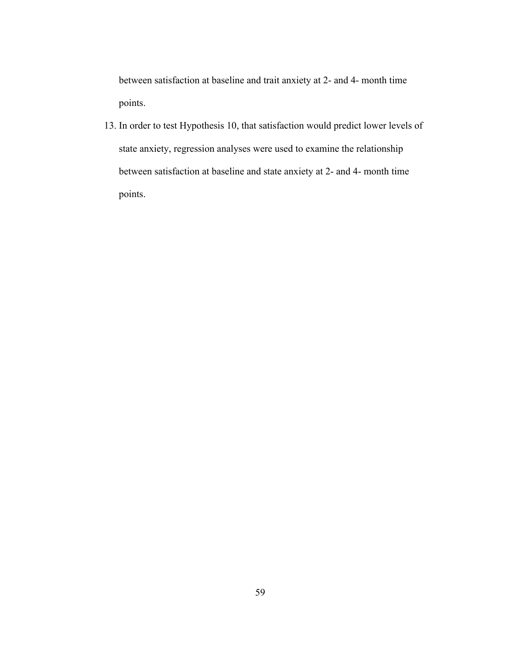between satisfaction at baseline and trait anxiety at 2- and 4- month time points.

13. In order to test Hypothesis 10, that satisfaction would predict lower levels of state anxiety, regression analyses were used to examine the relationship between satisfaction at baseline and state anxiety at 2- and 4- month time points.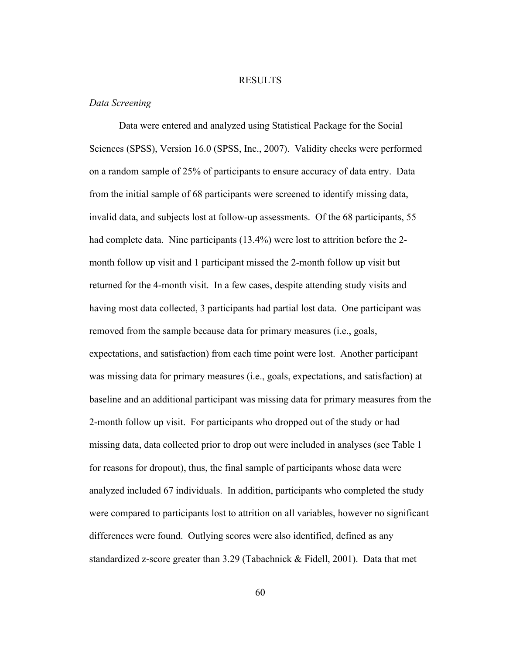## RESULTS

## *Data Screening*

Data were entered and analyzed using Statistical Package for the Social Sciences (SPSS), Version 16.0 (SPSS, Inc., 2007). Validity checks were performed on a random sample of 25% of participants to ensure accuracy of data entry. Data from the initial sample of 68 participants were screened to identify missing data, invalid data, and subjects lost at follow-up assessments. Of the 68 participants, 55 had complete data. Nine participants (13.4%) were lost to attrition before the 2 month follow up visit and 1 participant missed the 2-month follow up visit but returned for the 4-month visit. In a few cases, despite attending study visits and having most data collected, 3 participants had partial lost data. One participant was removed from the sample because data for primary measures (i.e., goals, expectations, and satisfaction) from each time point were lost. Another participant was missing data for primary measures (i.e., goals, expectations, and satisfaction) at baseline and an additional participant was missing data for primary measures from the 2-month follow up visit. For participants who dropped out of the study or had missing data, data collected prior to drop out were included in analyses (see Table 1 for reasons for dropout), thus, the final sample of participants whose data were analyzed included 67 individuals. In addition, participants who completed the study were compared to participants lost to attrition on all variables, however no significant differences were found.Outlying scores were also identified, defined as any standardized z-score greater than 3.29 (Tabachnick & Fidell, 2001). Data that met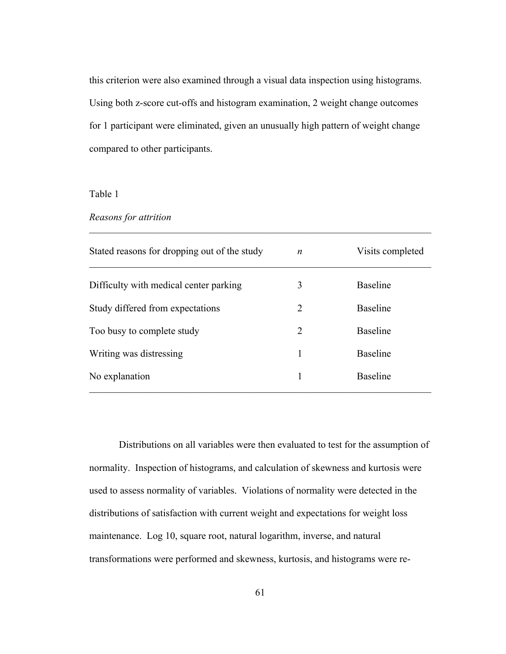this criterion were also examined through a visual data inspection using histograms. Using both z-score cut-offs and histogram examination, 2 weight change outcomes for 1 participant were eliminated, given an unusually high pattern of weight change compared to other participants.

Table 1

*Reasons for attrition*

| Stated reasons for dropping out of the study | n | Visits completed |
|----------------------------------------------|---|------------------|
| Difficulty with medical center parking       | 3 | <b>Baseline</b>  |
| Study differed from expectations             | 2 | <b>Baseline</b>  |
| Too busy to complete study                   | 2 | <b>Baseline</b>  |
| Writing was distressing                      | 1 | <b>Baseline</b>  |
| No explanation                               | 1 | <b>Baseline</b>  |

 $\mathcal{L}_\text{max} = \frac{1}{2} \sum_{i=1}^n \mathcal{L}_\text{max}(\mathbf{z}_i - \mathbf{z}_i)$ 

Distributions on all variables were then evaluated to test for the assumption of normality. Inspection of histograms, and calculation of skewness and kurtosis were used to assess normality of variables. Violations of normality were detected in the distributions of satisfaction with current weight and expectations for weight loss maintenance. Log 10, square root, natural logarithm, inverse, and natural transformations were performed and skewness, kurtosis, and histograms were re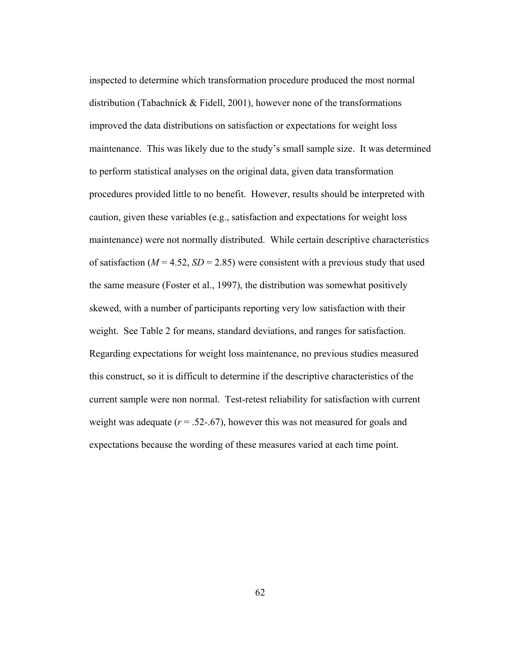inspected to determine which transformation procedure produced the most normal distribution (Tabachnick & Fidell, 2001), however none of the transformations improved the data distributions on satisfaction or expectations for weight loss maintenance. This was likely due to the study's small sample size. It was determined to perform statistical analyses on the original data, given data transformation procedures provided little to no benefit. However, results should be interpreted with caution, given these variables (e.g., satisfaction and expectations for weight loss maintenance) were not normally distributed. While certain descriptive characteristics of satisfaction ( $M = 4.52$ ,  $SD = 2.85$ ) were consistent with a previous study that used the same measure (Foster et al., 1997), the distribution was somewhat positively skewed, with a number of participants reporting very low satisfaction with their weight. See Table 2 for means, standard deviations, and ranges for satisfaction. Regarding expectations for weight loss maintenance, no previous studies measured this construct, so it is difficult to determine if the descriptive characteristics of the current sample were non normal. Test-retest reliability for satisfaction with current weight was adequate  $(r = .52-.67)$ , however this was not measured for goals and expectations because the wording of these measures varied at each time point.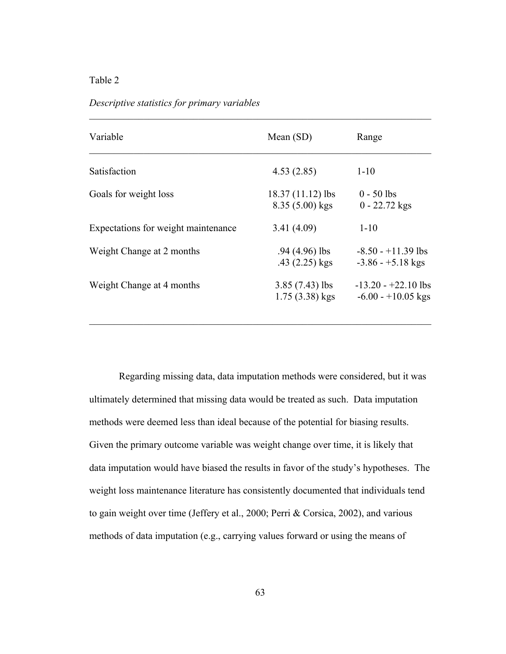*Descriptive statistics for primary variables*

| Variable                            | Mean $(SD)$                           | Range                                         |  |
|-------------------------------------|---------------------------------------|-----------------------------------------------|--|
| Satisfaction                        | 4.53(2.85)                            | $1 - 10$                                      |  |
| Goals for weight loss               | 18.37 (11.12) lbs<br>$8.35(5.00)$ kgs | $0 - 50$ lbs<br>$0 - 22.72$ kgs               |  |
| Expectations for weight maintenance | 3.41(4.09)                            | $1 - 10$                                      |  |
| Weight Change at 2 months           | $.94(4.96)$ lbs<br>$.43(2.25)$ kgs    | $-8.50 - +11.39$ lbs<br>$-3.86 - +5.18$ kgs   |  |
| Weight Change at 4 months           | $3.85(7.43)$ lbs<br>$1.75(3.38)$ kgs  | $-13.20 - +22.10$ lbs<br>$-6.00 - +10.05$ kgs |  |

 $\mathcal{L}_\text{max} = \frac{1}{2} \sum_{i=1}^n \mathcal{L}_\text{max}(\mathbf{z}_i - \mathbf{z}_i)$ 

Regarding missing data, data imputation methods were considered, but it was ultimately determined that missing data would be treated as such. Data imputation methods were deemed less than ideal because of the potential for biasing results. Given the primary outcome variable was weight change over time, it is likely that data imputation would have biased the results in favor of the study's hypotheses. The weight loss maintenance literature has consistently documented that individuals tend to gain weight over time (Jeffery et al., 2000; Perri & Corsica, 2002), and various methods of data imputation (e.g., carrying values forward or using the means of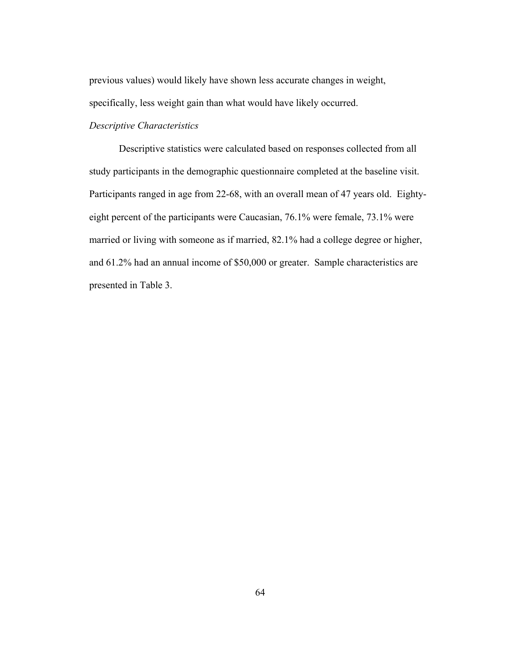previous values) would likely have shown less accurate changes in weight, specifically, less weight gain than what would have likely occurred.

## *Descriptive Characteristics*

Descriptive statistics were calculated based on responses collected from all study participants in the demographic questionnaire completed at the baseline visit. Participants ranged in age from 22-68, with an overall mean of 47 years old. Eightyeight percent of the participants were Caucasian, 76.1% were female, 73.1% were married or living with someone as if married, 82.1% had a college degree or higher, and 61.2% had an annual income of \$50,000 or greater. Sample characteristics are presented in Table 3.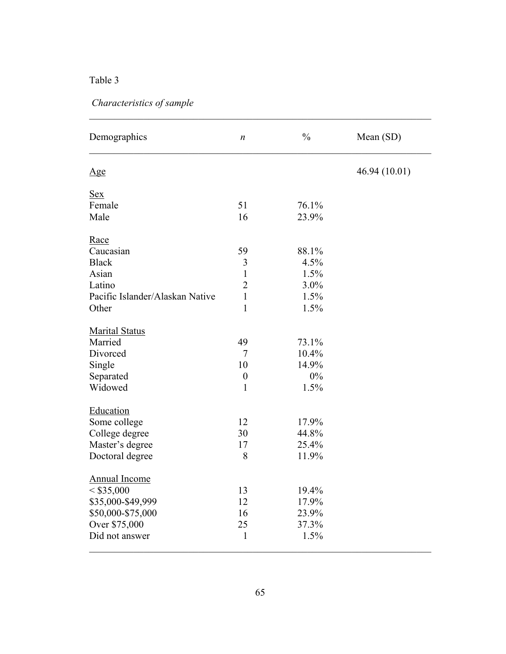# *Characteristics of sample*

| Demographics                    | $\boldsymbol{n}$ | $\frac{0}{0}$ | Mean (SD)     |
|---------------------------------|------------------|---------------|---------------|
| $\mathbf{Age}$                  |                  |               | 46.94 (10.01) |
| <b>Sex</b>                      |                  |               |               |
| Female                          | 51               | 76.1%         |               |
| Male                            | 16               | 23.9%         |               |
| Race                            |                  |               |               |
| Caucasian                       | 59               | 88.1%         |               |
| <b>Black</b>                    | 3                | 4.5%          |               |
| Asian                           | $\mathbf{1}$     | 1.5%          |               |
| Latino                          | $\overline{2}$   | 3.0%          |               |
| Pacific Islander/Alaskan Native | $\mathbf{1}$     | 1.5%          |               |
| Other                           | $\mathbf{1}$     | 1.5%          |               |
| <b>Marital Status</b>           |                  |               |               |
| Married                         | 49               | 73.1%         |               |
| Divorced                        | 7                | 10.4%         |               |
| Single                          | 10               | 14.9%         |               |
| Separated                       | $\boldsymbol{0}$ | 0%            |               |
| Widowed                         | $\mathbf{1}$     | 1.5%          |               |
| Education                       |                  |               |               |
| Some college                    | 12               | 17.9%         |               |
| College degree                  | 30               | 44.8%         |               |
| Master's degree                 | 17               | 25.4%         |               |
| Doctoral degree                 | 8                | 11.9%         |               |
| <b>Annual Income</b>            |                  |               |               |
| < \$35,000                      | 13               | 19.4%         |               |
| \$35,000-\$49,999               | 12               | 17.9%         |               |
| \$50,000-\$75,000               | 16               | 23.9%         |               |
| Over \$75,000                   | 25               | 37.3%         |               |
| Did not answer                  | $\mathbf{1}$     | 1.5%          |               |

 $\mathcal{L}_\text{max} = \frac{1}{2} \sum_{i=1}^n \mathcal{L}_\text{max}(\mathbf{z}_i - \mathbf{z}_i)$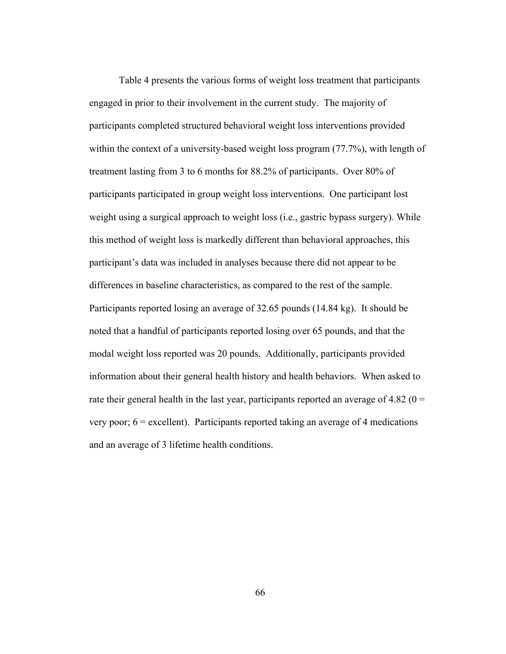Table 4 presents the various forms of weight loss treatment that participants engaged in prior to their involvement in the current study. The majority of participants completed structured behavioral weight loss interventions provided within the context of a university-based weight loss program (77.7%), with length of treatment lasting from 3 to 6 months for 88.2% of participants. Over 80% of participants participated in group weight loss interventions. One participant lost weight using a surgical approach to weight loss (i.e., gastric bypass surgery). While this method of weight loss is markedly different than behavioral approaches, this participant's data was included in analyses because there did not appear to be differences in baseline characteristics, as compared to the rest of the sample. Participants reported losing an average of 32.65 pounds (14.84 kg). It should be noted that a handful of participants reported losing over 65 pounds, and that the modal weight loss reported was 20 pounds. Additionally, participants provided information about their general health history and health behaviors. When asked to rate their general health in the last year, participants reported an average of 4.82 ( $0 =$ very poor;  $6 =$  excellent). Participants reported taking an average of 4 medications and an average of 3 lifetime health conditions.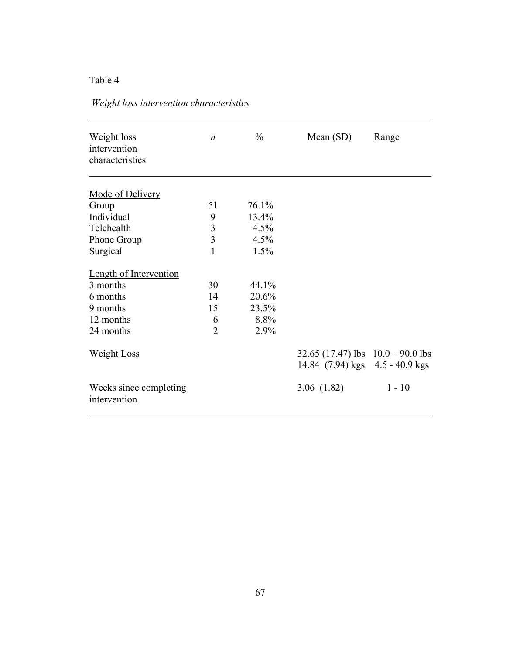|  |  | Weight loss intervention characteristics |
|--|--|------------------------------------------|
|--|--|------------------------------------------|

| Weight loss<br>intervention<br>characteristics | $\boldsymbol{n}$ | $\frac{0}{0}$ | Mean $(SD)$                                                            | Range    |  |
|------------------------------------------------|------------------|---------------|------------------------------------------------------------------------|----------|--|
| Mode of Delivery                               |                  |               |                                                                        |          |  |
| Group                                          | 51               | 76.1%         |                                                                        |          |  |
| Individual                                     | 9                | 13.4%         |                                                                        |          |  |
| Telehealth                                     | $\mathfrak{Z}$   | 4.5%          |                                                                        |          |  |
| Phone Group                                    | $\overline{3}$   | 4.5%          |                                                                        |          |  |
| Surgical                                       | 1                | 1.5%          |                                                                        |          |  |
| <b>Length of Intervention</b>                  |                  |               |                                                                        |          |  |
| 3 months                                       | 30               | 44.1%         |                                                                        |          |  |
| 6 months                                       | 14               | 20.6%         |                                                                        |          |  |
| 9 months                                       | 15               | 23.5%         |                                                                        |          |  |
| 12 months                                      | 6                | 8.8%          |                                                                        |          |  |
| 24 months                                      | $\overline{2}$   | 2.9%          |                                                                        |          |  |
| Weight Loss                                    |                  |               | 32.65 (17.47) lbs $10.0 - 90.0$ lbs<br>14.84 (7.94) kgs 4.5 - 40.9 kgs |          |  |
|                                                |                  |               |                                                                        |          |  |
| Weeks since completing<br>intervention         |                  |               | 3.06(1.82)                                                             | $1 - 10$ |  |

 $\mathcal{L}_\text{max} = \frac{1}{2} \sum_{i=1}^n \mathcal{L}_\text{max}(\mathbf{z}_i - \mathbf{z}_i)$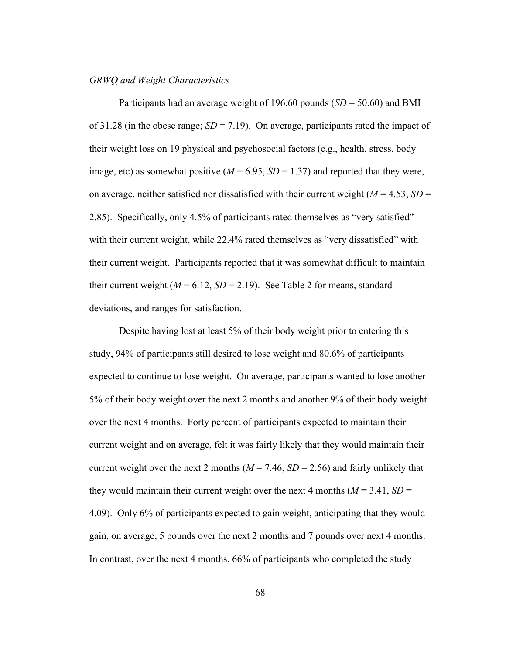### *GRWQ and Weight Characteristics*

Participants had an average weight of 196.60 pounds (*SD* = 50.60) and BMI of 31.28 (in the obese range;  $SD = 7.19$ ). On average, participants rated the impact of their weight loss on 19 physical and psychosocial factors (e.g., health, stress, body image, etc) as somewhat positive  $(M = 6.95, SD = 1.37)$  and reported that they were, on average, neither satisfied nor dissatisfied with their current weight  $(M = 4.53, SD =$ 2.85). Specifically, only 4.5% of participants rated themselves as "very satisfied" with their current weight, while 22.4% rated themselves as "very dissatisfied" with their current weight. Participants reported that it was somewhat difficult to maintain their current weight  $(M = 6.12, SD = 2.19)$ . See Table 2 for means, standard deviations, and ranges for satisfaction.

Despite having lost at least 5% of their body weight prior to entering this study, 94% of participants still desired to lose weight and 80.6% of participants expected to continue to lose weight. On average, participants wanted to lose another 5% of their body weight over the next 2 months and another 9% of their body weight over the next 4 months. Forty percent of participants expected to maintain their current weight and on average, felt it was fairly likely that they would maintain their current weight over the next 2 months  $(M = 7.46, SD = 2.56)$  and fairly unlikely that they would maintain their current weight over the next 4 months  $(M = 3.41, SD =$ 4.09). Only 6% of participants expected to gain weight, anticipating that they would gain, on average, 5 pounds over the next 2 months and 7 pounds over next 4 months. In contrast, over the next 4 months, 66% of participants who completed the study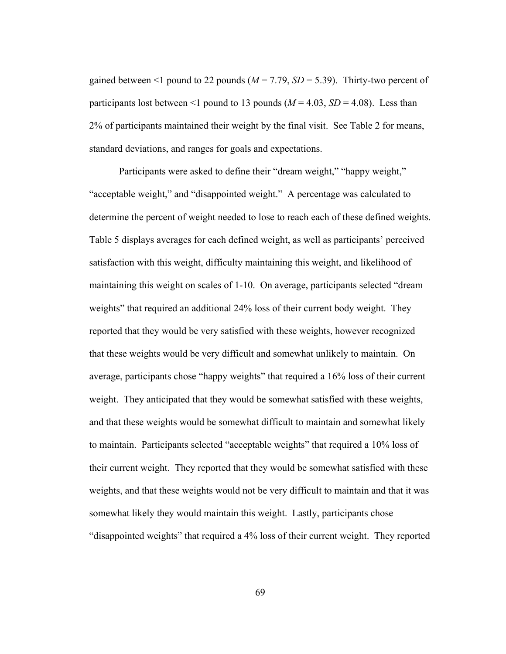gained between  $\leq 1$  pound to 22 pounds ( $M = 7.79$ ,  $SD = 5.39$ ). Thirty-two percent of participants lost between <1 pound to 13 pounds  $(M = 4.03, SD = 4.08)$ . Less than 2% of participants maintained their weight by the final visit. See Table 2 for means, standard deviations, and ranges for goals and expectations.

Participants were asked to define their "dream weight," "happy weight," "acceptable weight," and "disappointed weight." A percentage was calculated to determine the percent of weight needed to lose to reach each of these defined weights. Table 5 displays averages for each defined weight, as well as participants' perceived satisfaction with this weight, difficulty maintaining this weight, and likelihood of maintaining this weight on scales of 1-10. On average, participants selected "dream weights" that required an additional 24% loss of their current body weight. They reported that they would be very satisfied with these weights, however recognized that these weights would be very difficult and somewhat unlikely to maintain. On average, participants chose "happy weights" that required a 16% loss of their current weight. They anticipated that they would be somewhat satisfied with these weights, and that these weights would be somewhat difficult to maintain and somewhat likely to maintain. Participants selected "acceptable weights" that required a 10% loss of their current weight. They reported that they would be somewhat satisfied with these weights, and that these weights would not be very difficult to maintain and that it was somewhat likely they would maintain this weight. Lastly, participants chose "disappointed weights" that required a 4% loss of their current weight. They reported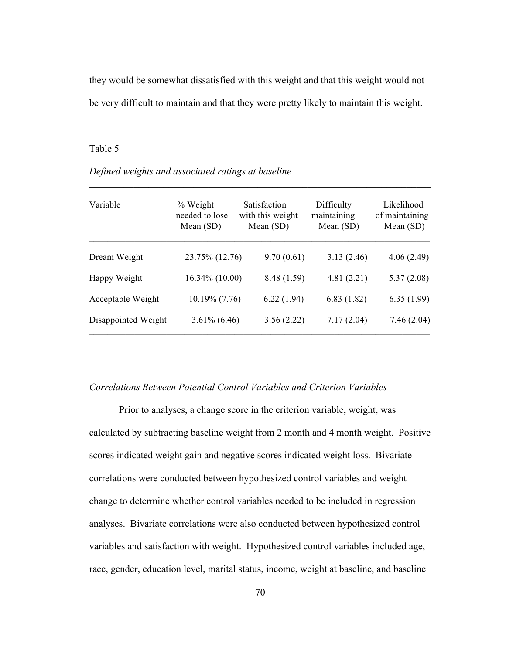they would be somewhat dissatisfied with this weight and that this weight would not be very difficult to maintain and that they were pretty likely to maintain this weight.

### Table 5

| Variable            | % Weight<br>needed to lose<br>Mean $(SD)$ | <b>Satisfaction</b><br>with this weight<br>Mean $(SD)$ | Difficulty<br>maintaining<br>Mean $(SD)$ | Likelihood<br>of maintaining<br>Mean $(SD)$ |  |
|---------------------|-------------------------------------------|--------------------------------------------------------|------------------------------------------|---------------------------------------------|--|
| Dream Weight        | 23.75% (12.76)                            | 9.70(0.61)                                             | 3.13(2.46)                               | 4.06(2.49)                                  |  |
| Happy Weight        | $16.34\%$ (10.00)                         | 8.48 (1.59)                                            | 4.81(2.21)                               | 5.37(2.08)                                  |  |
| Acceptable Weight   | $10.19\%$ (7.76)                          | 6.22(1.94)                                             | 6.83(1.82)                               | 6.35(1.99)                                  |  |
| Disappointed Weight | $3.61\%$ (6.46)                           | 3.56(2.22)                                             | 7.17(2.04)                               | 7.46(2.04)                                  |  |

 $\mathcal{L}_\mathcal{L} = \mathcal{L}_\mathcal{L} = \mathcal{L}_\mathcal{L} = \mathcal{L}_\mathcal{L} = \mathcal{L}_\mathcal{L} = \mathcal{L}_\mathcal{L} = \mathcal{L}_\mathcal{L} = \mathcal{L}_\mathcal{L} = \mathcal{L}_\mathcal{L} = \mathcal{L}_\mathcal{L} = \mathcal{L}_\mathcal{L} = \mathcal{L}_\mathcal{L} = \mathcal{L}_\mathcal{L} = \mathcal{L}_\mathcal{L} = \mathcal{L}_\mathcal{L} = \mathcal{L}_\mathcal{L} = \mathcal{L}_\mathcal{L}$ 

### *Defined weights and associated ratings at baseline*

## *Correlations Between Potential Control Variables and Criterion Variables*

Prior to analyses, a change score in the criterion variable, weight, was calculated by subtracting baseline weight from 2 month and 4 month weight. Positive scores indicated weight gain and negative scores indicated weight loss. Bivariate correlations were conducted between hypothesized control variables and weight change to determine whether control variables needed to be included in regression analyses. Bivariate correlations were also conducted between hypothesized control variables and satisfaction with weight. Hypothesized control variables included age, race, gender, education level, marital status, income, weight at baseline, and baseline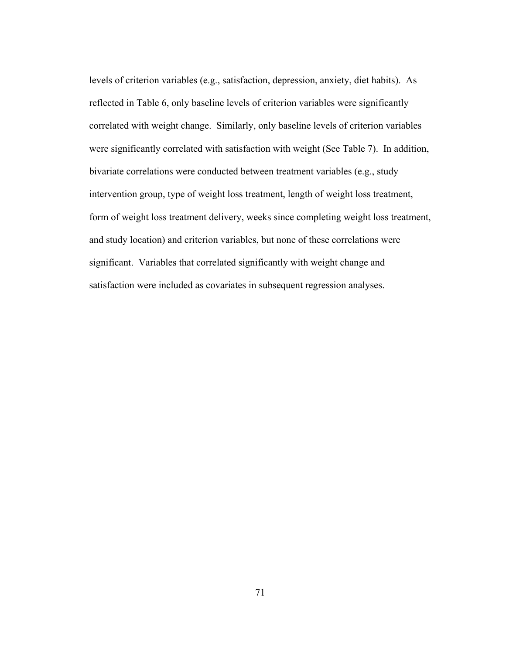levels of criterion variables (e.g., satisfaction, depression, anxiety, diet habits). As reflected in Table 6, only baseline levels of criterion variables were significantly correlated with weight change. Similarly, only baseline levels of criterion variables were significantly correlated with satisfaction with weight (See Table 7). In addition, bivariate correlations were conducted between treatment variables (e.g., study intervention group, type of weight loss treatment, length of weight loss treatment, form of weight loss treatment delivery, weeks since completing weight loss treatment, and study location) and criterion variables, but none of these correlations were significant. Variables that correlated significantly with weight change and satisfaction were included as covariates in subsequent regression analyses.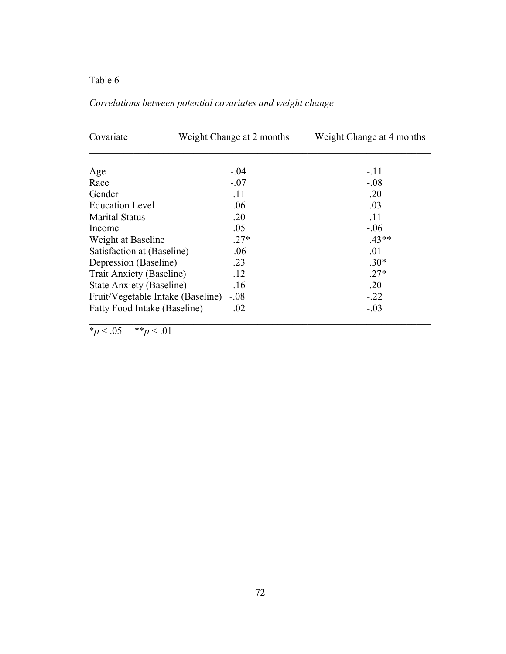| Covariate                         | Weight Change at 2 months | Weight Change at 4 months |  |  |
|-----------------------------------|---------------------------|---------------------------|--|--|
|                                   |                           |                           |  |  |
| Age                               | $-.04$                    | $-.11$                    |  |  |
| Race                              | $-.07$                    | $-.08$                    |  |  |
| Gender                            | .11                       | .20                       |  |  |
| <b>Education Level</b>            | .06                       | .03                       |  |  |
| <b>Marital Status</b>             | .20                       | .11                       |  |  |
| Income                            | .05                       | $-.06$                    |  |  |
| Weight at Baseline                | $.27*$                    | $.43**$                   |  |  |
| Satisfaction at (Baseline)        | $-.06$                    | .01                       |  |  |
| Depression (Baseline)             | .23                       | $.30*$                    |  |  |
| Trait Anxiety (Baseline)          | .12                       | $.27*$                    |  |  |
| <b>State Anxiety (Baseline)</b>   | .16                       | .20                       |  |  |
| Fruit/Vegetable Intake (Baseline) | $-.08$                    | $-.22$                    |  |  |
| Fatty Food Intake (Baseline)      | .02                       | $-.03$                    |  |  |

 $\mathcal{L}_\text{max} = \frac{1}{2} \sum_{i=1}^n \mathcal{L}_\text{max}(\mathbf{z}_i - \mathbf{z}_i)$ 

*Correlations between potential covariates and weight change*

 $\frac{1}{2}p < 0.05$  \*\**p* < .01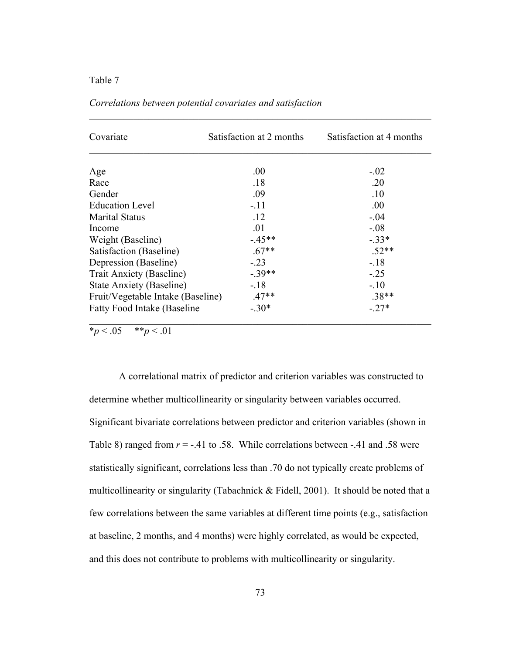| Covariate                            | Satisfaction at 2 months | Satisfaction at 4 months |  |  |
|--------------------------------------|--------------------------|--------------------------|--|--|
|                                      |                          |                          |  |  |
| Age                                  | .00.                     | $-.02$                   |  |  |
| Race                                 | .18                      | .20                      |  |  |
| Gender                               | .09                      | .10                      |  |  |
| <b>Education Level</b>               | $-.11$                   | .00.                     |  |  |
| <b>Marital Status</b>                | .12                      | $-04$                    |  |  |
| Income                               | .01                      | $-.08$                   |  |  |
| Weight (Baseline)                    | $-45**$                  | $-33*$                   |  |  |
| Satisfaction (Baseline)              | $.67**$                  | $.52**$                  |  |  |
| Depression (Baseline)                | $-.23$                   | $-.18$                   |  |  |
| Trait Anxiety (Baseline)             | $-39**$                  | $-.25$                   |  |  |
| <b>State Anxiety (Baseline)</b>      | $-.18$                   | $-.10$                   |  |  |
| Fruit/Vegetable Intake (Baseline)    | $.47**$                  | $.38**$                  |  |  |
| <b>Fatty Food Intake (Baseline</b> ) | $-30*$                   | $-27*$                   |  |  |

 $\mathcal{L}_\text{max} = \frac{1}{2} \sum_{i=1}^n \mathcal{L}_\text{max}(\mathbf{z}_i - \mathbf{z}_i)$ 

*Correlations between potential covariates and satisfaction*

 $\frac{1}{2}p < 0.05$  \*\**p* < 0.01

A correlational matrix of predictor and criterion variables was constructed to determine whether multicollinearity or singularity between variables occurred. Significant bivariate correlations between predictor and criterion variables (shown in Table 8) ranged from  $r = -0.41$  to .58. While correlations between  $-0.41$  and .58 were statistically significant, correlations less than .70 do not typically create problems of multicollinearity or singularity (Tabachnick  $&$  Fidell, 2001). It should be noted that a few correlations between the same variables at different time points (e.g., satisfaction at baseline, 2 months, and 4 months) were highly correlated, as would be expected, and this does not contribute to problems with multicollinearity or singularity.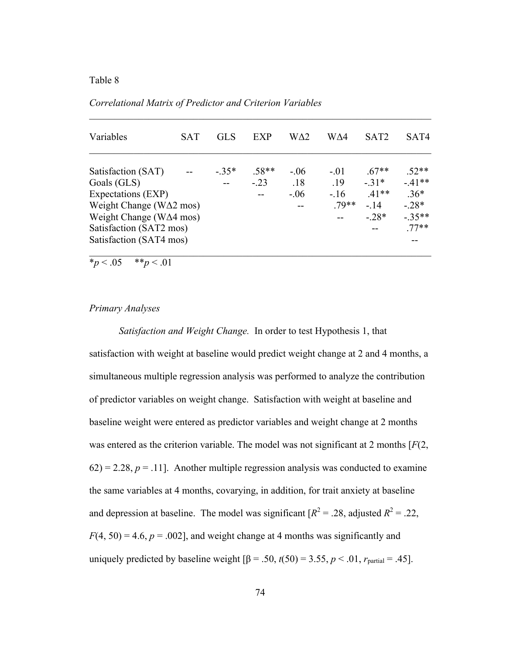| Variables                       | SAT | GL S   | <b>EXP</b>               | WA2    | WA4    | SAT <sub>2</sub> | SAT4    |
|---------------------------------|-----|--------|--------------------------|--------|--------|------------------|---------|
| Satisfaction (SAT)              |     | $-35*$ | $.58**$                  | $-.06$ | $-.01$ | $.67**$          | $.52**$ |
| Goals (GLS)                     |     |        | $-.23$                   | .18    | .19    | $-31*$           | $-41**$ |
| Expectations (EXP)              |     |        | $\overline{\phantom{m}}$ | $-.06$ | $-16$  | $.41**$          | $.36*$  |
| Weight Change ( $W\Delta2$ mos) |     |        |                          | $- -$  | 79**   | $-14$            | $-28*$  |
| Weight Change ( $W\Delta4$ mos) |     |        |                          |        |        | $-28*$           | $-35**$ |
| Satisfaction (SAT2 mos)         |     |        |                          |        |        |                  | $77**$  |
| Satisfaction (SAT4 mos)         |     |        |                          |        |        |                  |         |

 $\mathcal{L}_\text{max} = \frac{1}{2} \sum_{i=1}^n \mathcal{L}_\text{max}(\mathbf{z}_i - \mathbf{z}_i)$ 

*Correlational Matrix of Predictor and Criterion Variables*

 $*_p$  < .05  $*_p$  < .01

## *Primary Analyses*

*Satisfaction and Weight Change.* In order to test Hypothesis 1, that satisfaction with weight at baseline would predict weight change at 2 and 4 months, a simultaneous multiple regression analysis was performed to analyze the contribution of predictor variables on weight change. Satisfaction with weight at baseline and baseline weight were entered as predictor variables and weight change at 2 months was entered as the criterion variable. The model was not significant at 2 months [*F*(2,  $62$ ) = 2.28,  $p = 0.11$ ]. Another multiple regression analysis was conducted to examine the same variables at 4 months, covarying, in addition, for trait anxiety at baseline and depression at baseline. The model was significant  $[R^2 = .28]$ , adjusted  $R^2 = .22$ ,  $F(4, 50) = 4.6$ ,  $p = .002$ ], and weight change at 4 months was significantly and uniquely predicted by baseline weight  $\beta$  = .50,  $t(50)$  = 3.55,  $p < .01$ ,  $r_{\text{partial}}$  = .45].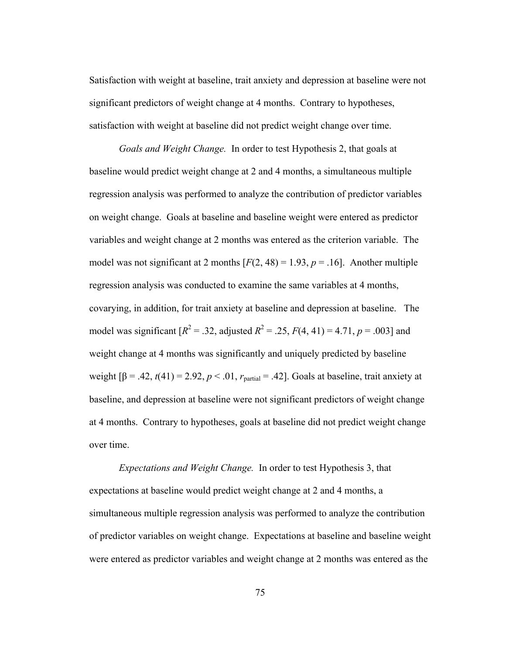Satisfaction with weight at baseline, trait anxiety and depression at baseline were not significant predictors of weight change at 4 months. Contrary to hypotheses, satisfaction with weight at baseline did not predict weight change over time.

*Goals and Weight Change.* In order to test Hypothesis 2, that goals at baseline would predict weight change at 2 and 4 months, a simultaneous multiple regression analysis was performed to analyze the contribution of predictor variables on weight change. Goals at baseline and baseline weight were entered as predictor variables and weight change at 2 months was entered as the criterion variable. The model was not significant at 2 months  $[F(2, 48) = 1.93, p = .16]$ . Another multiple regression analysis was conducted to examine the same variables at 4 months, covarying, in addition, for trait anxiety at baseline and depression at baseline. The model was significant  $[R^2 = .32$ , adjusted  $R^2 = .25$ ,  $F(4, 41) = 4.71$ ,  $p = .003$  and weight change at 4 months was significantly and uniquely predicted by baseline weight  $[\beta = .42, t(41) = 2.92, p < .01, r_{partial} = .42]$ . Goals at baseline, trait anxiety at baseline, and depression at baseline were not significant predictors of weight change at 4 months. Contrary to hypotheses, goals at baseline did not predict weight change over time.

*Expectations and Weight Change.* In order to test Hypothesis 3, that expectations at baseline would predict weight change at 2 and 4 months, a simultaneous multiple regression analysis was performed to analyze the contribution of predictor variables on weight change. Expectations at baseline and baseline weight were entered as predictor variables and weight change at 2 months was entered as the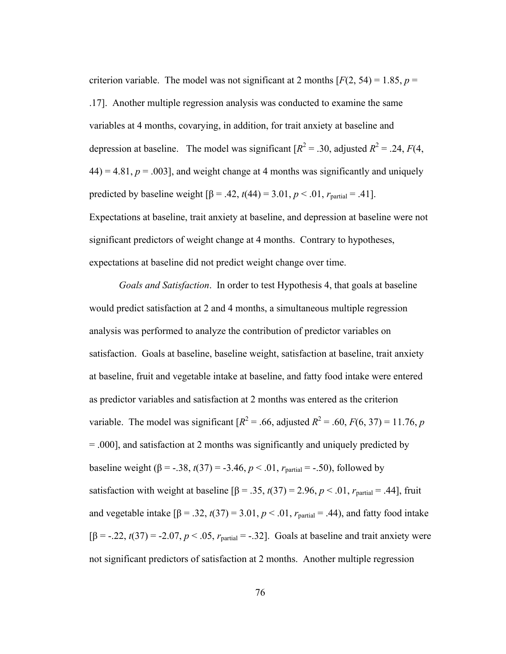criterion variable. The model was not significant at 2 months  $[F(2, 54) = 1.85, p =$ .17]. Another multiple regression analysis was conducted to examine the same variables at 4 months, covarying, in addition, for trait anxiety at baseline and depression at baseline. The model was significant  $[R^2 = .30,$  adjusted  $R^2 = .24, F(4, )$  $44$ ) = 4.81,  $p = .003$ ], and weight change at 4 months was significantly and uniquely predicted by baseline weight  $[β = .42, t(44) = 3.01, p < .01, r_{\text{partial}} = .41]$ . Expectations at baseline, trait anxiety at baseline, and depression at baseline were not significant predictors of weight change at 4 months. Contrary to hypotheses, expectations at baseline did not predict weight change over time.

*Goals and Satisfaction*. In order to test Hypothesis 4, that goals at baseline would predict satisfaction at 2 and 4 months, a simultaneous multiple regression analysis was performed to analyze the contribution of predictor variables on satisfaction. Goals at baseline, baseline weight, satisfaction at baseline, trait anxiety at baseline, fruit and vegetable intake at baseline, and fatty food intake were entered as predictor variables and satisfaction at 2 months was entered as the criterion variable. The model was significant  $[R^2 = .66,$  adjusted  $R^2 = .60, F(6, 37) = 11.76, p$ = .000], and satisfaction at 2 months was significantly and uniquely predicted by baseline weight  $(\beta = -.38, t(37)) = -3.46, p < .01, r_{partial} = -.50)$ , followed by satisfaction with weight at baseline  $[\beta = .35, t(37) = 2.96, p < .01, r_{\text{partial}} = .44]$ , fruit and vegetable intake  $\beta$  = .32,  $t(37)$  = 3.01,  $p < .01$ ,  $r_{\text{partial}}$  = .44), and fatty food intake  $[β = -.22, t(37) = -2.07, p < .05, r_{partial} = -.32]$ . Goals at baseline and trait anxiety were not significant predictors of satisfaction at 2 months. Another multiple regression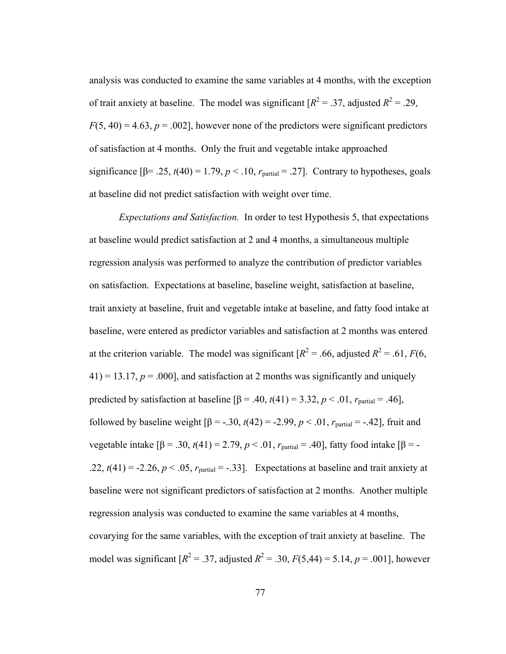analysis was conducted to examine the same variables at 4 months, with the exception of trait anxiety at baseline. The model was significant  $[R^2 = .37$ , adjusted  $R^2 = .29$ ,  $F(5, 40) = 4.63$ ,  $p = .002$ , however none of the predictors were significant predictors of satisfaction at 4 months. Only the fruit and vegetable intake approached significance  $[\beta = .25, t(40) = 1.79, p < .10, r_{\text{partial}} = .27]$ . Contrary to hypotheses, goals at baseline did not predict satisfaction with weight over time.

*Expectations and Satisfaction.* In order to test Hypothesis 5, that expectations at baseline would predict satisfaction at 2 and 4 months, a simultaneous multiple regression analysis was performed to analyze the contribution of predictor variables on satisfaction. Expectations at baseline, baseline weight, satisfaction at baseline, trait anxiety at baseline, fruit and vegetable intake at baseline, and fatty food intake at baseline, were entered as predictor variables and satisfaction at 2 months was entered at the criterion variable. The model was significant  $[R^2 = .66$ , adjusted  $R^2 = .61$ ,  $F(6)$ ,  $41$ ) = 13.17,  $p = .000$ ], and satisfaction at 2 months was significantly and uniquely predicted by satisfaction at baseline  $[β = .40, t(41) = 3.32, p < .01, r_{\text{partial}} = .46]$ , followed by baseline weight  $[β = -.30, t(42) = -2.99, p < .01, r_{partial} = -.42]$ , fruit and vegetable intake  $[β = .30, t(41) = 2.79, p < .01, r_{partial} = .40]$ , fatty food intake  $[β = -10]$ .22,  $t(41) = -2.26$ ,  $p < .05$ ,  $r_{\text{partial}} = -.33$ ]. Expectations at baseline and trait anxiety at baseline were not significant predictors of satisfaction at 2 months. Another multiple regression analysis was conducted to examine the same variables at 4 months, covarying for the same variables, with the exception of trait anxiety at baseline. The model was significant  $[R^2 = .37$ , adjusted  $R^2 = .30$ ,  $F(5,44) = 5.14$ ,  $p = .001$ , however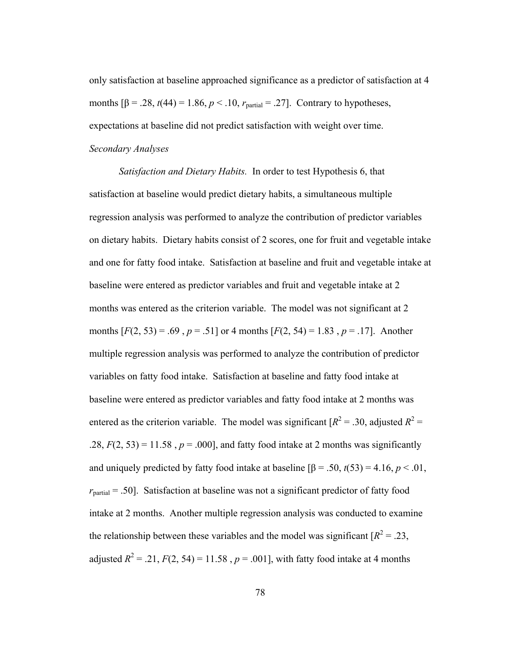only satisfaction at baseline approached significance as a predictor of satisfaction at 4 months  $[β = .28, t(44) = 1.86, p < .10, r_{\text{partial}} = .27]$ . Contrary to hypotheses, expectations at baseline did not predict satisfaction with weight over time. *Secondary Analyses*

*Satisfaction and Dietary Habits.* In order to test Hypothesis 6, that satisfaction at baseline would predict dietary habits, a simultaneous multiple regression analysis was performed to analyze the contribution of predictor variables on dietary habits. Dietary habits consist of 2 scores, one for fruit and vegetable intake and one for fatty food intake. Satisfaction at baseline and fruit and vegetable intake at baseline were entered as predictor variables and fruit and vegetable intake at 2 months was entered as the criterion variable. The model was not significant at 2 months  $[F(2, 53) = .69$ ,  $p = .51$  or 4 months  $[F(2, 54) = 1.83$ ,  $p = .17$ . Another multiple regression analysis was performed to analyze the contribution of predictor variables on fatty food intake. Satisfaction at baseline and fatty food intake at baseline were entered as predictor variables and fatty food intake at 2 months was entered as the criterion variable. The model was significant  $[R^2 = .30$ , adjusted  $R^2 =$ .28,  $F(2, 53) = 11.58$ ,  $p = .000$ , and fatty food intake at 2 months was significantly and uniquely predicted by fatty food intake at baseline  $\beta$  = .50,  $t(53)$  = 4.16,  $p < .01$ ,  $r_{\text{partial}}$  = .50]. Satisfaction at baseline was not a significant predictor of fatty food intake at 2 months. Another multiple regression analysis was conducted to examine the relationship between these variables and the model was significant  $[R^2 = .23]$ , adjusted  $R^2 = .21$ ,  $F(2, 54) = 11.58$ ,  $p = .001$ , with fatty food intake at 4 months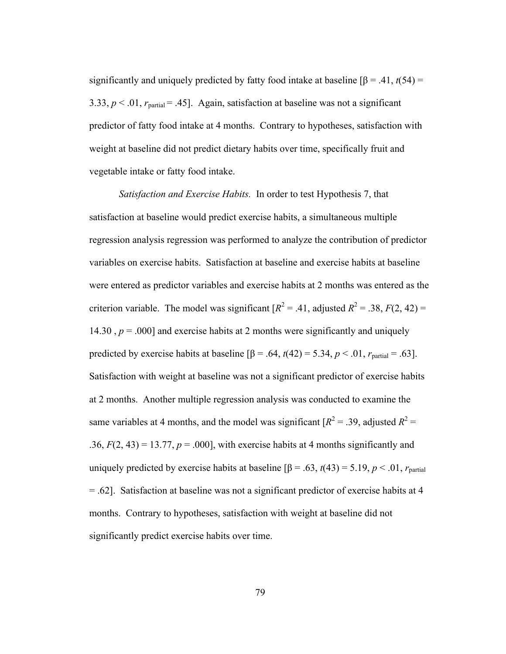significantly and uniquely predicted by fatty food intake at baseline  $\beta = .41, t(54) =$ 3.33,  $p < 0.01$ ,  $r_{\text{partial}} = 0.45$ . Again, satisfaction at baseline was not a significant predictor of fatty food intake at 4 months. Contrary to hypotheses, satisfaction with weight at baseline did not predict dietary habits over time, specifically fruit and vegetable intake or fatty food intake.

*Satisfaction and Exercise Habits.* In order to test Hypothesis 7, that satisfaction at baseline would predict exercise habits, a simultaneous multiple regression analysis regression was performed to analyze the contribution of predictor variables on exercise habits. Satisfaction at baseline and exercise habits at baseline were entered as predictor variables and exercise habits at 2 months was entered as the criterion variable. The model was significant  $[R^2 = .41$ , adjusted  $R^2 = .38$ ,  $F(2, 42) =$ 14.30  $, p = .000$ ] and exercise habits at 2 months were significantly and uniquely predicted by exercise habits at baseline  $[\beta = .64, t(42) = 5.34, p < .01, r_{\text{partial}} = .63]$ . Satisfaction with weight at baseline was not a significant predictor of exercise habits at 2 months. Another multiple regression analysis was conducted to examine the same variables at 4 months, and the model was significant  $[R^2 = .39]$ , adjusted  $R^2 =$ .36,  $F(2, 43) = 13.77$ ,  $p = .000$ , with exercise habits at 4 months significantly and uniquely predicted by exercise habits at baseline  $\beta = .63$ ,  $t(43) = 5.19$ ,  $p < .01$ ,  $r_{\text{partial}}$ = .62]. Satisfaction at baseline was not a significant predictor of exercise habits at 4 months. Contrary to hypotheses, satisfaction with weight at baseline did not significantly predict exercise habits over time.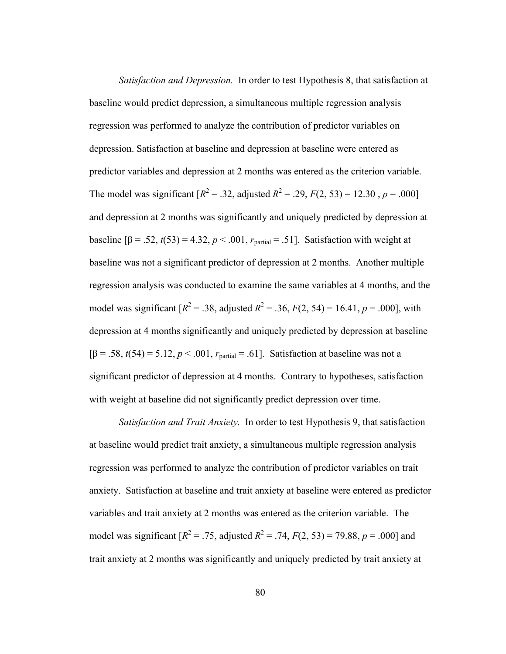*Satisfaction and Depression.* In order to test Hypothesis 8, that satisfaction at baseline would predict depression, a simultaneous multiple regression analysis regression was performed to analyze the contribution of predictor variables on depression. Satisfaction at baseline and depression at baseline were entered as predictor variables and depression at 2 months was entered as the criterion variable. The model was significant  $[R^2 = .32$ , adjusted  $R^2 = .29$ ,  $F(2, 53) = 12.30$ ,  $p = .000$ and depression at 2 months was significantly and uniquely predicted by depression at baseline  $\beta$  = .52,  $t(53)$  = 4.32,  $p < .001$ ,  $r_{\text{partial}}$  = .51]. Satisfaction with weight at baseline was not a significant predictor of depression at 2 months. Another multiple regression analysis was conducted to examine the same variables at 4 months, and the model was significant  $[R^2 = .38]$ , adjusted  $R^2 = .36$ ,  $F(2, 54) = 16.41$ ,  $p = .000$ , with depression at 4 months significantly and uniquely predicted by depression at baseline  $[β = .58, t(54) = 5.12, p < .001, r_{\text{partial}} = .61]$ . Satisfaction at baseline was not a significant predictor of depression at 4 months. Contrary to hypotheses, satisfaction with weight at baseline did not significantly predict depression over time.

*Satisfaction and Trait Anxiety.* In order to test Hypothesis 9, that satisfaction at baseline would predict trait anxiety, a simultaneous multiple regression analysis regression was performed to analyze the contribution of predictor variables on trait anxiety. Satisfaction at baseline and trait anxiety at baseline were entered as predictor variables and trait anxiety at 2 months was entered as the criterion variable. The model was significant  $[R^2 = .75$ , adjusted  $R^2 = .74$ ,  $F(2, 53) = 79.88$ ,  $p = .000$ ] and trait anxiety at 2 months was significantly and uniquely predicted by trait anxiety at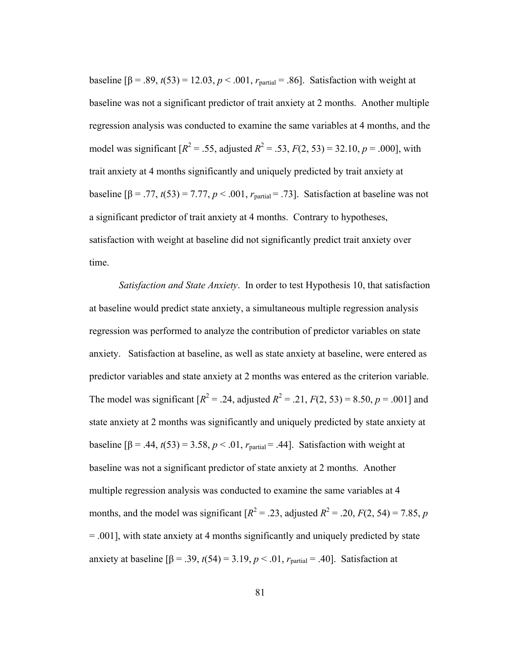baseline  $[β = .89, t(53) = 12.03, p < .001, r_{\text{partial}} = .86]$ . Satisfaction with weight at baseline was not a significant predictor of trait anxiety at 2 months. Another multiple regression analysis was conducted to examine the same variables at 4 months, and the model was significant  $[R^2 = .55$ , adjusted  $R^2 = .53$ ,  $F(2, 53) = 32.10$ ,  $p = .000$ , with trait anxiety at 4 months significantly and uniquely predicted by trait anxiety at baseline  $\beta = .77, t(53) = 7.77, p < .001, r_{\text{partial}} = .73$ . Satisfaction at baseline was not a significant predictor of trait anxiety at 4 months. Contrary to hypotheses, satisfaction with weight at baseline did not significantly predict trait anxiety over time.

*Satisfaction and State Anxiety*. In order to test Hypothesis 10, that satisfaction at baseline would predict state anxiety, a simultaneous multiple regression analysis regression was performed to analyze the contribution of predictor variables on state anxiety. Satisfaction at baseline, as well as state anxiety at baseline, were entered as predictor variables and state anxiety at 2 months was entered as the criterion variable. The model was significant  $[R^2 = .24$ , adjusted  $R^2 = .21$ ,  $F(2, 53) = 8.50$ ,  $p = .001$  and state anxiety at 2 months was significantly and uniquely predicted by state anxiety at baseline  $\beta = .44$ ,  $t(53) = 3.58$ ,  $p < .01$ ,  $r_{\text{partial}} = .44$ . Satisfaction with weight at baseline was not a significant predictor of state anxiety at 2 months. Another multiple regression analysis was conducted to examine the same variables at 4 months, and the model was significant  $[R^2 = .23]$ , adjusted  $R^2 = .20$ ,  $F(2, 54) = 7.85$ , *p* = .001], with state anxiety at 4 months significantly and uniquely predicted by state anxiety at baseline  $[\beta = .39, t(54) = 3.19, p < .01, r_{partial} = .40]$ . Satisfaction at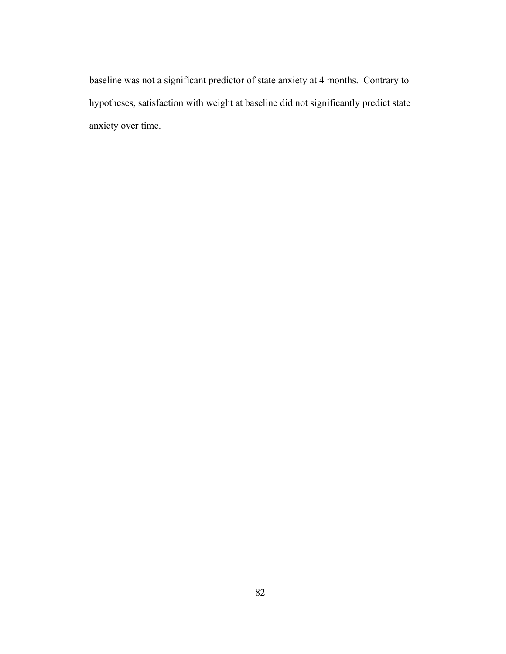baseline was not a significant predictor of state anxiety at 4 months. Contrary to hypotheses, satisfaction with weight at baseline did not significantly predict state anxiety over time.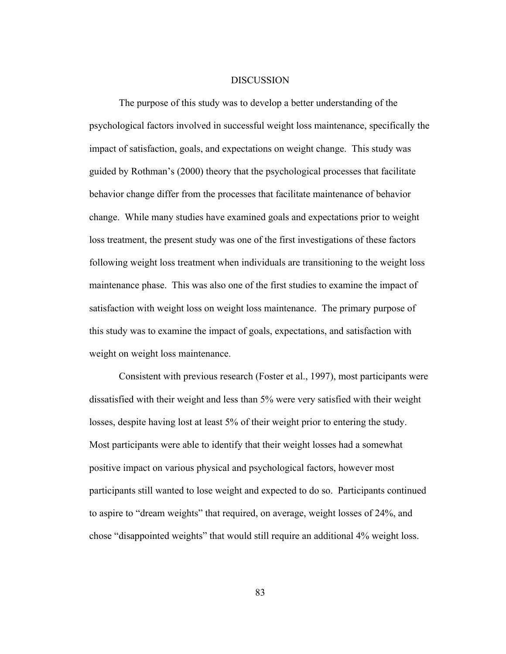#### DISCUSSION

The purpose of this study was to develop a better understanding of the psychological factors involved in successful weight loss maintenance, specifically the impact of satisfaction, goals, and expectations on weight change. This study was guided by Rothman's (2000) theory that the psychological processes that facilitate behavior change differ from the processes that facilitate maintenance of behavior change. While many studies have examined goals and expectations prior to weight loss treatment, the present study was one of the first investigations of these factors following weight loss treatment when individuals are transitioning to the weight loss maintenance phase. This was also one of the first studies to examine the impact of satisfaction with weight loss on weight loss maintenance. The primary purpose of this study was to examine the impact of goals, expectations, and satisfaction with weight on weight loss maintenance.

Consistent with previous research (Foster et al., 1997), most participants were dissatisfied with their weight and less than 5% were very satisfied with their weight losses, despite having lost at least 5% of their weight prior to entering the study. Most participants were able to identify that their weight losses had a somewhat positive impact on various physical and psychological factors, however most participants still wanted to lose weight and expected to do so. Participants continued to aspire to "dream weights" that required, on average, weight losses of 24%, and chose "disappointed weights" that would still require an additional 4% weight loss.

83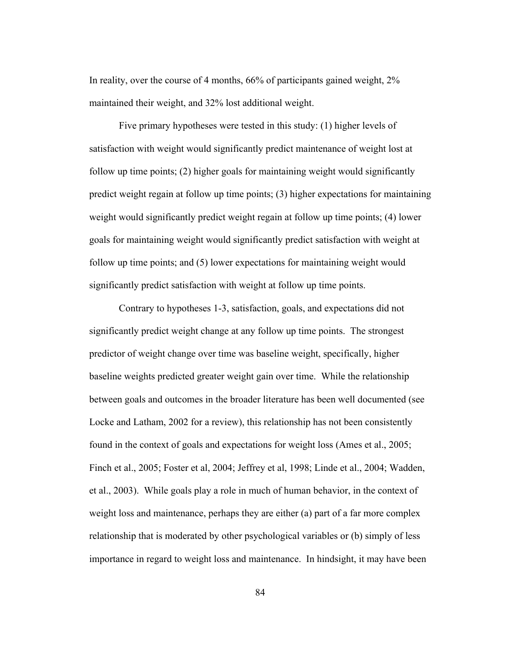In reality, over the course of 4 months, 66% of participants gained weight, 2% maintained their weight, and 32% lost additional weight.

Five primary hypotheses were tested in this study: (1) higher levels of satisfaction with weight would significantly predict maintenance of weight lost at follow up time points; (2) higher goals for maintaining weight would significantly predict weight regain at follow up time points; (3) higher expectations for maintaining weight would significantly predict weight regain at follow up time points; (4) lower goals for maintaining weight would significantly predict satisfaction with weight at follow up time points; and (5) lower expectations for maintaining weight would significantly predict satisfaction with weight at follow up time points.

Contrary to hypotheses 1-3, satisfaction, goals, and expectations did not significantly predict weight change at any follow up time points. The strongest predictor of weight change over time was baseline weight, specifically, higher baseline weights predicted greater weight gain over time. While the relationship between goals and outcomes in the broader literature has been well documented (see Locke and Latham, 2002 for a review), this relationship has not been consistently found in the context of goals and expectations for weight loss (Ames et al., 2005; Finch et al., 2005; Foster et al, 2004; Jeffrey et al, 1998; Linde et al., 2004; Wadden, et al., 2003). While goals play a role in much of human behavior, in the context of weight loss and maintenance, perhaps they are either (a) part of a far more complex relationship that is moderated by other psychological variables or (b) simply of less importance in regard to weight loss and maintenance. In hindsight, it may have been

84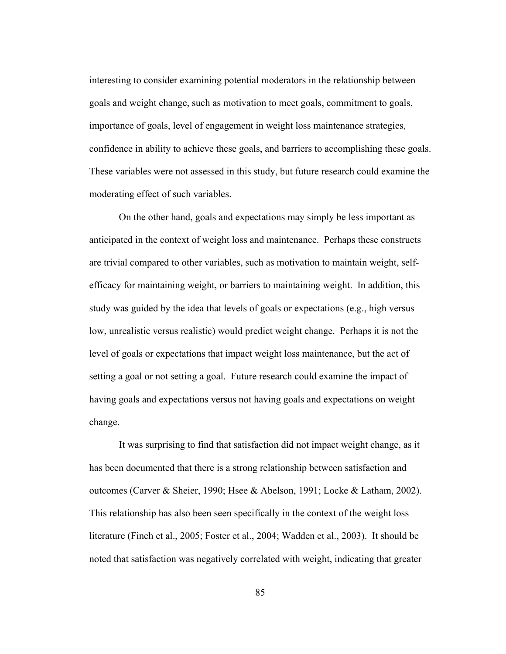interesting to consider examining potential moderators in the relationship between goals and weight change, such as motivation to meet goals, commitment to goals, importance of goals, level of engagement in weight loss maintenance strategies, confidence in ability to achieve these goals, and barriers to accomplishing these goals. These variables were not assessed in this study, but future research could examine the moderating effect of such variables.

On the other hand, goals and expectations may simply be less important as anticipated in the context of weight loss and maintenance. Perhaps these constructs are trivial compared to other variables, such as motivation to maintain weight, selfefficacy for maintaining weight, or barriers to maintaining weight. In addition, this study was guided by the idea that levels of goals or expectations (e.g., high versus low, unrealistic versus realistic) would predict weight change. Perhaps it is not the level of goals or expectations that impact weight loss maintenance, but the act of setting a goal or not setting a goal. Future research could examine the impact of having goals and expectations versus not having goals and expectations on weight change.

It was surprising to find that satisfaction did not impact weight change, as it has been documented that there is a strong relationship between satisfaction and outcomes (Carver & Sheier, 1990; Hsee & Abelson, 1991; Locke & Latham, 2002). This relationship has also been seen specifically in the context of the weight loss literature (Finch et al., 2005; Foster et al., 2004; Wadden et al., 2003). It should be noted that satisfaction was negatively correlated with weight, indicating that greater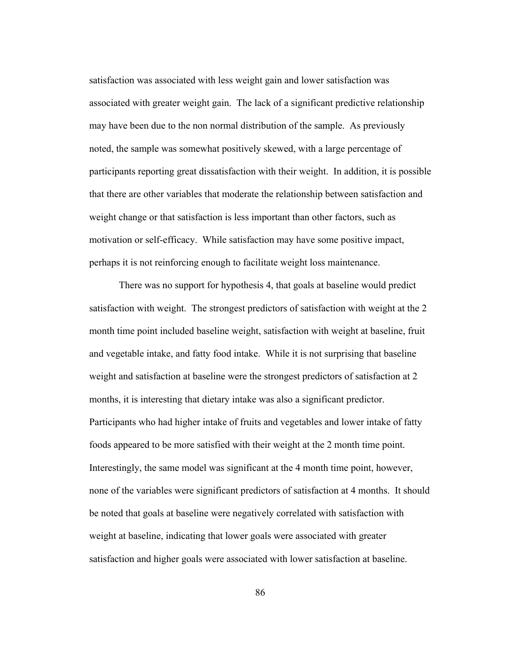satisfaction was associated with less weight gain and lower satisfaction was associated with greater weight gain. The lack of a significant predictive relationship may have been due to the non normal distribution of the sample. As previously noted, the sample was somewhat positively skewed, with a large percentage of participants reporting great dissatisfaction with their weight. In addition, it is possible that there are other variables that moderate the relationship between satisfaction and weight change or that satisfaction is less important than other factors, such as motivation or self-efficacy. While satisfaction may have some positive impact, perhaps it is not reinforcing enough to facilitate weight loss maintenance.

There was no support for hypothesis 4, that goals at baseline would predict satisfaction with weight. The strongest predictors of satisfaction with weight at the 2 month time point included baseline weight, satisfaction with weight at baseline, fruit and vegetable intake, and fatty food intake. While it is not surprising that baseline weight and satisfaction at baseline were the strongest predictors of satisfaction at 2 months, it is interesting that dietary intake was also a significant predictor. Participants who had higher intake of fruits and vegetables and lower intake of fatty foods appeared to be more satisfied with their weight at the 2 month time point. Interestingly, the same model was significant at the 4 month time point, however, none of the variables were significant predictors of satisfaction at 4 months. It should be noted that goals at baseline were negatively correlated with satisfaction with weight at baseline, indicating that lower goals were associated with greater satisfaction and higher goals were associated with lower satisfaction at baseline.

86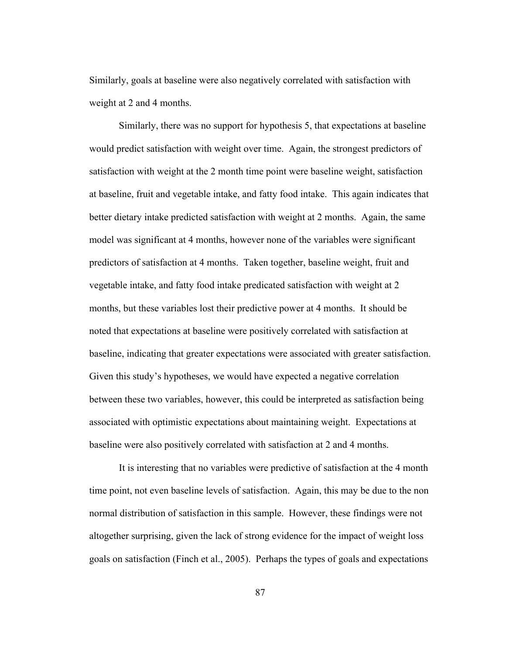Similarly, goals at baseline were also negatively correlated with satisfaction with weight at 2 and 4 months.

Similarly, there was no support for hypothesis 5, that expectations at baseline would predict satisfaction with weight over time. Again, the strongest predictors of satisfaction with weight at the 2 month time point were baseline weight, satisfaction at baseline, fruit and vegetable intake, and fatty food intake. This again indicates that better dietary intake predicted satisfaction with weight at 2 months. Again, the same model was significant at 4 months, however none of the variables were significant predictors of satisfaction at 4 months. Taken together, baseline weight, fruit and vegetable intake, and fatty food intake predicated satisfaction with weight at 2 months, but these variables lost their predictive power at 4 months. It should be noted that expectations at baseline were positively correlated with satisfaction at baseline, indicating that greater expectations were associated with greater satisfaction. Given this study's hypotheses, we would have expected a negative correlation between these two variables, however, this could be interpreted as satisfaction being associated with optimistic expectations about maintaining weight. Expectations at baseline were also positively correlated with satisfaction at 2 and 4 months.

It is interesting that no variables were predictive of satisfaction at the 4 month time point, not even baseline levels of satisfaction. Again, this may be due to the non normal distribution of satisfaction in this sample. However, these findings were not altogether surprising, given the lack of strong evidence for the impact of weight loss goals on satisfaction (Finch et al., 2005). Perhaps the types of goals and expectations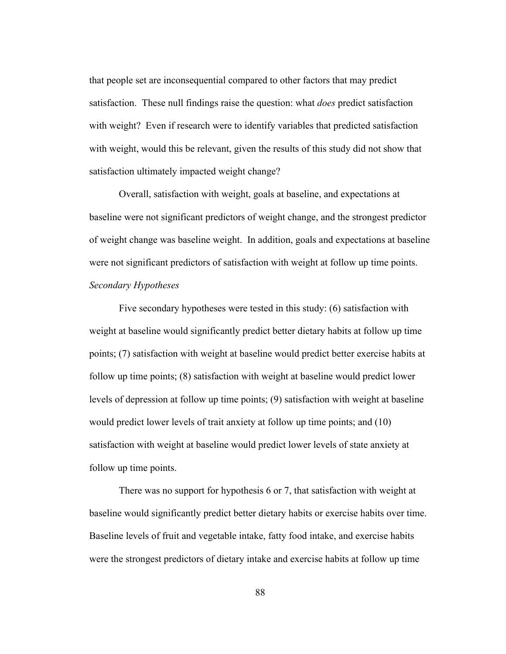that people set are inconsequential compared to other factors that may predict satisfaction. These null findings raise the question: what *does* predict satisfaction with weight? Even if research were to identify variables that predicted satisfaction with weight, would this be relevant, given the results of this study did not show that satisfaction ultimately impacted weight change?

Overall, satisfaction with weight, goals at baseline, and expectations at baseline were not significant predictors of weight change, and the strongest predictor of weight change was baseline weight. In addition, goals and expectations at baseline were not significant predictors of satisfaction with weight at follow up time points. *Secondary Hypotheses*

Five secondary hypotheses were tested in this study: (6) satisfaction with weight at baseline would significantly predict better dietary habits at follow up time points; (7) satisfaction with weight at baseline would predict better exercise habits at follow up time points; (8) satisfaction with weight at baseline would predict lower levels of depression at follow up time points; (9) satisfaction with weight at baseline would predict lower levels of trait anxiety at follow up time points; and (10) satisfaction with weight at baseline would predict lower levels of state anxiety at follow up time points.

There was no support for hypothesis 6 or 7, that satisfaction with weight at baseline would significantly predict better dietary habits or exercise habits over time. Baseline levels of fruit and vegetable intake, fatty food intake, and exercise habits were the strongest predictors of dietary intake and exercise habits at follow up time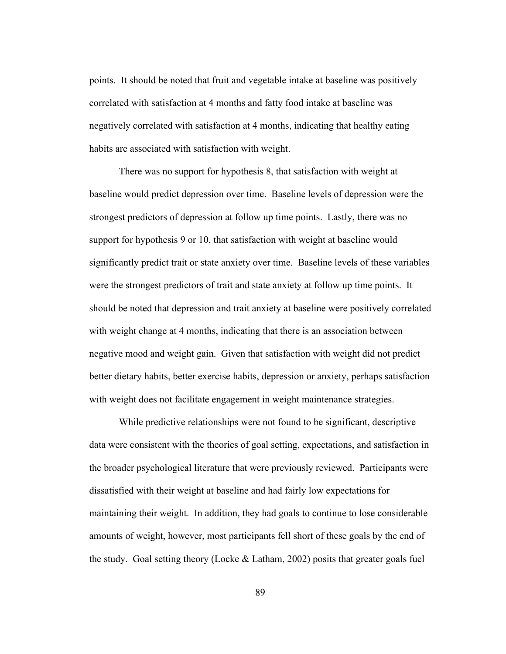points. It should be noted that fruit and vegetable intake at baseline was positively correlated with satisfaction at 4 months and fatty food intake at baseline was negatively correlated with satisfaction at 4 months, indicating that healthy eating habits are associated with satisfaction with weight.

There was no support for hypothesis 8, that satisfaction with weight at baseline would predict depression over time. Baseline levels of depression were the strongest predictors of depression at follow up time points. Lastly, there was no support for hypothesis 9 or 10, that satisfaction with weight at baseline would significantly predict trait or state anxiety over time. Baseline levels of these variables were the strongest predictors of trait and state anxiety at follow up time points. It should be noted that depression and trait anxiety at baseline were positively correlated with weight change at 4 months, indicating that there is an association between negative mood and weight gain. Given that satisfaction with weight did not predict better dietary habits, better exercise habits, depression or anxiety, perhaps satisfaction with weight does not facilitate engagement in weight maintenance strategies.

While predictive relationships were not found to be significant, descriptive data were consistent with the theories of goal setting, expectations, and satisfaction in the broader psychological literature that were previously reviewed. Participants were dissatisfied with their weight at baseline and had fairly low expectations for maintaining their weight. In addition, they had goals to continue to lose considerable amounts of weight, however, most participants fell short of these goals by the end of the study. Goal setting theory (Locke  $\&$  Latham, 2002) posits that greater goals fuel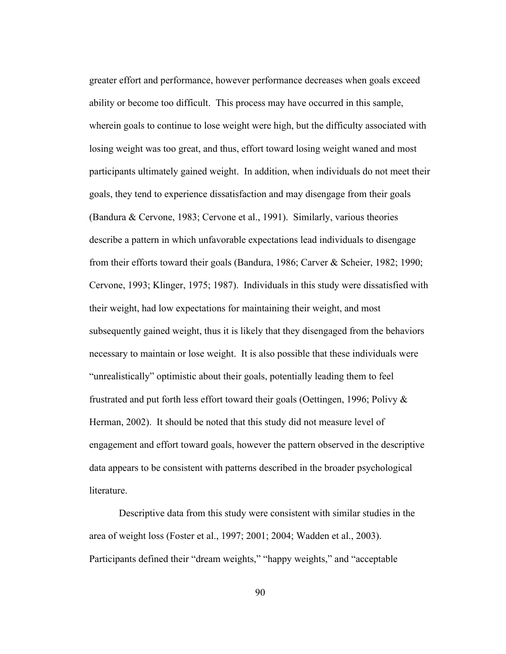greater effort and performance, however performance decreases when goals exceed ability or become too difficult. This process may have occurred in this sample, wherein goals to continue to lose weight were high, but the difficulty associated with losing weight was too great, and thus, effort toward losing weight waned and most participants ultimately gained weight. In addition, when individuals do not meet their goals, they tend to experience dissatisfaction and may disengage from their goals (Bandura & Cervone, 1983; Cervone et al., 1991). Similarly, various theories describe a pattern in which unfavorable expectations lead individuals to disengage from their efforts toward their goals (Bandura, 1986; Carver & Scheier, 1982; 1990; Cervone, 1993; Klinger, 1975; 1987). Individuals in this study were dissatisfied with their weight, had low expectations for maintaining their weight, and most subsequently gained weight, thus it is likely that they disengaged from the behaviors necessary to maintain or lose weight. It is also possible that these individuals were "unrealistically" optimistic about their goals, potentially leading them to feel frustrated and put forth less effort toward their goals (Oettingen, 1996; Polivy & Herman, 2002). It should be noted that this study did not measure level of engagement and effort toward goals, however the pattern observed in the descriptive data appears to be consistent with patterns described in the broader psychological literature.

Descriptive data from this study were consistent with similar studies in the area of weight loss (Foster et al., 1997; 2001; 2004; Wadden et al., 2003). Participants defined their "dream weights," "happy weights," and "acceptable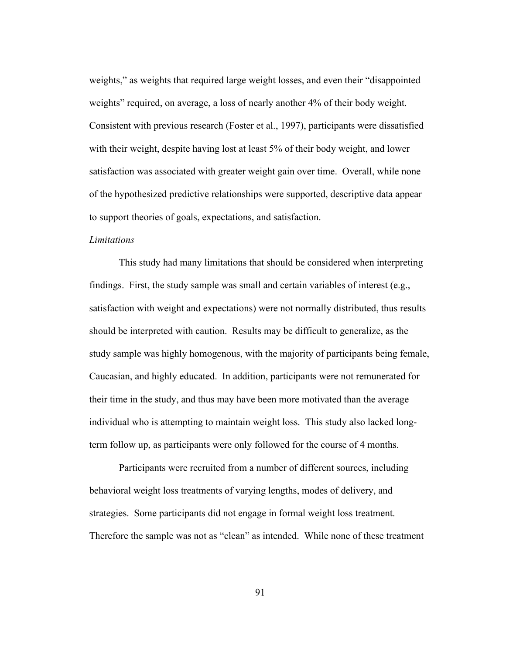weights," as weights that required large weight losses, and even their "disappointed weights" required, on average, a loss of nearly another 4% of their body weight. Consistent with previous research (Foster et al., 1997), participants were dissatisfied with their weight, despite having lost at least 5% of their body weight, and lower satisfaction was associated with greater weight gain over time. Overall, while none of the hypothesized predictive relationships were supported, descriptive data appear to support theories of goals, expectations, and satisfaction.

### *Limitations*

This study had many limitations that should be considered when interpreting findings. First, the study sample was small and certain variables of interest (e.g., satisfaction with weight and expectations) were not normally distributed, thus results should be interpreted with caution. Results may be difficult to generalize, as the study sample was highly homogenous, with the majority of participants being female, Caucasian, and highly educated. In addition, participants were not remunerated for their time in the study, and thus may have been more motivated than the average individual who is attempting to maintain weight loss. This study also lacked longterm follow up, as participants were only followed for the course of 4 months.

Participants were recruited from a number of different sources, including behavioral weight loss treatments of varying lengths, modes of delivery, and strategies. Some participants did not engage in formal weight loss treatment. Therefore the sample was not as "clean" as intended. While none of these treatment

91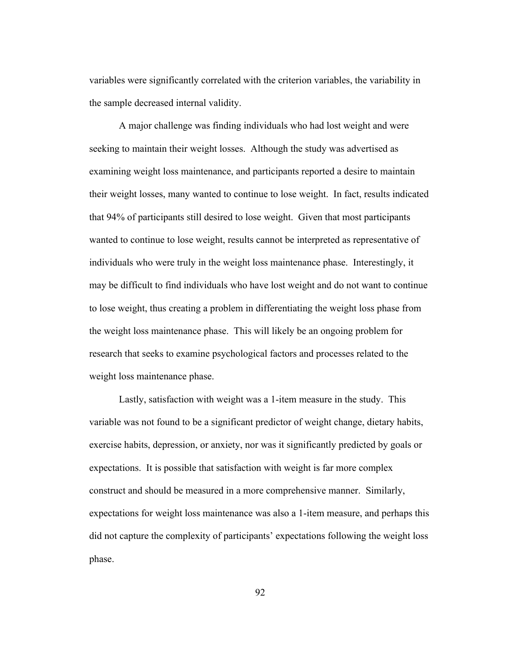variables were significantly correlated with the criterion variables, the variability in the sample decreased internal validity.

A major challenge was finding individuals who had lost weight and were seeking to maintain their weight losses. Although the study was advertised as examining weight loss maintenance, and participants reported a desire to maintain their weight losses, many wanted to continue to lose weight. In fact, results indicated that 94% of participants still desired to lose weight. Given that most participants wanted to continue to lose weight, results cannot be interpreted as representative of individuals who were truly in the weight loss maintenance phase. Interestingly, it may be difficult to find individuals who have lost weight and do not want to continue to lose weight, thus creating a problem in differentiating the weight loss phase from the weight loss maintenance phase. This will likely be an ongoing problem for research that seeks to examine psychological factors and processes related to the weight loss maintenance phase.

Lastly, satisfaction with weight was a 1-item measure in the study. This variable was not found to be a significant predictor of weight change, dietary habits, exercise habits, depression, or anxiety, nor was it significantly predicted by goals or expectations. It is possible that satisfaction with weight is far more complex construct and should be measured in a more comprehensive manner. Similarly, expectations for weight loss maintenance was also a 1-item measure, and perhaps this did not capture the complexity of participants' expectations following the weight loss phase.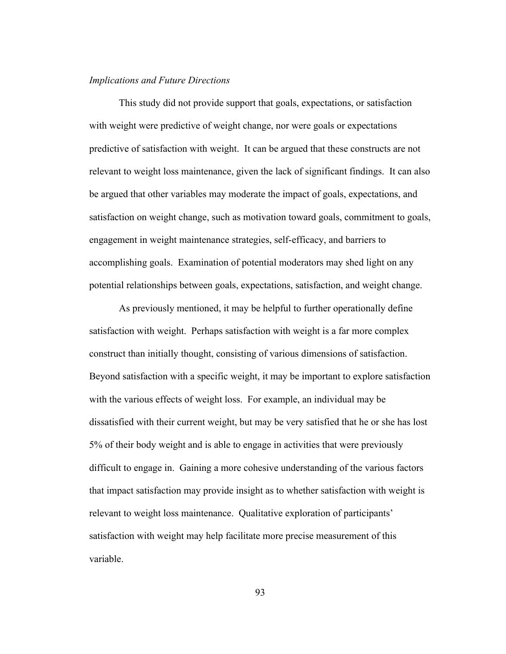### *Implications and Future Directions*

This study did not provide support that goals, expectations, or satisfaction with weight were predictive of weight change, nor were goals or expectations predictive of satisfaction with weight. It can be argued that these constructs are not relevant to weight loss maintenance, given the lack of significant findings. It can also be argued that other variables may moderate the impact of goals, expectations, and satisfaction on weight change, such as motivation toward goals, commitment to goals, engagement in weight maintenance strategies, self-efficacy, and barriers to accomplishing goals. Examination of potential moderators may shed light on any potential relationships between goals, expectations, satisfaction, and weight change.

As previously mentioned, it may be helpful to further operationally define satisfaction with weight. Perhaps satisfaction with weight is a far more complex construct than initially thought, consisting of various dimensions of satisfaction. Beyond satisfaction with a specific weight, it may be important to explore satisfaction with the various effects of weight loss. For example, an individual may be dissatisfied with their current weight, but may be very satisfied that he or she has lost 5% of their body weight and is able to engage in activities that were previously difficult to engage in. Gaining a more cohesive understanding of the various factors that impact satisfaction may provide insight as to whether satisfaction with weight is relevant to weight loss maintenance. Qualitative exploration of participants' satisfaction with weight may help facilitate more precise measurement of this variable.

93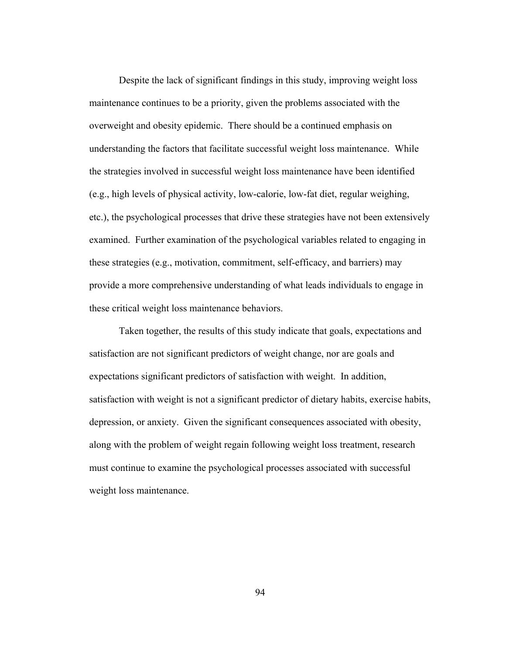Despite the lack of significant findings in this study, improving weight loss maintenance continues to be a priority, given the problems associated with the overweight and obesity epidemic. There should be a continued emphasis on understanding the factors that facilitate successful weight loss maintenance. While the strategies involved in successful weight loss maintenance have been identified (e.g., high levels of physical activity, low-calorie, low-fat diet, regular weighing, etc.), the psychological processes that drive these strategies have not been extensively examined. Further examination of the psychological variables related to engaging in these strategies (e.g., motivation, commitment, self-efficacy, and barriers) may provide a more comprehensive understanding of what leads individuals to engage in these critical weight loss maintenance behaviors.

Taken together, the results of this study indicate that goals, expectations and satisfaction are not significant predictors of weight change, nor are goals and expectations significant predictors of satisfaction with weight. In addition, satisfaction with weight is not a significant predictor of dietary habits, exercise habits, depression, or anxiety. Given the significant consequences associated with obesity, along with the problem of weight regain following weight loss treatment, research must continue to examine the psychological processes associated with successful weight loss maintenance.

94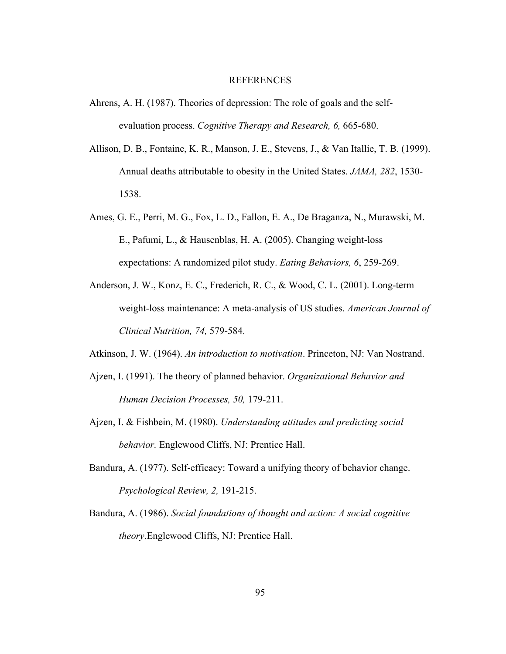#### REFERENCES

- Ahrens, A. H. (1987). Theories of depression: The role of goals and the selfevaluation process. *Cognitive Therapy and Research, 6,* 665-680.
- Allison, D. B., Fontaine, K. R., Manson, J. E., Stevens, J., & Van Itallie, T. B. (1999). Annual deaths attributable to obesity in the United States. *JAMA, 282*, 1530- 1538.
- Ames, G. E., Perri, M. G., Fox, L. D., Fallon, E. A., De Braganza, N., Murawski, M. E., Pafumi, L., & Hausenblas, H. A. (2005). Changing weight-loss expectations: A randomized pilot study. *Eating Behaviors, 6*, 259-269.
- Anderson, J. W., Konz, E. C., Frederich, R. C., & Wood, C. L. (2001). Long-term weight-loss maintenance: A meta-analysis of US studies. *American Journal of Clinical Nutrition, 74,* 579-584.
- Atkinson, J. W. (1964). *An introduction to motivation*. Princeton, NJ: Van Nostrand.
- Ajzen, I. (1991). The theory of planned behavior. *Organizational Behavior and Human Decision Processes, 50,* 179-211.
- Ajzen, I. & Fishbein, M. (1980). *Understanding attitudes and predicting social behavior.* Englewood Cliffs, NJ: Prentice Hall.
- Bandura, A. (1977). Self-efficacy: Toward a unifying theory of behavior change. *Psychological Review, 2,* 191-215.
- Bandura, A. (1986). *Social foundations of thought and action: A social cognitive theory*.Englewood Cliffs, NJ: Prentice Hall.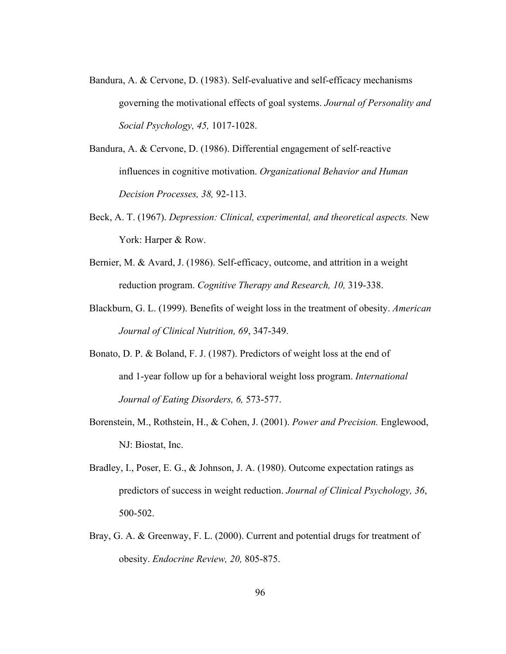- Bandura, A. & Cervone, D. (1983). Self-evaluative and self-efficacy mechanisms governing the motivational effects of goal systems. *Journal of Personality and Social Psychology, 45,* 1017-1028.
- Bandura, A. & Cervone, D. (1986). Differential engagement of self-reactive influences in cognitive motivation. *Organizational Behavior and Human Decision Processes, 38,* 92-113.
- Beck, A. T. (1967). *Depression: Clinical, experimental, and theoretical aspects.* New York: Harper & Row.
- Bernier, M. & Avard, J. (1986). Self-efficacy, outcome, and attrition in a weight reduction program. *Cognitive Therapy and Research, 10,* 319-338.
- Blackburn, G. L. (1999). Benefits of weight loss in the treatment of obesity. *American Journal of Clinical Nutrition, 69*, 347-349.
- Bonato, D. P. & Boland, F. J. (1987). Predictors of weight loss at the end of and 1-year follow up for a behavioral weight loss program. *International Journal of Eating Disorders, 6,* 573-577.
- Borenstein, M., Rothstein, H., & Cohen, J. (2001). *Power and Precision.* Englewood, NJ: Biostat, Inc.
- Bradley, I., Poser, E. G., & Johnson, J. A. (1980). Outcome expectation ratings as predictors of success in weight reduction. *Journal of Clinical Psychology, 36*, 500-502.
- Bray, G. A. & Greenway, F. L. (2000). Current and potential drugs for treatment of obesity. *Endocrine Review, 20,* 805-875.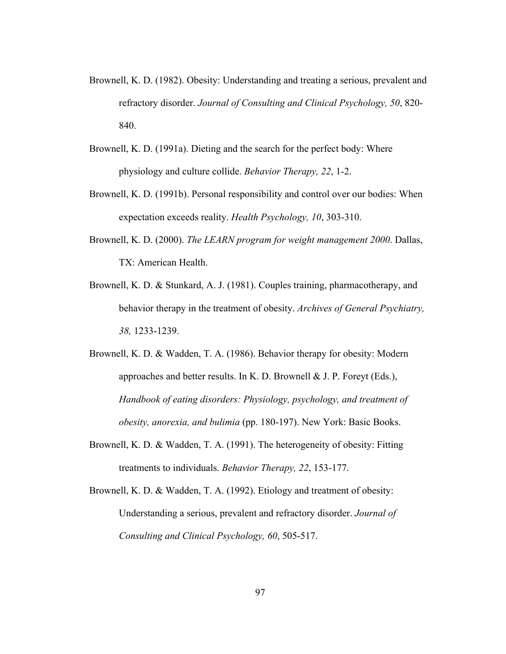- Brownell, K. D. (1982). Obesity: Understanding and treating a serious, prevalent and refractory disorder. *Journal of Consulting and Clinical Psychology, 50*, 820- 840.
- Brownell, K. D. (1991a). Dieting and the search for the perfect body: Where physiology and culture collide. *Behavior Therapy, 22*, 1-2.
- Brownell, K. D. (1991b). Personal responsibility and control over our bodies: When expectation exceeds reality. *Health Psychology, 10*, 303-310.
- Brownell, K. D. (2000). *The LEARN program for weight management 2000*. Dallas, TX: American Health.
- Brownell, K. D. & Stunkard, A. J. (1981). Couples training, pharmacotherapy, and behavior therapy in the treatment of obesity. *Archives of General Psychiatry, 38,* 1233-1239.
- Brownell, K. D. & Wadden, T. A. (1986). Behavior therapy for obesity: Modern approaches and better results. In K. D. Brownell  $& J. P.$  Foreyt (Eds.), *Handbook of eating disorders: Physiology, psychology, and treatment of obesity, anorexia, and bulimia* (pp. 180-197). New York: Basic Books.
- Brownell, K. D. & Wadden, T. A. (1991). The heterogeneity of obesity: Fitting treatments to individuals. *Behavior Therapy, 22*, 153-177.
- Brownell, K. D. & Wadden, T. A. (1992). Etiology and treatment of obesity: Understanding a serious, prevalent and refractory disorder. *Journal of Consulting and Clinical Psychology, 60*, 505-517.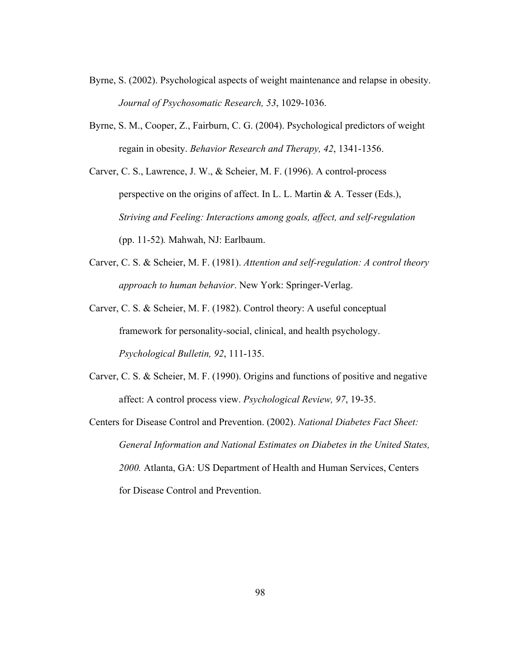- Byrne, S. (2002). Psychological aspects of weight maintenance and relapse in obesity. *Journal of Psychosomatic Research, 53*, 1029-1036.
- Byrne, S. M., Cooper, Z., Fairburn, C. G. (2004). Psychological predictors of weight regain in obesity. *Behavior Research and Therapy, 42*, 1341-1356.
- Carver, C. S., Lawrence, J. W., & Scheier, M. F. (1996). A control-process perspective on the origins of affect. In L. L. Martin & A. Tesser (Eds.), *Striving and Feeling: Interactions among goals, affect, and self-regulation*  (pp. 11-52)*.* Mahwah, NJ: Earlbaum.
- Carver, C. S. & Scheier, M. F. (1981). *Attention and self-regulation: A control theory approach to human behavior*. New York: Springer-Verlag.
- Carver, C. S. & Scheier, M. F. (1982). Control theory: A useful conceptual framework for personality-social, clinical, and health psychology. *Psychological Bulletin, 92*, 111-135.
- Carver, C. S. & Scheier, M. F. (1990). Origins and functions of positive and negative affect: A control process view. *Psychological Review, 97*, 19-35.
- Centers for Disease Control and Prevention. (2002). *National Diabetes Fact Sheet: General Information and National Estimates on Diabetes in the United States, 2000.* Atlanta, GA: US Department of Health and Human Services, Centers for Disease Control and Prevention.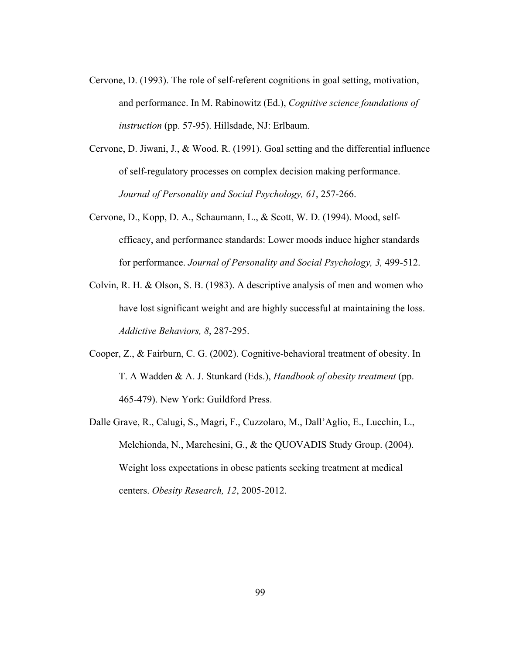- Cervone, D. (1993). The role of self-referent cognitions in goal setting, motivation, and performance. In M. Rabinowitz (Ed.), *Cognitive science foundations of instruction* (pp. 57-95). Hillsdade, NJ: Erlbaum.
- Cervone, D. Jiwani, J., & Wood. R. (1991). Goal setting and the differential influence of self-regulatory processes on complex decision making performance. *Journal of Personality and Social Psychology, 61*, 257-266.
- Cervone, D., Kopp, D. A., Schaumann, L., & Scott, W. D. (1994). Mood, selfefficacy, and performance standards: Lower moods induce higher standards for performance. *Journal of Personality and Social Psychology, 3,* 499-512.
- Colvin, R. H. & Olson, S. B. (1983). A descriptive analysis of men and women who have lost significant weight and are highly successful at maintaining the loss. *Addictive Behaviors, 8*, 287-295.
- Cooper, Z., & Fairburn, C. G. (2002). Cognitive-behavioral treatment of obesity. In T. A Wadden & A. J. Stunkard (Eds.), *Handbook of obesity treatment* (pp. 465-479). New York: Guildford Press.
- Dalle Grave, R., Calugi, S., Magri, F., Cuzzolaro, M., Dall'Aglio, E., Lucchin, L., Melchionda, N., Marchesini, G., & the QUOVADIS Study Group. (2004). Weight loss expectations in obese patients seeking treatment at medical centers. *Obesity Research, 12*, 2005-2012.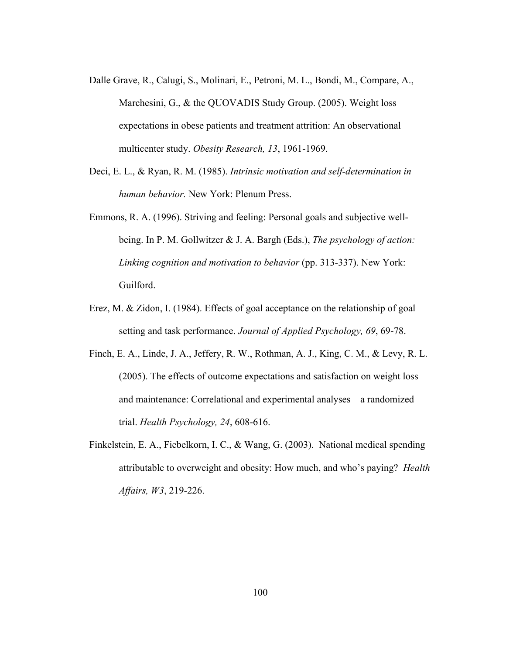- Dalle Grave, R., Calugi, S., Molinari, E., Petroni, M. L., Bondi, M., Compare, A., Marchesini, G., & the QUOVADIS Study Group. (2005). Weight loss expectations in obese patients and treatment attrition: An observational multicenter study. *Obesity Research, 13*, 1961-1969.
- Deci, E. L., & Ryan, R. M. (1985). *Intrinsic motivation and self-determination in human behavior.* New York: Plenum Press.
- Emmons, R. A. (1996). Striving and feeling: Personal goals and subjective wellbeing. In P. M. Gollwitzer & J. A. Bargh (Eds.), *The psychology of action: Linking cognition and motivation to behavior* (pp. 313-337). New York: Guilford.
- Erez, M. & Zidon, I. (1984). Effects of goal acceptance on the relationship of goal setting and task performance. *Journal of Applied Psychology, 69*, 69-78.
- Finch, E. A., Linde, J. A., Jeffery, R. W., Rothman, A. J., King, C. M., & Levy, R. L. (2005). The effects of outcome expectations and satisfaction on weight loss and maintenance: Correlational and experimental analyses – a randomized trial. *Health Psychology, 24*, 608-616.
- Finkelstein, E. A., Fiebelkorn, I. C., & Wang, G. (2003). National medical spending attributable to overweight and obesity: How much, and who's paying? *Health Affairs, W3*, 219-226.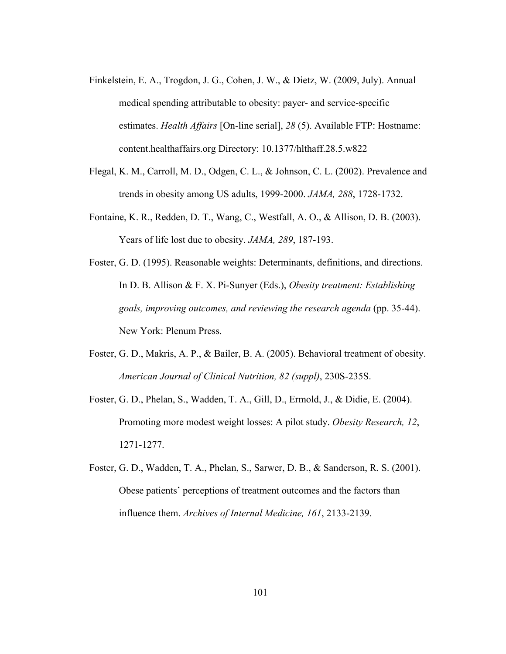- Finkelstein, E. A., Trogdon, J. G., Cohen, J. W., & Dietz, W. (2009, July). Annual medical spending attributable to obesity: payer- and service-specific estimates. *Health Affairs* [On-line serial], *28* (5). Available FTP: Hostname: content.healthaffairs.org Directory: 10.1377/hlthaff.28.5.w822
- Flegal, K. M., Carroll, M. D., Odgen, C. L., & Johnson, C. L. (2002). Prevalence and trends in obesity among US adults, 1999-2000. *JAMA, 288*, 1728-1732.
- Fontaine, K. R., Redden, D. T., Wang, C., Westfall, A. O., & Allison, D. B. (2003). Years of life lost due to obesity. *JAMA, 289*, 187-193.

Foster, G. D. (1995). Reasonable weights: Determinants, definitions, and directions. In D. B. Allison & F. X. Pi-Sunyer (Eds.), *Obesity treatment: Establishing goals, improving outcomes, and reviewing the research agenda* (pp. 35-44). New York: Plenum Press.

- Foster, G. D., Makris, A. P., & Bailer, B. A. (2005). Behavioral treatment of obesity. *American Journal of Clinical Nutrition, 82 (suppl)*, 230S-235S.
- Foster, G. D., Phelan, S., Wadden, T. A., Gill, D., Ermold, J., & Didie, E. (2004). Promoting more modest weight losses: A pilot study. *Obesity Research, 12*, 1271-1277.
- Foster, G. D., Wadden, T. A., Phelan, S., Sarwer, D. B., & Sanderson, R. S. (2001). Obese patients' perceptions of treatment outcomes and the factors than influence them. *Archives of Internal Medicine, 161*, 2133-2139.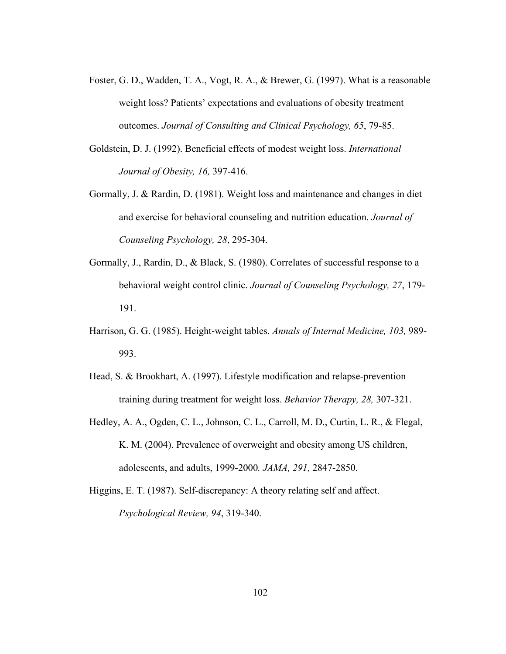- Foster, G. D., Wadden, T. A., Vogt, R. A., & Brewer, G. (1997). What is a reasonable weight loss? Patients' expectations and evaluations of obesity treatment outcomes. *Journal of Consulting and Clinical Psychology, 65*, 79-85.
- Goldstein, D. J. (1992). Beneficial effects of modest weight loss. *International Journal of Obesity, 16,* 397-416.
- Gormally, J. & Rardin, D. (1981). Weight loss and maintenance and changes in diet and exercise for behavioral counseling and nutrition education. *Journal of Counseling Psychology, 28*, 295-304.
- Gormally, J., Rardin, D., & Black, S. (1980). Correlates of successful response to a behavioral weight control clinic. *Journal of Counseling Psychology, 27*, 179- 191.
- Harrison, G. G. (1985). Height-weight tables. *Annals of Internal Medicine, 103,* 989- 993.
- Head, S. & Brookhart, A. (1997). Lifestyle modification and relapse-prevention training during treatment for weight loss. *Behavior Therapy, 28,* 307-321.
- Hedley, A. A., Ogden, C. L., Johnson, C. L., Carroll, M. D., Curtin, L. R., & Flegal, K. M. (2004). Prevalence of overweight and obesity among US children, adolescents, and adults, 1999-2000*. JAMA, 291,* 2847-2850.
- Higgins, E. T. (1987). Self-discrepancy: A theory relating self and affect. *Psychological Review, 94*, 319-340.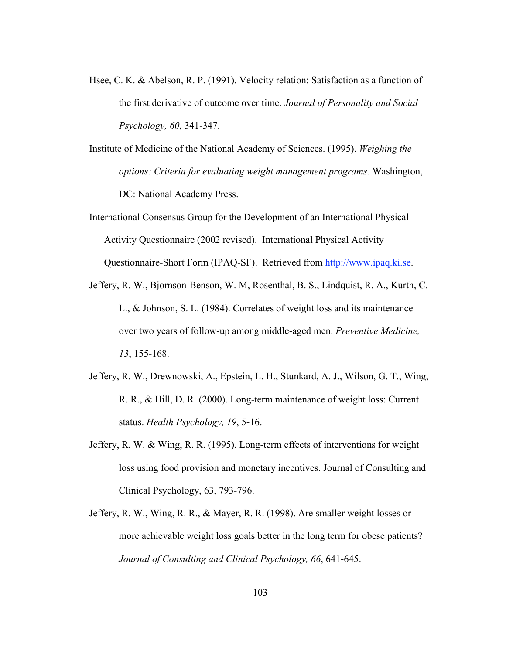- Hsee, C. K. & Abelson, R. P. (1991). Velocity relation: Satisfaction as a function of the first derivative of outcome over time. *Journal of Personality and Social Psychology, 60*, 341-347.
- Institute of Medicine of the National Academy of Sciences. (1995). *Weighing the options: Criteria for evaluating weight management programs.* Washington, DC: National Academy Press.
- International Consensus Group for the Development of an International Physical Activity Questionnaire (2002 revised). International Physical Activity Questionnaire-Short Form (IPAQ-SF). Retrieved from http://www.ipaq.ki.se.
- Jeffery, R. W., Bjornson-Benson, W. M, Rosenthal, B. S., Lindquist, R. A., Kurth, C. L., & Johnson, S. L. (1984). Correlates of weight loss and its maintenance over two years of follow-up among middle-aged men. *Preventive Medicine, 13*, 155-168.
- Jeffery, R. W., Drewnowski, A., Epstein, L. H., Stunkard, A. J., Wilson, G. T., Wing, R. R., & Hill, D. R. (2000). Long-term maintenance of weight loss: Current status. *Health Psychology, 19*, 5-16.
- Jeffery, R. W. & Wing, R. R. (1995). Long-term effects of interventions for weight loss using food provision and monetary incentives. Journal of Consulting and Clinical Psychology, 63, 793-796.
- Jeffery, R. W., Wing, R. R., & Mayer, R. R. (1998). Are smaller weight losses or more achievable weight loss goals better in the long term for obese patients? *Journal of Consulting and Clinical Psychology, 66*, 641-645.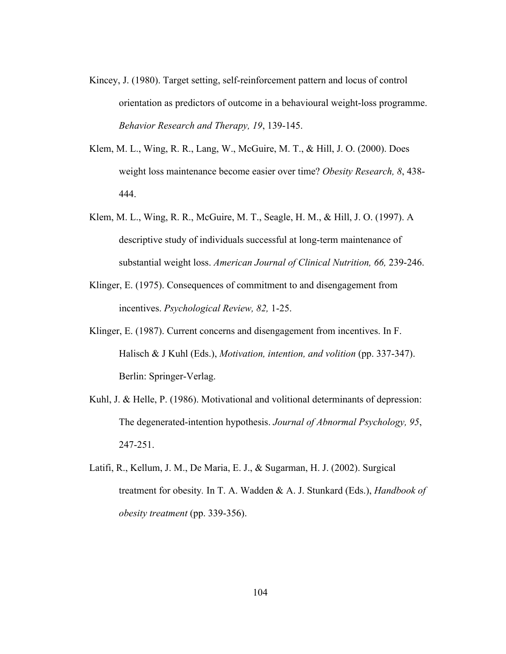- Kincey, J. (1980). Target setting, self-reinforcement pattern and locus of control orientation as predictors of outcome in a behavioural weight-loss programme. *Behavior Research and Therapy, 19*, 139-145.
- Klem, M. L., Wing, R. R., Lang, W., McGuire, M. T., & Hill, J. O. (2000). Does weight loss maintenance become easier over time? *Obesity Research, 8*, 438- 444.
- Klem, M. L., Wing, R. R., McGuire, M. T., Seagle, H. M., & Hill, J. O. (1997). A descriptive study of individuals successful at long-term maintenance of substantial weight loss. *American Journal of Clinical Nutrition, 66,* 239-246.
- Klinger, E. (1975). Consequences of commitment to and disengagement from incentives. *Psychological Review, 82,* 1-25.
- Klinger, E. (1987). Current concerns and disengagement from incentives. In F. Halisch & J Kuhl (Eds.), *Motivation, intention, and volition* (pp. 337-347). Berlin: Springer-Verlag.
- Kuhl, J. & Helle, P. (1986). Motivational and volitional determinants of depression: The degenerated-intention hypothesis. *Journal of Abnormal Psychology, 95*, 247-251.
- Latifi, R., Kellum, J. M., De Maria, E. J., & Sugarman, H. J. (2002). Surgical treatment for obesity*.* In T. A. Wadden & A. J. Stunkard (Eds.), *Handbook of obesity treatment* (pp. 339-356).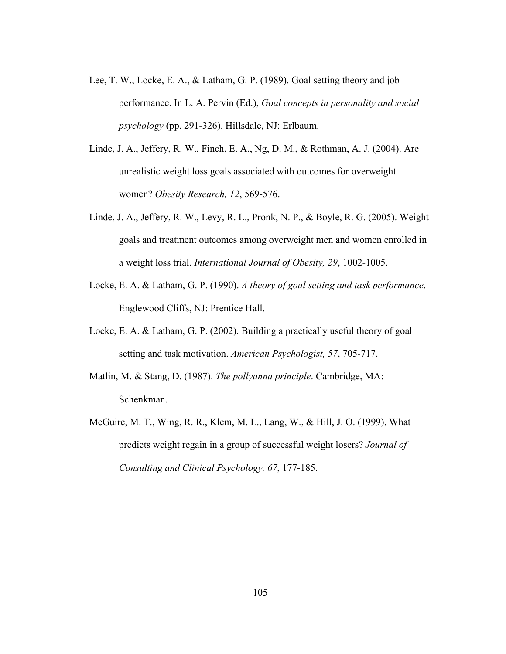- Lee, T. W., Locke, E. A., & Latham, G. P. (1989). Goal setting theory and job performance. In L. A. Pervin (Ed.), *Goal concepts in personality and social psychology* (pp. 291-326). Hillsdale, NJ: Erlbaum.
- Linde, J. A., Jeffery, R. W., Finch, E. A., Ng, D. M., & Rothman, A. J. (2004). Are unrealistic weight loss goals associated with outcomes for overweight women? *Obesity Research, 12*, 569-576.
- Linde, J. A., Jeffery, R. W., Levy, R. L., Pronk, N. P., & Boyle, R. G. (2005). Weight goals and treatment outcomes among overweight men and women enrolled in a weight loss trial. *International Journal of Obesity, 29*, 1002-1005.
- Locke, E. A. & Latham, G. P. (1990). *A theory of goal setting and task performance*. Englewood Cliffs, NJ: Prentice Hall.
- Locke, E. A. & Latham, G. P. (2002). Building a practically useful theory of goal setting and task motivation. *American Psychologist, 57*, 705-717.
- Matlin, M. & Stang, D. (1987). *The pollyanna principle*. Cambridge, MA: Schenkman.
- McGuire, M. T., Wing, R. R., Klem, M. L., Lang, W., & Hill, J. O. (1999). What predicts weight regain in a group of successful weight losers? *Journal of Consulting and Clinical Psychology, 67*, 177-185.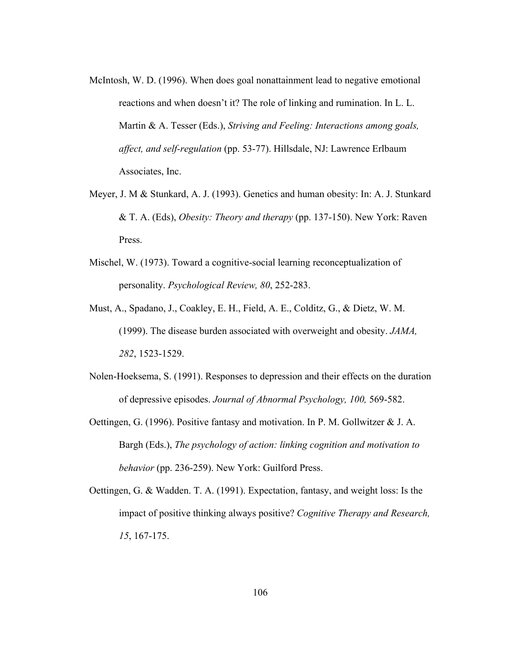- McIntosh, W. D. (1996). When does goal nonattainment lead to negative emotional reactions and when doesn't it? The role of linking and rumination. In L. L. Martin & A. Tesser (Eds.), *Striving and Feeling: Interactions among goals, affect, and self-regulation* (pp. 53-77). Hillsdale, NJ: Lawrence Erlbaum Associates, Inc.
- Meyer, J. M & Stunkard, A. J. (1993). Genetics and human obesity: In: A. J. Stunkard & T. A. (Eds), *Obesity: Theory and therapy* (pp. 137-150). New York: Raven Press.
- Mischel, W. (1973). Toward a cognitive-social learning reconceptualization of personality. *Psychological Review, 80*, 252-283.
- Must, A., Spadano, J., Coakley, E. H., Field, A. E., Colditz, G., & Dietz, W. M. (1999). The disease burden associated with overweight and obesity. *JAMA, 282*, 1523-1529.
- Nolen-Hoeksema, S. (1991). Responses to depression and their effects on the duration of depressive episodes. *Journal of Abnormal Psychology, 100,* 569-582.
- Oettingen, G. (1996). Positive fantasy and motivation. In P. M. Gollwitzer & J. A. Bargh (Eds.), *The psychology of action: linking cognition and motivation to behavior* (pp. 236-259). New York: Guilford Press.
- Oettingen, G. & Wadden. T. A. (1991). Expectation, fantasy, and weight loss: Is the impact of positive thinking always positive? *Cognitive Therapy and Research, 15*, 167-175.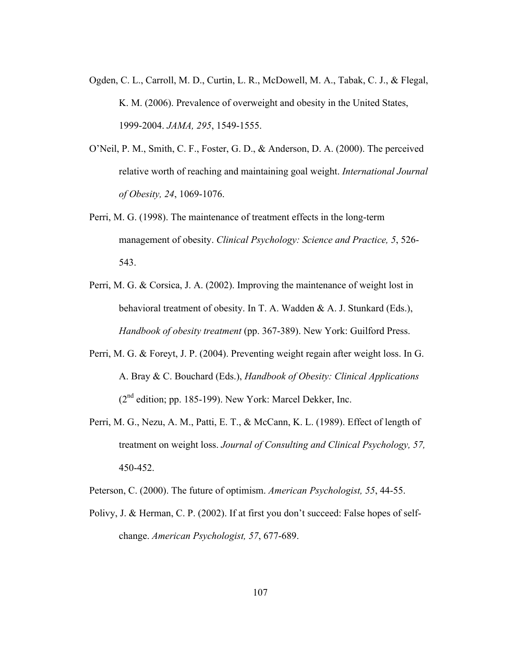- Ogden, C. L., Carroll, M. D., Curtin, L. R., McDowell, M. A., Tabak, C. J., & Flegal, K. M. (2006). Prevalence of overweight and obesity in the United States, 1999-2004. *JAMA, 295*, 1549-1555.
- O'Neil, P. M., Smith, C. F., Foster, G. D., & Anderson, D. A. (2000). The perceived relative worth of reaching and maintaining goal weight. *International Journal of Obesity, 24*, 1069-1076.
- Perri, M. G. (1998). The maintenance of treatment effects in the long-term management of obesity. *Clinical Psychology: Science and Practice, 5*, 526- 543.
- Perri, M. G. & Corsica, J. A. (2002). Improving the maintenance of weight lost in behavioral treatment of obesity. In T. A. Wadden & A. J. Stunkard (Eds.), *Handbook of obesity treatment* (pp. 367-389). New York: Guilford Press.
- Perri, M. G. & Foreyt, J. P. (2004). Preventing weight regain after weight loss. In G. A. Bray & C. Bouchard (Eds.), *Handbook of Obesity: Clinical Applications*   $(2<sup>nd</sup> edition; pp. 185-199)$ . New York: Marcel Dekker, Inc.
- Perri, M. G., Nezu, A. M., Patti, E. T., & McCann, K. L. (1989). Effect of length of treatment on weight loss. *Journal of Consulting and Clinical Psychology, 57,* 450-452.

Peterson, C. (2000). The future of optimism. *American Psychologist, 55*, 44-55.

Polivy, J. & Herman, C. P. (2002). If at first you don't succeed: False hopes of selfchange. *American Psychologist, 57*, 677-689.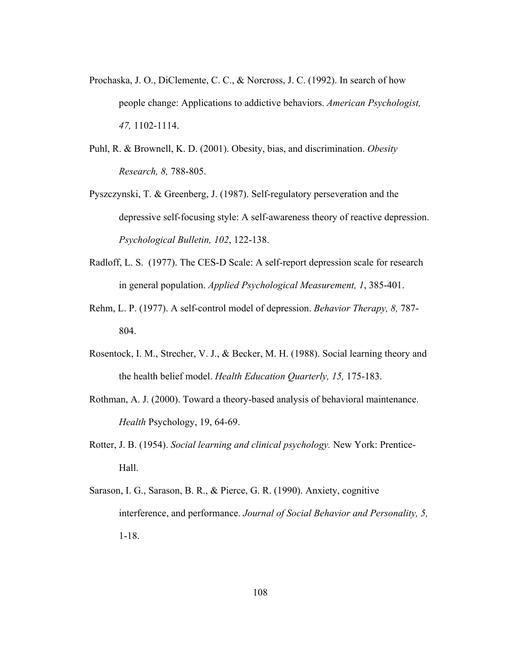- Prochaska, J. O., DiClemente, C. C., & Norcross, J. C. (1992). In search of how people change: Applications to addictive behaviors. *American Psychologist, 47,* 1102-1114.
- Puhl, R. & Brownell, K. D. (2001). Obesity, bias, and discrimination. *Obesity Research, 8,* 788-805.
- Pyszczynski, T. & Greenberg, J. (1987). Self-regulatory perseveration and the depressive self-focusing style: A self-awareness theory of reactive depression. *Psychological Bulletin, 102*, 122-138.
- Radloff, L. S. (1977). The CES-D Scale: A self-report depression scale for research in general population. *Applied Psychological Measurement, 1*, 385-401.
- Rehm, L. P. (1977). A self-control model of depression. *Behavior Therapy, 8,* 787- 804.
- Rosentock, I. M., Strecher, V. J., & Becker, M. H. (1988). Social learning theory and the health belief model. *Health Education Quarterly, 15,* 175-183.
- Rothman, A. J. (2000). Toward a theory-based analysis of behavioral maintenance. *Health* Psychology, 19, 64-69.
- Rotter, J. B. (1954). *Social learning and clinical psychology.* New York: Prentice-Hall.
- Sarason, I. G., Sarason, B. R., & Pierce, G. R. (1990). Anxiety, cognitive interference, and performance. *Journal of Social Behavior and Personality, 5,*  1-18.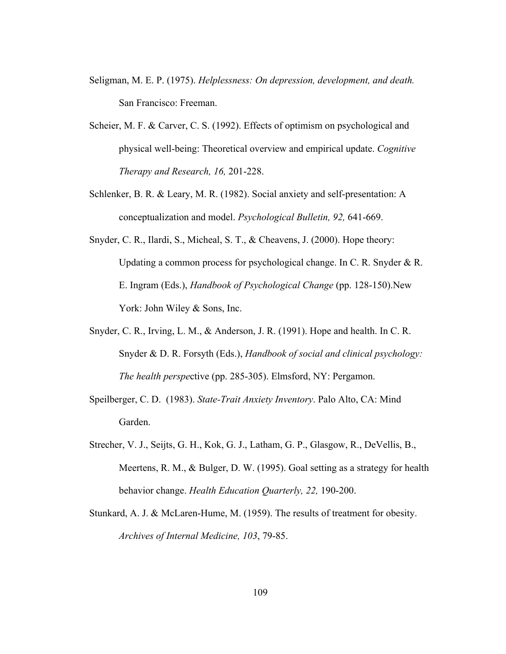- Seligman, M. E. P. (1975). *Helplessness: On depression, development, and death.* San Francisco: Freeman.
- Scheier, M. F. & Carver, C. S. (1992). Effects of optimism on psychological and physical well-being: Theoretical overview and empirical update. *Cognitive Therapy and Research, 16,* 201-228.
- Schlenker, B. R. & Leary, M. R. (1982). Social anxiety and self-presentation: A conceptualization and model. *Psychological Bulletin, 92,* 641-669.
- Snyder, C. R., Ilardi, S., Micheal, S. T., & Cheavens, J. (2000). Hope theory: Updating a common process for psychological change. In C. R. Snyder & R. E. Ingram (Eds.), *Handbook of Psychological Change* (pp. 128-150).New York: John Wiley & Sons, Inc.
- Snyder, C. R., Irving, L. M., & Anderson, J. R. (1991). Hope and health. In C. R. Snyder & D. R. Forsyth (Eds.), *Handbook of social and clinical psychology: The health perspe*ctive (pp. 285-305). Elmsford, NY: Pergamon.
- Speilberger, C. D. (1983). *State-Trait Anxiety Inventory*. Palo Alto, CA: Mind Garden.
- Strecher, V. J., Seijts, G. H., Kok, G. J., Latham, G. P., Glasgow, R., DeVellis, B., Meertens, R. M., & Bulger, D. W. (1995). Goal setting as a strategy for health behavior change. *Health Education Quarterly, 22,* 190-200.
- Stunkard, A. J. & McLaren-Hume, M. (1959). The results of treatment for obesity. *Archives of Internal Medicine, 103*, 79-85.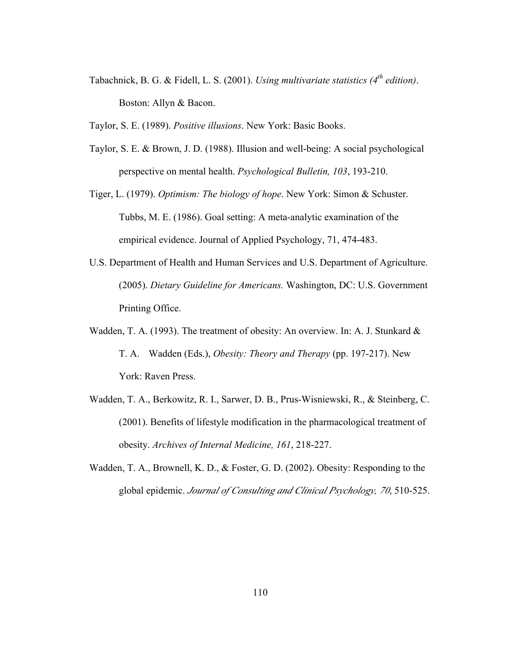Tabachnick, B. G. & Fidell, L. S. (2001). *Using multivariate statistics (4th edition)*. Boston: Allyn & Bacon.

Taylor, S. E. (1989). *Positive illusions*. New York: Basic Books.

- Taylor, S. E. & Brown, J. D. (1988). Illusion and well-being: A social psychological perspective on mental health. *Psychological Bulletin, 103*, 193-210.
- Tiger, L. (1979). *Optimism: The biology of hope*. New York: Simon & Schuster. Tubbs, M. E. (1986). Goal setting: A meta-analytic examination of the empirical evidence. Journal of Applied Psychology, 71, 474-483.
- U.S. Department of Health and Human Services and U.S. Department of Agriculture. (2005). *Dietary Guideline for Americans.* Washington, DC: U.S. Government Printing Office.
- Wadden, T. A. (1993). The treatment of obesity: An overview. In: A. J. Stunkard & T. A. Wadden (Eds.), *Obesity: Theory and Therapy* (pp. 197-217). New York: Raven Press.
- Wadden, T. A., Berkowitz, R. I., Sarwer, D. B., Prus-Wisniewski, R., & Steinberg, C. (2001). Benefits of lifestyle modification in the pharmacological treatment of obesity. *Archives of Internal Medicine, 161*, 218-227.
- Wadden, T. A., Brownell, K. D., & Foster, G. D. (2002). Obesity: Responding to the global epidemic. *Journal of Consulting and Clinical Psychology, 70*, 510-525.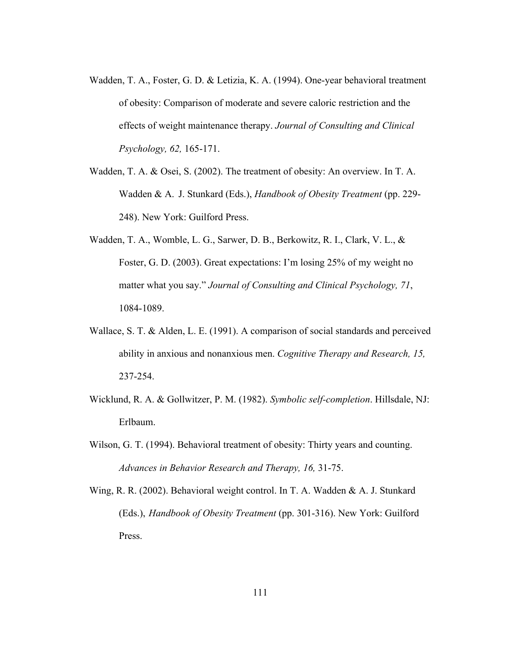- Wadden, T. A., Foster, G. D. & Letizia, K. A. (1994). One-year behavioral treatment of obesity: Comparison of moderate and severe caloric restriction and the effects of weight maintenance therapy. *Journal of Consulting and Clinical Psychology, 62,* 165-171.
- Wadden, T. A. & Osei, S. (2002). The treatment of obesity: An overview. In T. A. Wadden & A. J. Stunkard (Eds.), *Handbook of Obesity Treatment* (pp. 229- 248). New York: Guilford Press.
- Wadden, T. A., Womble, L. G., Sarwer, D. B., Berkowitz, R. I., Clark, V. L., & Foster, G. D. (2003). Great expectations: I'm losing 25% of my weight no matter what you say." *Journal of Consulting and Clinical Psychology, 71*, 1084-1089.
- Wallace, S. T. & Alden, L. E. (1991). A comparison of social standards and perceived ability in anxious and nonanxious men. *Cognitive Therapy and Research, 15,*  237-254.
- Wicklund, R. A. & Gollwitzer, P. M. (1982). *Symbolic self-completion*. Hillsdale, NJ: Erlbaum.
- Wilson, G. T. (1994). Behavioral treatment of obesity: Thirty years and counting. *Advances in Behavior Research and Therapy, 16,* 31-75.
- Wing, R. R. (2002). Behavioral weight control. In T. A. Wadden & A. J. Stunkard (Eds.), *Handbook of Obesity Treatment* (pp. 301-316). New York: Guilford Press.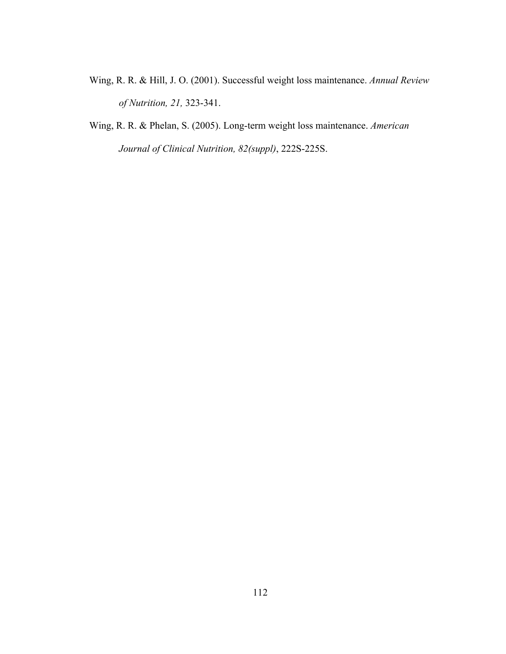- Wing, R. R. & Hill, J. O. (2001). Successful weight loss maintenance. *Annual Review of Nutrition, 21,* 323-341.
- Wing, R. R. & Phelan, S. (2005). Long-term weight loss maintenance. *American Journal of Clinical Nutrition, 82(suppl)*, 222S-225S.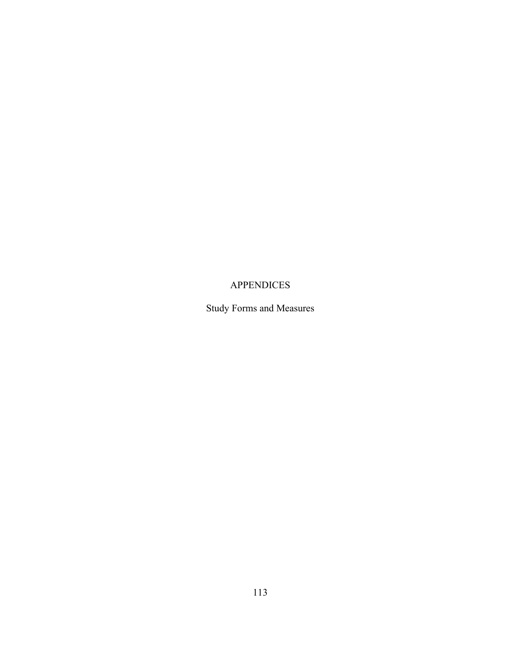# APPENDICES

Study Forms and Measures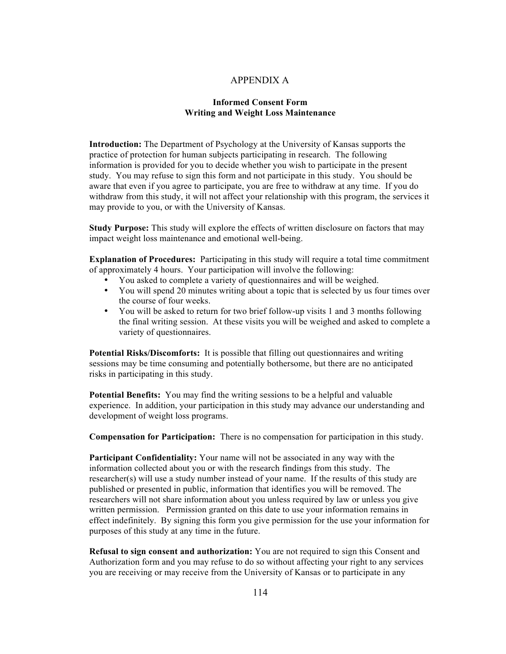#### APPENDIX A

#### **Informed Consent Form Writing and Weight Loss Maintenance**

**Introduction:** The Department of Psychology at the University of Kansas supports the practice of protection for human subjects participating in research. The following information is provided for you to decide whether you wish to participate in the present study. You may refuse to sign this form and not participate in this study. You should be aware that even if you agree to participate, you are free to withdraw at any time. If you do withdraw from this study, it will not affect your relationship with this program, the services it may provide to you, or with the University of Kansas.

**Study Purpose:** This study will explore the effects of written disclosure on factors that may impact weight loss maintenance and emotional well-being.

**Explanation of Procedures:** Participating in this study will require a total time commitment of approximately 4 hours. Your participation will involve the following:

- You asked to complete a variety of questionnaires and will be weighed.
- You will spend 20 minutes writing about a topic that is selected by us four times over the course of four weeks.
- You will be asked to return for two brief follow-up visits 1 and 3 months following the final writing session. At these visits you will be weighed and asked to complete a variety of questionnaires.

**Potential Risks/Discomforts:** It is possible that filling out questionnaires and writing sessions may be time consuming and potentially bothersome, but there are no anticipated risks in participating in this study.

**Potential Benefits:** You may find the writing sessions to be a helpful and valuable experience. In addition, your participation in this study may advance our understanding and development of weight loss programs.

**Compensation for Participation:** There is no compensation for participation in this study.

**Participant Confidentiality:** Your name will not be associated in any way with the information collected about you or with the research findings from this study. The researcher(s) will use a study number instead of your name. If the results of this study are published or presented in public, information that identifies you will be removed. The researchers will not share information about you unless required by law or unless you give written permission. Permission granted on this date to use your information remains in effect indefinitely. By signing this form you give permission for the use your information for purposes of this study at any time in the future.

**Refusal to sign consent and authorization:** You are not required to sign this Consent and Authorization form and you may refuse to do so without affecting your right to any services you are receiving or may receive from the University of Kansas or to participate in any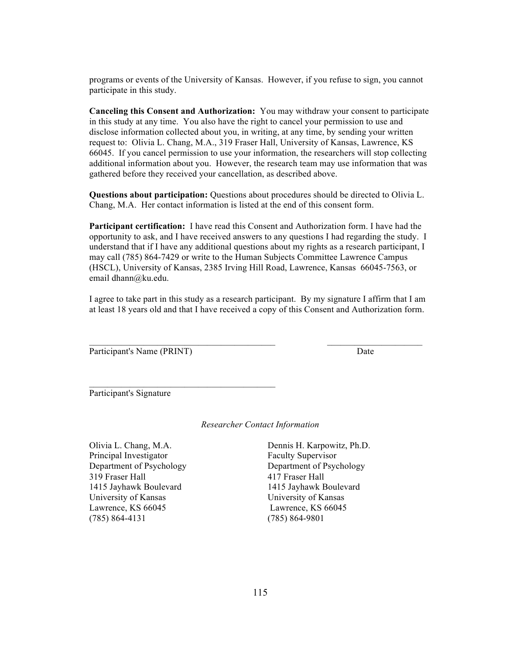programs or events of the University of Kansas. However, if you refuse to sign, you cannot participate in this study.

**Canceling this Consent and Authorization:** You may withdraw your consent to participate in this study at any time. You also have the right to cancel your permission to use and disclose information collected about you, in writing, at any time, by sending your written request to: Olivia L. Chang, M.A., 319 Fraser Hall, University of Kansas, Lawrence, KS 66045. If you cancel permission to use your information, the researchers will stop collecting additional information about you. However, the research team may use information that was gathered before they received your cancellation, as described above.

**Questions about participation:** Questions about procedures should be directed to Olivia L. Chang, M.A. Her contact information is listed at the end of this consent form.

**Participant certification:** I have read this Consent and Authorization form. I have had the opportunity to ask, and I have received answers to any questions I had regarding the study. I understand that if I have any additional questions about my rights as a research participant, I may call (785) 864-7429 or write to the Human Subjects Committee Lawrence Campus (HSCL), University of Kansas, 2385 Irving Hill Road, Lawrence, Kansas 66045-7563, or email dhann@ku.edu.

I agree to take part in this study as a research participant. By my signature I affirm that I am at least 18 years old and that I have received a copy of this Consent and Authorization form.

 $\mathcal{L}_\text{max}$  , and the contribution of the contribution of the contribution of the contribution of the contribution of the contribution of the contribution of the contribution of the contribution of the contribution of t

Participant's Name (PRINT) Date

 $\mathcal{L}_\text{max} = \mathcal{L}_\text{max} = \mathcal{L}_\text{max} = \mathcal{L}_\text{max} = \mathcal{L}_\text{max} = \mathcal{L}_\text{max} = \mathcal{L}_\text{max} = \mathcal{L}_\text{max} = \mathcal{L}_\text{max} = \mathcal{L}_\text{max} = \mathcal{L}_\text{max} = \mathcal{L}_\text{max} = \mathcal{L}_\text{max} = \mathcal{L}_\text{max} = \mathcal{L}_\text{max} = \mathcal{L}_\text{max} = \mathcal{L}_\text{max} = \mathcal{L}_\text{max} = \mathcal{$ 

Participant's Signature

*Researcher Contact Information*

Olivia L. Chang, M.A. Dennis H. Karpowitz, Ph.D. Principal Investigator Faculty Supervisor 319 Fraser Hall 417 Fraser Hall 1415 Jayhawk Boulevard 1415 Jayhawk Boulevard University of Kansas University of Kansas Lawrence, KS 66045 Lawrence, KS 66045 (785) 864-4131 (785) 864-9801

Department of Psychology Department of Psychology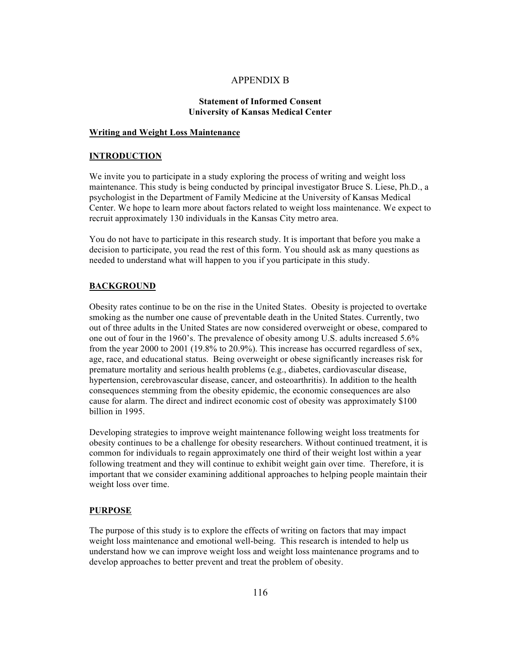#### APPENDIX B

#### **Statement of Informed Consent University of Kansas Medical Center**

#### **Writing and Weight Loss Maintenance**

#### **INTRODUCTION**

We invite you to participate in a study exploring the process of writing and weight loss maintenance. This study is being conducted by principal investigator Bruce S. Liese, Ph.D., a psychologist in the Department of Family Medicine at the University of Kansas Medical Center. We hope to learn more about factors related to weight loss maintenance. We expect to recruit approximately 130 individuals in the Kansas City metro area.

You do not have to participate in this research study. It is important that before you make a decision to participate, you read the rest of this form. You should ask as many questions as needed to understand what will happen to you if you participate in this study.

#### **BACKGROUND**

Obesity rates continue to be on the rise in the United States. Obesity is projected to overtake smoking as the number one cause of preventable death in the United States. Currently, two out of three adults in the United States are now considered overweight or obese, compared to one out of four in the 1960's. The prevalence of obesity among U.S. adults increased 5.6% from the year 2000 to 2001 (19.8% to 20.9%). This increase has occurred regardless of sex, age, race, and educational status. Being overweight or obese significantly increases risk for premature mortality and serious health problems (e.g., diabetes, cardiovascular disease, hypertension, cerebrovascular disease, cancer, and osteoarthritis). In addition to the health consequences stemming from the obesity epidemic, the economic consequences are also cause for alarm. The direct and indirect economic cost of obesity was approximately \$100 billion in 1995.

Developing strategies to improve weight maintenance following weight loss treatments for obesity continues to be a challenge for obesity researchers. Without continued treatment, it is common for individuals to regain approximately one third of their weight lost within a year following treatment and they will continue to exhibit weight gain over time. Therefore, it is important that we consider examining additional approaches to helping people maintain their weight loss over time.

#### **PURPOSE**

The purpose of this study is to explore the effects of writing on factors that may impact weight loss maintenance and emotional well-being. This research is intended to help us understand how we can improve weight loss and weight loss maintenance programs and to develop approaches to better prevent and treat the problem of obesity.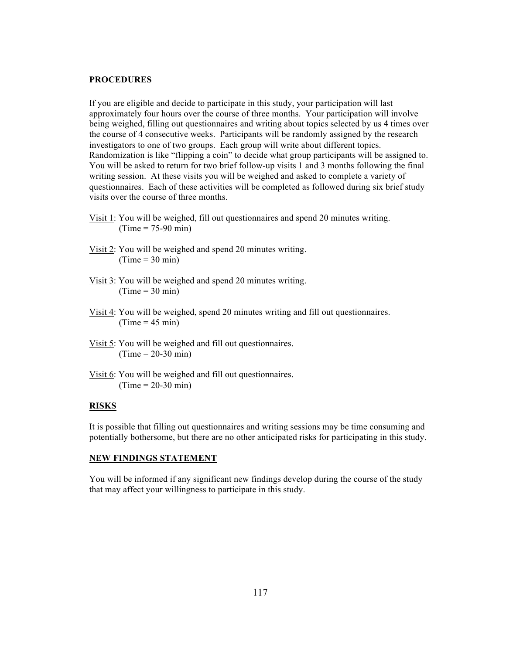#### **PROCEDURES**

If you are eligible and decide to participate in this study, your participation will last approximately four hours over the course of three months. Your participation will involve being weighed, filling out questionnaires and writing about topics selected by us 4 times over the course of 4 consecutive weeks. Participants will be randomly assigned by the research investigators to one of two groups. Each group will write about different topics. Randomization is like "flipping a coin" to decide what group participants will be assigned to. You will be asked to return for two brief follow-up visits 1 and 3 months following the final writing session. At these visits you will be weighed and asked to complete a variety of questionnaires. Each of these activities will be completed as followed during six brief study visits over the course of three months.

- Visit 1: You will be weighed, fill out questionnaires and spend 20 minutes writing.  $(Time = 75-90 \text{ min})$
- Visit 2: You will be weighed and spend 20 minutes writing.  $(Time = 30 min)$
- Visit 3: You will be weighed and spend 20 minutes writing.  $(Time = 30 min)$
- Visit 4: You will be weighed, spend 20 minutes writing and fill out questionnaires.  $(Time = 45 min)$
- Visit 5: You will be weighed and fill out questionnaires.  $(Time = 20-30 min)$
- Visit 6: You will be weighed and fill out questionnaires.  $(Time = 20-30 min)$

#### **RISKS**

It is possible that filling out questionnaires and writing sessions may be time consuming and potentially bothersome, but there are no other anticipated risks for participating in this study.

#### **NEW FINDINGS STATEMENT**

You will be informed if any significant new findings develop during the course of the study that may affect your willingness to participate in this study.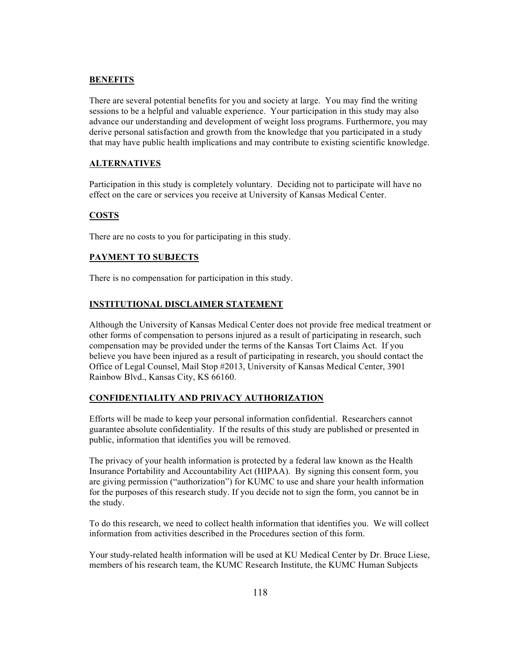#### **BENEFITS**

There are several potential benefits for you and society at large. You may find the writing sessions to be a helpful and valuable experience. Your participation in this study may also advance our understanding and development of weight loss programs. Furthermore, you may derive personal satisfaction and growth from the knowledge that you participated in a study that may have public health implications and may contribute to existing scientific knowledge.

#### **ALTERNATIVES**

Participation in this study is completely voluntary. Deciding not to participate will have no effect on the care or services you receive at University of Kansas Medical Center.

#### **COSTS**

There are no costs to you for participating in this study.

#### **PAYMENT TO SUBJECTS**

There is no compensation for participation in this study.

#### **INSTITUTIONAL DISCLAIMER STATEMENT**

Although the University of Kansas Medical Center does not provide free medical treatment or other forms of compensation to persons injured as a result of participating in research, such compensation may be provided under the terms of the Kansas Tort Claims Act. If you believe you have been injured as a result of participating in research, you should contact the Office of Legal Counsel, Mail Stop #2013, University of Kansas Medical Center, 3901 Rainbow Blvd., Kansas City, KS 66160.

#### **CONFIDENTIALITY AND PRIVACY AUTHORIZATION**

Efforts will be made to keep your personal information confidential. Researchers cannot guarantee absolute confidentiality. If the results of this study are published or presented in public, information that identifies you will be removed.

The privacy of your health information is protected by a federal law known as the Health Insurance Portability and Accountability Act (HIPAA). By signing this consent form, you are giving permission ("authorization") for KUMC to use and share your health information for the purposes of this research study. If you decide not to sign the form, you cannot be in the study.

To do this research, we need to collect health information that identifies you. We will collect information from activities described in the Procedures section of this form.

Your study-related health information will be used at KU Medical Center by Dr. Bruce Liese, members of his research team, the KUMC Research Institute, the KUMC Human Subjects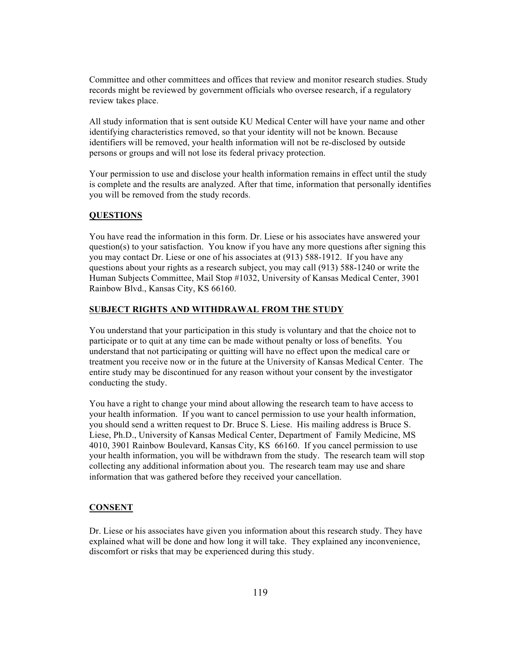Committee and other committees and offices that review and monitor research studies. Study records might be reviewed by government officials who oversee research, if a regulatory review takes place.

All study information that is sent outside KU Medical Center will have your name and other identifying characteristics removed, so that your identity will not be known. Because identifiers will be removed, your health information will not be re-disclosed by outside persons or groups and will not lose its federal privacy protection.

Your permission to use and disclose your health information remains in effect until the study is complete and the results are analyzed. After that time, information that personally identifies you will be removed from the study records.

#### **QUESTIONS**

You have read the information in this form. Dr. Liese or his associates have answered your question(s) to your satisfaction. You know if you have any more questions after signing this you may contact Dr. Liese or one of his associates at (913) 588-1912. If you have any questions about your rights as a research subject, you may call (913) 588-1240 or write the Human Subjects Committee, Mail Stop #1032, University of Kansas Medical Center, 3901 Rainbow Blvd., Kansas City, KS 66160.

#### **SUBJECT RIGHTS AND WITHDRAWAL FROM THE STUDY**

You understand that your participation in this study is voluntary and that the choice not to participate or to quit at any time can be made without penalty or loss of benefits. You understand that not participating or quitting will have no effect upon the medical care or treatment you receive now or in the future at the University of Kansas Medical Center. The entire study may be discontinued for any reason without your consent by the investigator conducting the study.

You have a right to change your mind about allowing the research team to have access to your health information. If you want to cancel permission to use your health information, you should send a written request to Dr. Bruce S. Liese. His mailing address is Bruce S. Liese, Ph.D., University of Kansas Medical Center, Department of Family Medicine, MS 4010, 3901 Rainbow Boulevard, Kansas City, KS 66160. If you cancel permission to use your health information, you will be withdrawn from the study. The research team will stop collecting any additional information about you. The research team may use and share information that was gathered before they received your cancellation.

#### **CONSENT**

Dr. Liese or his associates have given you information about this research study. They have explained what will be done and how long it will take. They explained any inconvenience, discomfort or risks that may be experienced during this study.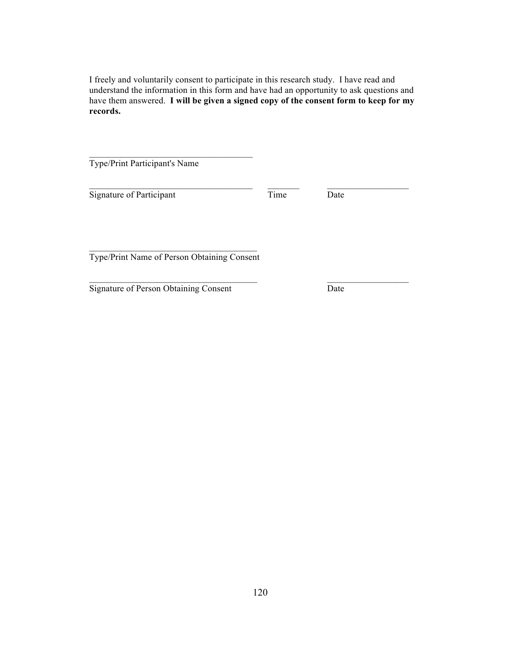I freely and voluntarily consent to participate in this research study. I have read and understand the information in this form and have had an opportunity to ask questions and have them answered. **I will be given a signed copy of the consent form to keep for my records.**

 $\mathcal{L}_\text{max} = \mathcal{L}_\text{max} = \mathcal{L}_\text{max} = \mathcal{L}_\text{max} = \mathcal{L}_\text{max} = \mathcal{L}_\text{max} = \mathcal{L}_\text{max} = \mathcal{L}_\text{max} = \mathcal{L}_\text{max} = \mathcal{L}_\text{max} = \mathcal{L}_\text{max} = \mathcal{L}_\text{max} = \mathcal{L}_\text{max} = \mathcal{L}_\text{max} = \mathcal{L}_\text{max} = \mathcal{L}_\text{max} = \mathcal{L}_\text{max} = \mathcal{L}_\text{max} = \mathcal{$ 

 $\mathcal{L}_\text{max} = \mathcal{L}_\text{max} = \mathcal{L}_\text{max} = \mathcal{L}_\text{max} = \mathcal{L}_\text{max} = \mathcal{L}_\text{max} = \mathcal{L}_\text{max} = \mathcal{L}_\text{max} = \mathcal{L}_\text{max} = \mathcal{L}_\text{max} = \mathcal{L}_\text{max} = \mathcal{L}_\text{max} = \mathcal{L}_\text{max} = \mathcal{L}_\text{max} = \mathcal{L}_\text{max} = \mathcal{L}_\text{max} = \mathcal{L}_\text{max} = \mathcal{L}_\text{max} = \mathcal{$ 

Type/Print Participant's Name

Signature of Participant Time Date

 $\overline{\phantom{a}}$  , which is a set of the set of the set of the set of the set of the set of the set of the set of the set of the set of the set of the set of the set of the set of the set of the set of the set of the set of th Type/Print Name of Person Obtaining Consent

Signature of Person Obtaining Consent Date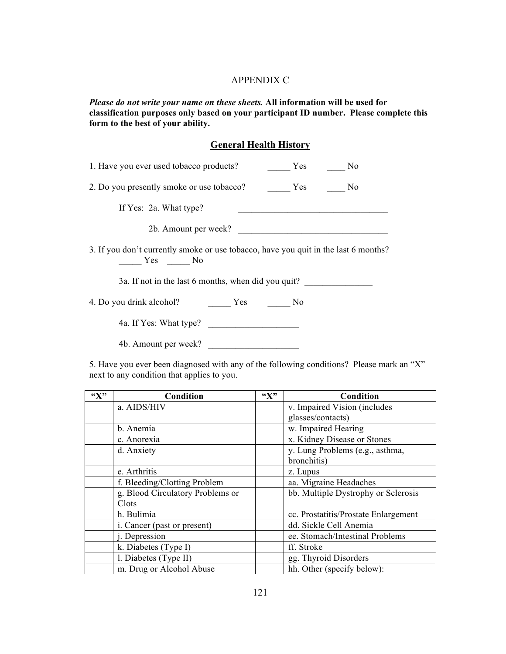#### APPENDIX C

*Please do not write your name on these sheets.* **All information will be used for classification purposes only based on your participant ID number. Please complete this form to the best of your ability.**

#### **General Health History**

| 1. Have you ever used tobacco products?<br>N <sub>0</sub><br>Yes                              |
|-----------------------------------------------------------------------------------------------|
| 2. Do you presently smoke or use tobacco?<br>N <sub>0</sub>                                   |
| If Yes: 2a. What type?                                                                        |
| 2b. Amount per week?                                                                          |
| 3. If you don't currently smoke or use tobacco, have you quit in the last 6 months?<br>Yes No |
| 3a. If not in the last 6 months, when did you quit?                                           |
| 4. Do you drink alcohol?<br>No                                                                |
| 4a. If Yes: What type?                                                                        |

4b. Amount per week? \_\_\_\_\_\_\_\_\_\_\_\_\_\_\_\_\_\_\_\_

5. Have you ever been diagnosed with any of the following conditions? Please mark an "X" next to any condition that applies to you.

| ``X" | Condition                        | $\mathbf{G}(\mathbf{X})$ | Condition                            |
|------|----------------------------------|--------------------------|--------------------------------------|
|      | a. AIDS/HIV                      |                          | v. Impaired Vision (includes         |
|      |                                  |                          | glasses/contacts)                    |
|      | b. Anemia                        |                          | w. Impaired Hearing                  |
|      | c. Anorexia                      |                          | x. Kidney Disease or Stones          |
|      | d. Anxiety                       |                          | y. Lung Problems (e.g., asthma,      |
|      |                                  |                          | bronchitis)                          |
|      | e. Arthritis                     |                          | z. Lupus                             |
|      | f. Bleeding/Clotting Problem     |                          | aa. Migraine Headaches               |
|      | g. Blood Circulatory Problems or |                          | bb. Multiple Dystrophy or Sclerosis  |
|      | Clots                            |                          |                                      |
|      | h. Bulimia                       |                          | cc. Prostatitis/Prostate Enlargement |
|      | i. Cancer (past or present)      |                          | dd. Sickle Cell Anemia               |
|      | <i>i</i> . Depression            |                          | ee. Stomach/Intestinal Problems      |
|      | k. Diabetes (Type I)             |                          | ff. Stroke                           |
|      | l. Diabetes (Type II)            |                          | gg. Thyroid Disorders                |
|      | m. Drug or Alcohol Abuse         |                          | hh. Other (specify below):           |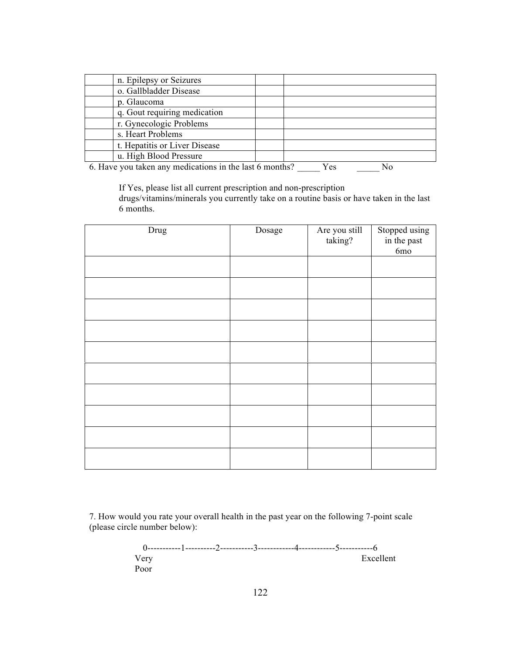|  | $\ell$ . House you taken any modiantic painting that $\ell$ months? | $\mathbf{V}$ $\sim$ | $\mathbf{M}$ |
|--|---------------------------------------------------------------------|---------------------|--------------|

6. Have you taken any medications in the last 6 months? \_\_\_\_\_\_ Yes \_\_\_\_\_\_\_ No

If Yes, please list all current prescription and non-prescription drugs/vitamins/minerals you currently take on a routine basis or have taken in the last 6 months.

| Drug | Dosage | Are you still<br>taking? | Stopped using<br>in the past<br>6mo |
|------|--------|--------------------------|-------------------------------------|
|      |        |                          |                                     |
|      |        |                          |                                     |
|      |        |                          |                                     |
|      |        |                          |                                     |
|      |        |                          |                                     |
|      |        |                          |                                     |
|      |        |                          |                                     |
|      |        |                          |                                     |
|      |        |                          |                                     |
|      |        |                          |                                     |

7. How would you rate your overall health in the past year on the following 7-point scale (please circle number below):

0-----------1----------2-----------3------------4------------5-----------6 Very Excellent Poor and the set of the set of the set of the set of the set of the set of the set of the set of the set of the set of the set of the set of the set of the set of the set of the set of the set of the set of the set of the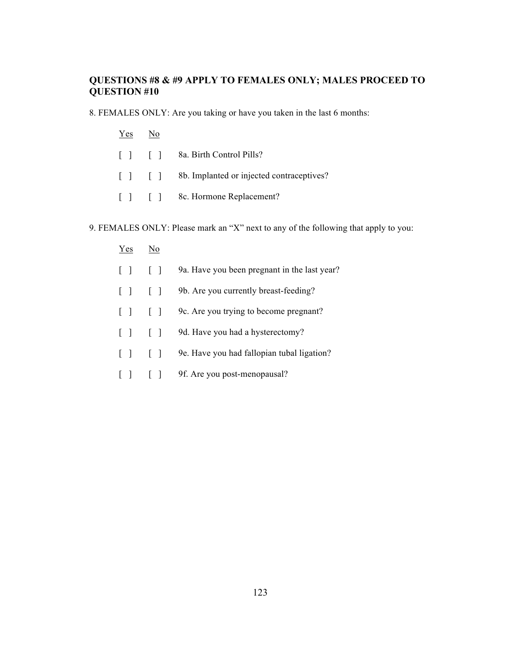### **QUESTIONS #8 & #9 APPLY TO FEMALES ONLY; MALES PROCEED TO QUESTION #10**

8. FEMALES ONLY: Are you taking or have you taken in the last 6 months:

- Yes No
- [ ] [ ] 8a. Birth Control Pills?
- [ ] [ ] 8b. Implanted or injected contraceptives?
- [ ] [ ] 8c. Hormone Replacement?

9. FEMALES ONLY: Please mark an "X" next to any of the following that apply to you:

- Yes No
- [ ] [ ] 9a. Have you been pregnant in the last year?
- [ ] [ ] 9b. Are you currently breast-feeding?
- [ ] [ ] 9c. Are you trying to become pregnant?
- [ ] [ ] 9d. Have you had a hysterectomy?
- [ ] [ ] 9e. Have you had fallopian tubal ligation?
- [ ] [ ] 9f. Are you post-menopausal?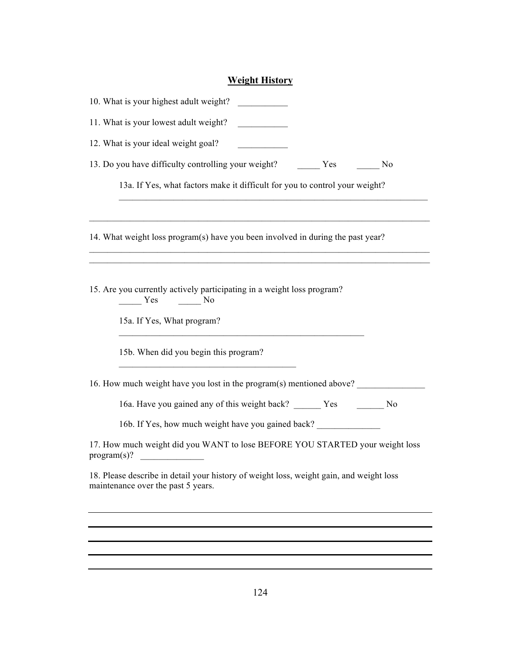# **Weight History**

| 10. What is your highest adult weight?                                                                                        |  |  |  |
|-------------------------------------------------------------------------------------------------------------------------------|--|--|--|
| 11. What is your lowest adult weight?<br>12. What is your ideal weight goal?                                                  |  |  |  |
|                                                                                                                               |  |  |  |
| 13a. If Yes, what factors make it difficult for you to control your weight?                                                   |  |  |  |
| 14. What weight loss program(s) have you been involved in during the past year?                                               |  |  |  |
| 15. Are you currently actively participating in a weight loss program?<br>$Yes$ No<br>15a. If Yes, What program?              |  |  |  |
| 15b. When did you begin this program?                                                                                         |  |  |  |
| 16. How much weight have you lost in the program(s) mentioned above?                                                          |  |  |  |
| 16a. Have you gained any of this weight back? ______ Yes _______ No                                                           |  |  |  |
| 16b. If Yes, how much weight have you gained back?                                                                            |  |  |  |
| 17. How much weight did you WANT to lose BEFORE YOU STARTED your weight loss<br>program(s)?                                   |  |  |  |
| 18. Please describe in detail your history of weight loss, weight gain, and weight loss<br>maintenance over the past 5 years. |  |  |  |
|                                                                                                                               |  |  |  |
|                                                                                                                               |  |  |  |
|                                                                                                                               |  |  |  |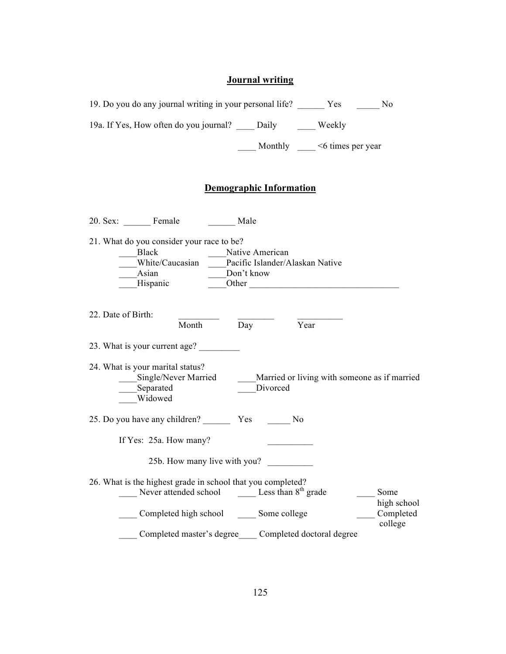# **Journal writing**

| 19. Do you do any journal writing in your personal life? Yes No                                                                                                                                              |                                     |                      |
|--------------------------------------------------------------------------------------------------------------------------------------------------------------------------------------------------------------|-------------------------------------|----------------------|
| 19a. If Yes, How often do you journal? _____ Daily _______ Weekly                                                                                                                                            |                                     |                      |
|                                                                                                                                                                                                              | Monthly $\_\_\_\$ <6 times per year |                      |
| <b>Demographic Information</b>                                                                                                                                                                               |                                     |                      |
| 20. Sex: Female Male                                                                                                                                                                                         |                                     |                      |
| 21. What do you consider your race to be?<br>Black<br>Native American<br>_White/Caucasian ____Pacific Islander/Alaskan Native<br>$A$ sian<br>Don't know<br><b>Hispanic</b><br>$\overline{\phantom{a}}$ Other |                                     |                      |
| 22. Date of Birth:<br>$-\overline{Day}$<br>$\overline{Y}$ ear<br>Month                                                                                                                                       |                                     |                      |
| 23. What is your current age?<br>24. What is your marital status?<br>____Single/Never Married __________Married or living with someone as if married<br>Separated<br>Divorced<br>Widowed                     |                                     |                      |
| 25. Do you have any children? Ves No                                                                                                                                                                         |                                     |                      |
| If Yes: 25a. How many?                                                                                                                                                                                       |                                     |                      |
| 25b. How many live with you?                                                                                                                                                                                 |                                     |                      |
| 26. What is the highest grade in school that you completed?<br>Less than $8th$ grade<br>Never attended school                                                                                                |                                     | Some<br>high school  |
| Completed high school<br>Some college                                                                                                                                                                        |                                     | Completed<br>college |
| Completed master's degree                                                                                                                                                                                    | Completed doctoral degree           |                      |